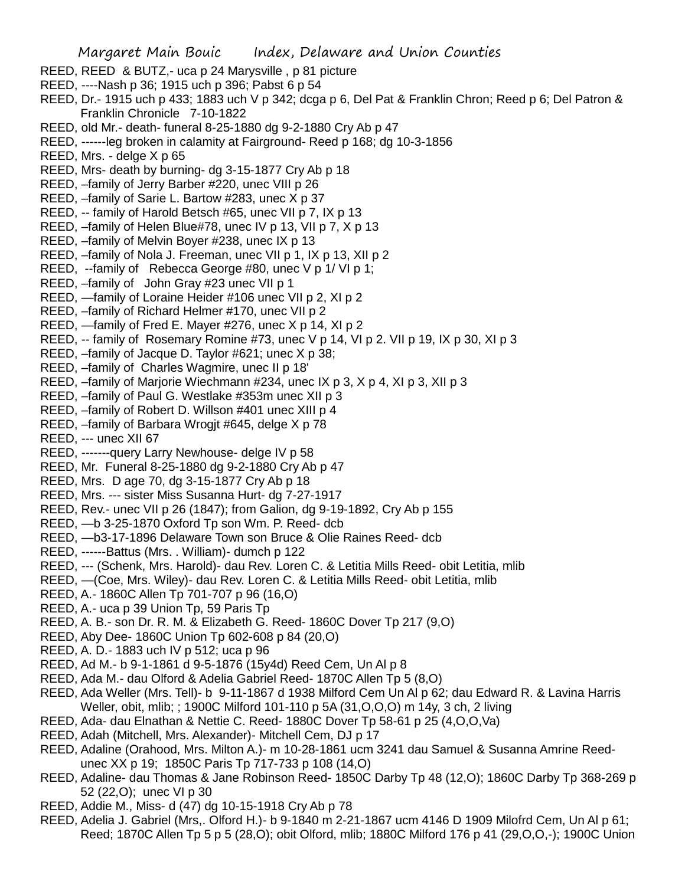Margaret Main Bouic Index, Delaware and Union Counties REED, REED & BUTZ,- uca p 24 Marysville , p 81 picture REED, ----Nash p 36; 1915 uch p 396; Pabst 6 p 54 REED, Dr.- 1915 uch p 433; 1883 uch V p 342; dcga p 6, Del Pat & Franklin Chron; Reed p 6; Del Patron & Franklin Chronicle 7-10-1822 REED, old Mr.- death- funeral 8-25-1880 dg 9-2-1880 Cry Ab p 47 REED, ------leg broken in calamity at Fairground- Reed p 168; dg 10-3-1856 REED, Mrs. - delge X p 65 REED, Mrs- death by burning- dg 3-15-1877 Cry Ab p 18 REED, –family of Jerry Barber #220, unec VIII p 26 REED, –family of Sarie L. Bartow #283, unec X p 37 REED, -- family of Harold Betsch #65, unec VII p 7, IX p 13 REED, –family of Helen Blue#78, unec IV p 13, VII p 7, X p 13 REED, –family of Melvin Boyer #238, unec IX p 13 REED, –family of Nola J. Freeman, unec VII p 1, IX p 13, XII p 2 REED, --family of Rebecca George #80, unec V p 1/ VI p 1; REED, –family of John Gray #23 unec VII p 1 REED, —family of Loraine Heider #106 unec VII p 2, XI p 2 REED, –family of Richard Helmer #170, unec VII p 2 REED, —family of Fred E. Mayer #276, unec X p 14, XI p 2 REED, -- family of Rosemary Romine #73, unec V p 14, VI p 2. VII p 19, IX p 30, XI p 3 REED, –family of Jacque D. Taylor #621; unec X p 38; REED, –family of Charles Wagmire, unec II p 18' REED, –family of Marjorie Wiechmann #234, unec IX p 3, X p 4, XI p 3, XII p 3

- REED, –family of Paul G. Westlake #353m unec XII p 3
- REED, –family of Robert D. Willson #401 unec XIII p 4
- REED, –family of Barbara Wrogjt #645, delge X p 78
- REED, --- unec XII 67
- REED, -------query Larry Newhouse- delge IV p 58
- REED, Mr. Funeral 8-25-1880 dg 9-2-1880 Cry Ab p 47
- REED, Mrs. D age 70, dg 3-15-1877 Cry Ab p 18
- REED, Mrs. --- sister Miss Susanna Hurt- dg 7-27-1917
- REED, Rev.- unec VII p 26 (1847); from Galion, dg 9-19-1892, Cry Ab p 155
- REED, —b 3-25-1870 Oxford Tp son Wm. P. Reed- dcb
- REED, —b3-17-1896 Delaware Town son Bruce & Olie Raines Reed- dcb
- REED, ------Battus (Mrs. . William)- dumch p 122
- REED, --- (Schenk, Mrs. Harold)- dau Rev. Loren C. & Letitia Mills Reed- obit Letitia, mlib
- REED, —(Coe, Mrs. Wiley)- dau Rev. Loren C. & Letitia Mills Reed- obit Letitia, mlib
- REED, A.- 1860C Allen Tp 701-707 p 96 (16,O)
- REED, A.- uca p 39 Union Tp, 59 Paris Tp
- REED, A. B.- son Dr. R. M. & Elizabeth G. Reed- 1860C Dover Tp 217 (9,O)
- REED, Aby Dee- 1860C Union Tp 602-608 p 84 (20,O)
- REED, A. D.- 1883 uch IV p 512; uca p 96
- REED, Ad M.- b 9-1-1861 d 9-5-1876 (15y4d) Reed Cem, Un Al p 8
- REED, Ada M.- dau Olford & Adelia Gabriel Reed- 1870C Allen Tp 5 (8,O)
- REED, Ada Weller (Mrs. Tell)- b 9-11-1867 d 1938 Milford Cem Un Al p 62; dau Edward R. & Lavina Harris Weller, obit, mlib; ; 1900C Milford 101-110 p 5A (31,O,O,O) m 14y, 3 ch, 2 living
- REED, Ada- dau Elnathan & Nettie C. Reed- 1880C Dover Tp 58-61 p 25 (4,O,O,Va)
- REED, Adah (Mitchell, Mrs. Alexander)- Mitchell Cem, DJ p 17
- REED, Adaline (Orahood, Mrs. Milton A.)- m 10-28-1861 ucm 3241 dau Samuel & Susanna Amrine Reedunec XX p 19; 1850C Paris Tp 717-733 p 108 (14,O)
- REED, Adaline- dau Thomas & Jane Robinson Reed- 1850C Darby Tp 48 (12,O); 1860C Darby Tp 368-269 p 52 (22,O); unec VI p 30
- REED, Addie M., Miss- d (47) dg 10-15-1918 Cry Ab p 78
- REED, Adelia J. Gabriel (Mrs,. Olford H.)- b 9-1840 m 2-21-1867 ucm 4146 D 1909 Milofrd Cem, Un Al p 61; Reed; 1870C Allen Tp 5 p 5 (28,O); obit Olford, mlib; 1880C Milford 176 p 41 (29,O,O,-); 1900C Union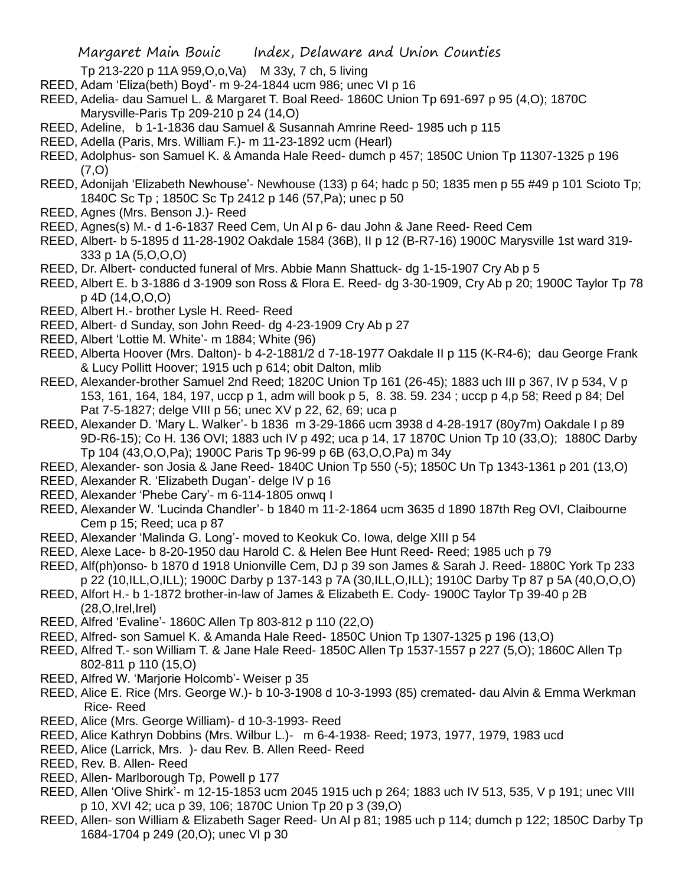Tp 213-220 p 11A 959,O,o,Va) M 33y, 7 ch, 5 living

- REED, Adam 'Eliza(beth) Boyd'- m 9-24-1844 ucm 986; unec VI p 16
- REED, Adelia- dau Samuel L. & Margaret T. Boal Reed- 1860C Union Tp 691-697 p 95 (4,O); 1870C Marysville-Paris Tp 209-210 p 24 (14,O)
- REED, Adeline, b 1-1-1836 dau Samuel & Susannah Amrine Reed- 1985 uch p 115
- REED, Adella (Paris, Mrs. William F.)- m 11-23-1892 ucm (Hearl)
- REED, Adolphus- son Samuel K. & Amanda Hale Reed- dumch p 457; 1850C Union Tp 11307-1325 p 196 (7,O)
- REED, Adonijah 'Elizabeth Newhouse'- Newhouse (133) p 64; hadc p 50; 1835 men p 55 #49 p 101 Scioto Tp; 1840C Sc Tp ; 1850C Sc Tp 2412 p 146 (57,Pa); unec p 50
- REED, Agnes (Mrs. Benson J.)- Reed
- REED, Agnes(s) M.- d 1-6-1837 Reed Cem, Un Al p 6- dau John & Jane Reed- Reed Cem
- REED, Albert- b 5-1895 d 11-28-1902 Oakdale 1584 (36B), II p 12 (B-R7-16) 1900C Marysville 1st ward 319- 333 p 1A (5,O,O,O)
- REED, Dr. Albert- conducted funeral of Mrs. Abbie Mann Shattuck- dg 1-15-1907 Cry Ab p 5
- REED, Albert E. b 3-1886 d 3-1909 son Ross & Flora E. Reed- dg 3-30-1909, Cry Ab p 20; 1900C Taylor Tp 78 p 4D (14,O,O,O)
- REED, Albert H.- brother Lysle H. Reed- Reed
- REED, Albert- d Sunday, son John Reed- dg 4-23-1909 Cry Ab p 27
- REED, Albert 'Lottie M. White'- m 1884; White (96)
- REED, Alberta Hoover (Mrs. Dalton)- b 4-2-1881/2 d 7-18-1977 Oakdale II p 115 (K-R4-6); dau George Frank & Lucy Pollitt Hoover; 1915 uch p 614; obit Dalton, mlib
- REED, Alexander-brother Samuel 2nd Reed; 1820C Union Tp 161 (26-45); 1883 uch III p 367, IV p 534, V p 153, 161, 164, 184, 197, uccp p 1, adm will book p 5, 8. 38. 59. 234 ; uccp p 4,p 58; Reed p 84; Del Pat 7-5-1827; delge VIII p 56; unec XV p 22, 62, 69; uca p
- REED, Alexander D. 'Mary L. Walker'- b 1836 m 3-29-1866 ucm 3938 d 4-28-1917 (80y7m) Oakdale I p 89 9D-R6-15); Co H. 136 OVI; 1883 uch IV p 492; uca p 14, 17 1870C Union Tp 10 (33,O); 1880C Darby Tp 104 (43,O,O,Pa); 1900C Paris Tp 96-99 p 6B (63,O,O,Pa) m 34y
- REED, Alexander- son Josia & Jane Reed- 1840C Union Tp 550 (-5); 1850C Un Tp 1343-1361 p 201 (13,O)
- REED, Alexander R. 'Elizabeth Dugan'- delge IV p 16
- REED, Alexander 'Phebe Cary'- m 6-114-1805 onwq I
- REED, Alexander W. 'Lucinda Chandler'- b 1840 m 11-2-1864 ucm 3635 d 1890 187th Reg OVI, Claibourne Cem p 15; Reed; uca p 87
- REED, Alexander 'Malinda G. Long'- moved to Keokuk Co. Iowa, delge XIII p 54
- REED, Alexe Lace- b 8-20-1950 dau Harold C. & Helen Bee Hunt Reed- Reed; 1985 uch p 79
- REED, Alf(ph)onso- b 1870 d 1918 Unionville Cem, DJ p 39 son James & Sarah J. Reed- 1880C York Tp 233 p 22 (10,ILL,O,ILL); 1900C Darby p 137-143 p 7A (30,ILL,O,ILL); 1910C Darby Tp 87 p 5A (40,O,O,O)
- REED, Alfort H.- b 1-1872 brother-in-law of James & Elizabeth E. Cody- 1900C Taylor Tp 39-40 p 2B  $(28, O, Irel, Irel)$
- REED, Alfred 'Evaline'- 1860C Allen Tp 803-812 p 110 (22,O)
- REED, Alfred- son Samuel K. & Amanda Hale Reed- 1850C Union Tp 1307-1325 p 196 (13,O)
- REED, Alfred T.- son William T. & Jane Hale Reed- 1850C Allen Tp 1537-1557 p 227 (5,O); 1860C Allen Tp 802-811 p 110 (15,O)
- REED, Alfred W. 'Marjorie Holcomb'- Weiser p 35
- REED, Alice E. Rice (Mrs. George W.)- b 10-3-1908 d 10-3-1993 (85) cremated- dau Alvin & Emma Werkman Rice- Reed
- REED, Alice (Mrs. George William)- d 10-3-1993- Reed
- REED, Alice Kathryn Dobbins (Mrs. Wilbur L.)- m 6-4-1938- Reed; 1973, 1977, 1979, 1983 ucd
- REED, Alice (Larrick, Mrs. )- dau Rev. B. Allen Reed- Reed
- REED, Rev. B. Allen- Reed
- REED, Allen- Marlborough Tp, Powell p 177
- REED, Allen 'Olive Shirk'- m 12-15-1853 ucm 2045 1915 uch p 264; 1883 uch IV 513, 535, V p 191; unec VIII p 10, XVI 42; uca p 39, 106; 1870C Union Tp 20 p 3 (39,O)
- REED, Allen- son William & Elizabeth Sager Reed- Un Al p 81; 1985 uch p 114; dumch p 122; 1850C Darby Tp 1684-1704 p 249 (20,O); unec VI p 30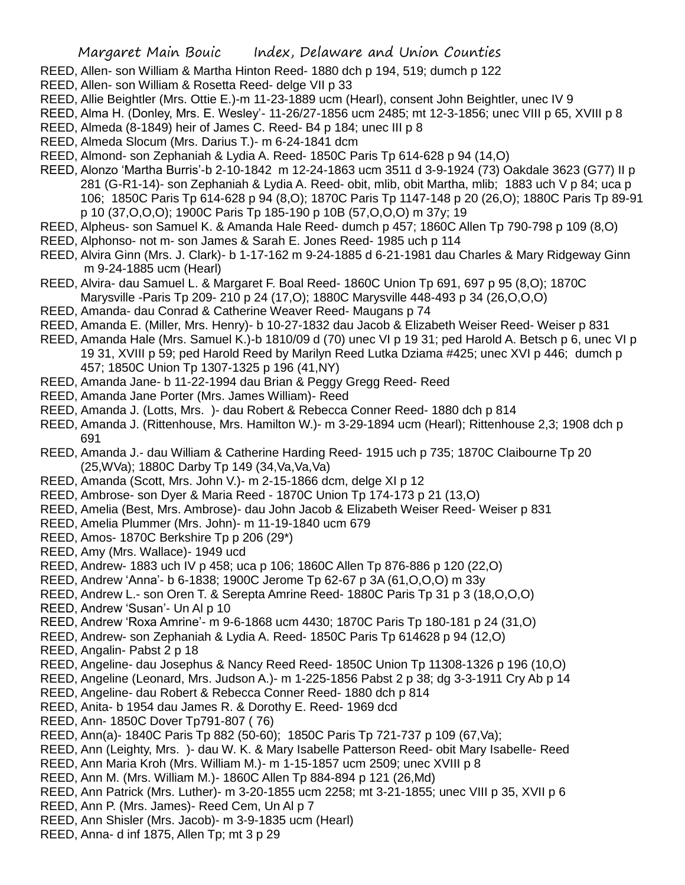- REED, Allen- son William & Martha Hinton Reed- 1880 dch p 194, 519; dumch p 122
- REED, Allen- son William & Rosetta Reed- delge VII p 33
- REED, Allie Beightler (Mrs. Ottie E.)-m 11-23-1889 ucm (Hearl), consent John Beightler, unec IV 9
- REED, Alma H. (Donley, Mrs. E. Wesley'- 11-26/27-1856 ucm 2485; mt 12-3-1856; unec VIII p 65, XVIII p 8
- REED, Almeda (8-1849) heir of James C. Reed- B4 p 184; unec III p 8
- REED, Almeda Slocum (Mrs. Darius T.)- m 6-24-1841 dcm
- REED, Almond- son Zephaniah & Lydia A. Reed- 1850C Paris Tp 614-628 p 94 (14,O)
- REED, Alonzo 'Martha Burris'-b 2-10-1842 m 12-24-1863 ucm 3511 d 3-9-1924 (73) Oakdale 3623 (G77) II p 281 (G-R1-14)- son Zephaniah & Lydia A. Reed- obit, mlib, obit Martha, mlib; 1883 uch V p 84; uca p 106; 1850C Paris Tp 614-628 p 94 (8,O); 1870C Paris Tp 1147-148 p 20 (26,O); 1880C Paris Tp 89-91 p 10 (37,O,O,O); 1900C Paris Tp 185-190 p 10B (57,O,O,O) m 37y; 19
- REED, Alpheus- son Samuel K. & Amanda Hale Reed- dumch p 457; 1860C Allen Tp 790-798 p 109 (8,O)
- REED, Alphonso- not m- son James & Sarah E. Jones Reed- 1985 uch p 114
- REED, Alvira Ginn (Mrs. J. Clark)- b 1-17-162 m 9-24-1885 d 6-21-1981 dau Charles & Mary Ridgeway Ginn m 9-24-1885 ucm (Hearl)
- REED, Alvira- dau Samuel L. & Margaret F. Boal Reed- 1860C Union Tp 691, 697 p 95 (8,O); 1870C Marysville -Paris Tp 209- 210 p 24 (17,O); 1880C Marysville 448-493 p 34 (26,O,O,O)
- REED, Amanda- dau Conrad & Catherine Weaver Reed- Maugans p 74
- REED, Amanda E. (Miller, Mrs. Henry)- b 10-27-1832 dau Jacob & Elizabeth Weiser Reed- Weiser p 831
- REED, Amanda Hale (Mrs. Samuel K.)-b 1810/09 d (70) unec VI p 19 31; ped Harold A. Betsch p 6, unec VI p 19 31, XVIII p 59; ped Harold Reed by Marilyn Reed Lutka Dziama #425; unec XVI p 446; dumch p 457; 1850C Union Tp 1307-1325 p 196 (41,NY)
- REED, Amanda Jane- b 11-22-1994 dau Brian & Peggy Gregg Reed- Reed
- REED, Amanda Jane Porter (Mrs. James William)- Reed
- REED, Amanda J. (Lotts, Mrs. )- dau Robert & Rebecca Conner Reed- 1880 dch p 814
- REED, Amanda J. (Rittenhouse, Mrs. Hamilton W.)- m 3-29-1894 ucm (Hearl); Rittenhouse 2,3; 1908 dch p 691
- REED, Amanda J.- dau William & Catherine Harding Reed- 1915 uch p 735; 1870C Claibourne Tp 20 (25,WVa); 1880C Darby Tp 149 (34,Va,Va,Va)
- REED, Amanda (Scott, Mrs. John V.)- m 2-15-1866 dcm, delge XI p 12
- REED, Ambrose- son Dyer & Maria Reed 1870C Union Tp 174-173 p 21 (13,O)
- REED, Amelia (Best, Mrs. Ambrose)- dau John Jacob & Elizabeth Weiser Reed- Weiser p 831
- REED, Amelia Plummer (Mrs. John)- m 11-19-1840 ucm 679
- REED, Amos- 1870C Berkshire Tp p 206 (29\*)
- REED, Amy (Mrs. Wallace)- 1949 ucd
- REED, Andrew- 1883 uch IV p 458; uca p 106; 1860C Allen Tp 876-886 p 120 (22,O)
- REED, Andrew 'Anna'- b 6-1838; 1900C Jerome Tp 62-67 p 3A (61,O,O,O) m 33y
- REED, Andrew L.- son Oren T. & Serepta Amrine Reed- 1880C Paris Tp 31 p 3 (18,O,O,O)
- REED, Andrew 'Susan'- Un Al p 10
- REED, Andrew 'Roxa Amrine'- m 9-6-1868 ucm 4430; 1870C Paris Tp 180-181 p 24 (31,O)
- REED, Andrew- son Zephaniah & Lydia A. Reed- 1850C Paris Tp 614628 p 94 (12,O)
- REED, Angalin- Pabst 2 p 18
- REED, Angeline- dau Josephus & Nancy Reed Reed- 1850C Union Tp 11308-1326 p 196 (10,O)
- REED, Angeline (Leonard, Mrs. Judson A.)- m 1-225-1856 Pabst 2 p 38; dg 3-3-1911 Cry Ab p 14
- REED, Angeline- dau Robert & Rebecca Conner Reed- 1880 dch p 814
- REED, Anita- b 1954 dau James R. & Dorothy E. Reed- 1969 dcd
- REED, Ann- 1850C Dover Tp791-807 ( 76)
- REED, Ann(a)- 1840C Paris Tp 882 (50-60); 1850C Paris Tp 721-737 p 109 (67,Va);
- REED, Ann (Leighty, Mrs. )- dau W. K. & Mary Isabelle Patterson Reed- obit Mary Isabelle- Reed
- REED, Ann Maria Kroh (Mrs. William M.)- m 1-15-1857 ucm 2509; unec XVIII p 8
- REED, Ann M. (Mrs. William M.)- 1860C Allen Tp 884-894 p 121 (26,Md)
- REED, Ann Patrick (Mrs. Luther)- m 3-20-1855 ucm 2258; mt 3-21-1855; unec VIII p 35, XVII p 6
- REED, Ann P. (Mrs. James)- Reed Cem, Un Al p 7
- REED, Ann Shisler (Mrs. Jacob)- m 3-9-1835 ucm (Hearl)
- REED, Anna- d inf 1875, Allen Tp; mt 3 p 29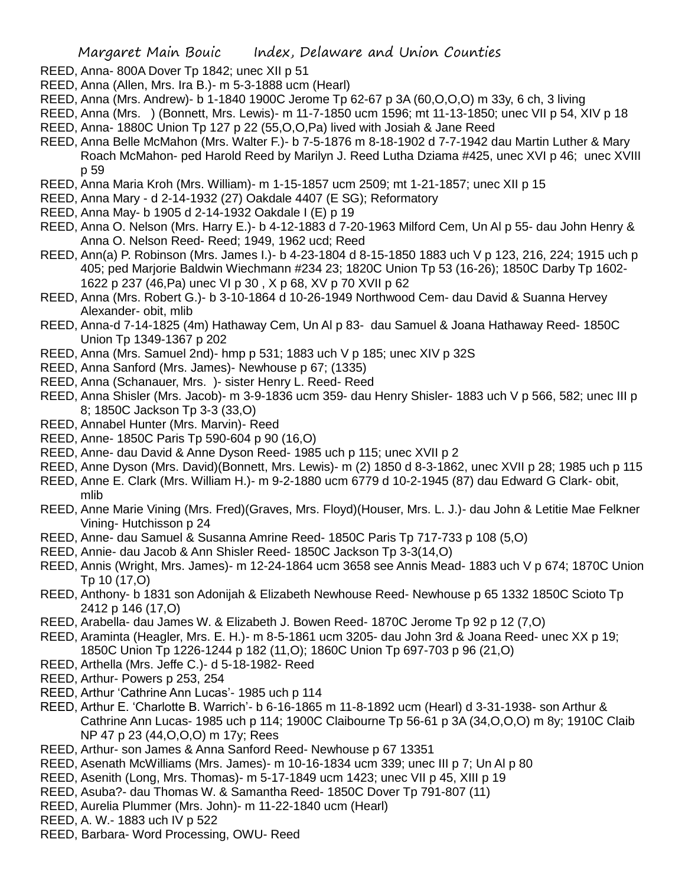- REED, Anna- 800A Dover Tp 1842; unec XII p 51
- REED, Anna (Allen, Mrs. Ira B.)- m 5-3-1888 ucm (Hearl)
- REED, Anna (Mrs. Andrew)- b 1-1840 1900C Jerome Tp 62-67 p 3A (60,O,O,O) m 33y, 6 ch, 3 living
- REED, Anna (Mrs. ) (Bonnett, Mrs. Lewis)- m 11-7-1850 ucm 1596; mt 11-13-1850; unec VII p 54, XIV p 18 REED, Anna- 1880C Union Tp 127 p 22 (55,O,O,Pa) lived with Josiah & Jane Reed
- REED, Anna Belle McMahon (Mrs. Walter F.)- b 7-5-1876 m 8-18-1902 d 7-7-1942 dau Martin Luther & Mary Roach McMahon- ped Harold Reed by Marilyn J. Reed Lutha Dziama #425, unec XVI p 46; unec XVIII p 59
- REED, Anna Maria Kroh (Mrs. William)- m 1-15-1857 ucm 2509; mt 1-21-1857; unec XII p 15
- REED, Anna Mary d 2-14-1932 (27) Oakdale 4407 (E SG); Reformatory
- REED, Anna May- b 1905 d 2-14-1932 Oakdale I (E) p 19
- REED, Anna O. Nelson (Mrs. Harry E.)- b 4-12-1883 d 7-20-1963 Milford Cem, Un Al p 55- dau John Henry & Anna O. Nelson Reed- Reed; 1949, 1962 ucd; Reed
- REED, Ann(a) P. Robinson (Mrs. James I.)- b 4-23-1804 d 8-15-1850 1883 uch V p 123, 216, 224; 1915 uch p 405; ped Marjorie Baldwin Wiechmann #234 23; 1820C Union Tp 53 (16-26); 1850C Darby Tp 1602- 1622 p 237 (46,Pa) unec VI p 30 , X p 68, XV p 70 XVII p 62
- REED, Anna (Mrs. Robert G.)- b 3-10-1864 d 10-26-1949 Northwood Cem- dau David & Suanna Hervey Alexander- obit, mlib
- REED, Anna-d 7-14-1825 (4m) Hathaway Cem, Un Al p 83- dau Samuel & Joana Hathaway Reed- 1850C Union Tp 1349-1367 p 202
- REED, Anna (Mrs. Samuel 2nd)- hmp p 531; 1883 uch V p 185; unec XIV p 32S
- REED, Anna Sanford (Mrs. James)- Newhouse p 67; (1335)
- REED, Anna (Schanauer, Mrs. )- sister Henry L. Reed- Reed
- REED, Anna Shisler (Mrs. Jacob)- m 3-9-1836 ucm 359- dau Henry Shisler- 1883 uch V p 566, 582; unec III p 8; 1850C Jackson Tp 3-3 (33,O)
- REED, Annabel Hunter (Mrs. Marvin)- Reed
- REED, Anne- 1850C Paris Tp 590-604 p 90 (16,O)
- REED, Anne- dau David & Anne Dyson Reed- 1985 uch p 115; unec XVII p 2
- REED, Anne Dyson (Mrs. David)(Bonnett, Mrs. Lewis)- m (2) 1850 d 8-3-1862, unec XVII p 28; 1985 uch p 115
- REED, Anne E. Clark (Mrs. William H.)- m 9-2-1880 ucm 6779 d 10-2-1945 (87) dau Edward G Clark- obit, mlib
- REED, Anne Marie Vining (Mrs. Fred)(Graves, Mrs. Floyd)(Houser, Mrs. L. J.)- dau John & Letitie Mae Felkner Vining- Hutchisson p 24
- REED, Anne- dau Samuel & Susanna Amrine Reed- 1850C Paris Tp 717-733 p 108 (5,O)
- REED, Annie- dau Jacob & Ann Shisler Reed- 1850C Jackson Tp 3-3(14,O)
- REED, Annis (Wright, Mrs. James)- m 12-24-1864 ucm 3658 see Annis Mead- 1883 uch V p 674; 1870C Union Tp 10 (17,O)
- REED, Anthony- b 1831 son Adonijah & Elizabeth Newhouse Reed- Newhouse p 65 1332 1850C Scioto Tp 2412 p 146 (17,O)
- REED, Arabella- dau James W. & Elizabeth J. Bowen Reed- 1870C Jerome Tp 92 p 12 (7,O)
- REED, Araminta (Heagler, Mrs. E. H.)- m 8-5-1861 ucm 3205- dau John 3rd & Joana Reed- unec XX p 19; 1850C Union Tp 1226-1244 p 182 (11,O); 1860C Union Tp 697-703 p 96 (21,O)
- REED, Arthella (Mrs. Jeffe C.)- d 5-18-1982- Reed
- REED, Arthur- Powers p 253, 254
- REED, Arthur 'Cathrine Ann Lucas'- 1985 uch p 114
- REED, Arthur E. 'Charlotte B. Warrich'- b 6-16-1865 m 11-8-1892 ucm (Hearl) d 3-31-1938- son Arthur & Cathrine Ann Lucas- 1985 uch p 114; 1900C Claibourne Tp 56-61 p 3A (34,O,O,O) m 8y; 1910C Claib NP 47 p 23 (44,O,O,O) m 17y; Rees
- REED, Arthur- son James & Anna Sanford Reed- Newhouse p 67 13351
- REED, Asenath McWilliams (Mrs. James)- m 10-16-1834 ucm 339; unec III p 7; Un Al p 80
- REED, Asenith (Long, Mrs. Thomas)- m 5-17-1849 ucm 1423; unec VII p 45, XIII p 19
- REED, Asuba?- dau Thomas W. & Samantha Reed- 1850C Dover Tp 791-807 (11)
- REED, Aurelia Plummer (Mrs. John)- m 11-22-1840 ucm (Hearl)
- REED, A. W.- 1883 uch IV p 522
- REED, Barbara- Word Processing, OWU- Reed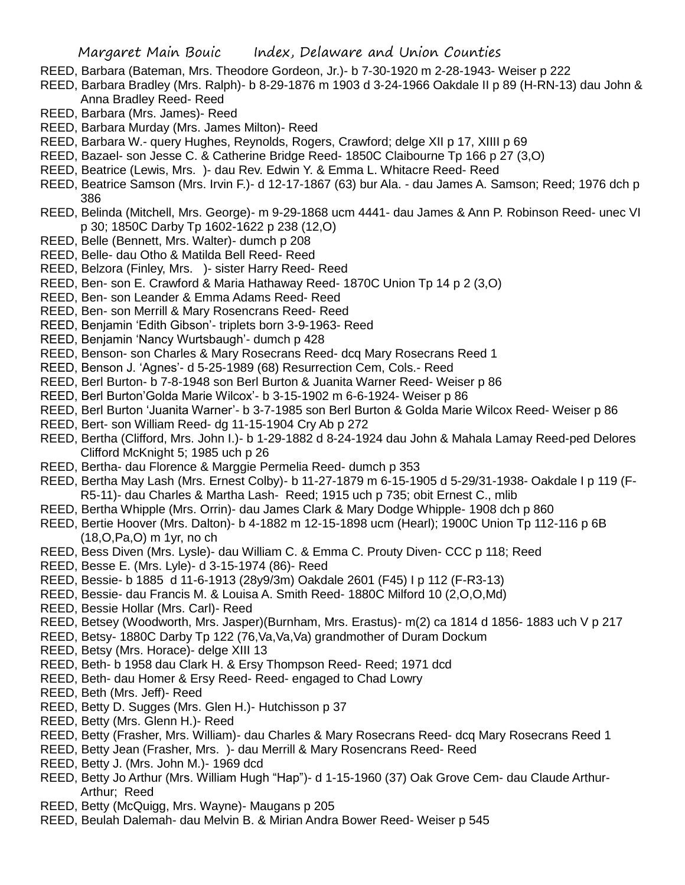- REED, Barbara (Bateman, Mrs. Theodore Gordeon, Jr.)- b 7-30-1920 m 2-28-1943- Weiser p 222
- REED, Barbara Bradley (Mrs. Ralph)- b 8-29-1876 m 1903 d 3-24-1966 Oakdale II p 89 (H-RN-13) dau John & Anna Bradley Reed- Reed
- REED, Barbara (Mrs. James)- Reed
- REED, Barbara Murday (Mrs. James Milton)- Reed
- REED, Barbara W.- query Hughes, Reynolds, Rogers, Crawford; delge XII p 17, XIIII p 69
- REED, Bazael- son Jesse C. & Catherine Bridge Reed- 1850C Claibourne Tp 166 p 27 (3,O)
- REED, Beatrice (Lewis, Mrs. )- dau Rev. Edwin Y. & Emma L. Whitacre Reed- Reed
- REED, Beatrice Samson (Mrs. Irvin F.)- d 12-17-1867 (63) bur Ala. dau James A. Samson; Reed; 1976 dch p 386
- REED, Belinda (Mitchell, Mrs. George)- m 9-29-1868 ucm 4441- dau James & Ann P. Robinson Reed- unec VI p 30; 1850C Darby Tp 1602-1622 p 238 (12,O)
- REED, Belle (Bennett, Mrs. Walter)- dumch p 208
- REED, Belle- dau Otho & Matilda Bell Reed- Reed
- REED, Belzora (Finley, Mrs. )- sister Harry Reed- Reed
- REED, Ben- son E. Crawford & Maria Hathaway Reed- 1870C Union Tp 14 p 2 (3,O)
- REED, Ben- son Leander & Emma Adams Reed- Reed
- REED, Ben- son Merrill & Mary Rosencrans Reed- Reed
- REED, Benjamin 'Edith Gibson'- triplets born 3-9-1963- Reed
- REED, Benjamin 'Nancy Wurtsbaugh'- dumch p 428
- REED, Benson- son Charles & Mary Rosecrans Reed- dcq Mary Rosecrans Reed 1
- REED, Benson J. 'Agnes'- d 5-25-1989 (68) Resurrection Cem, Cols.- Reed
- REED, Berl Burton- b 7-8-1948 son Berl Burton & Juanita Warner Reed- Weiser p 86
- REED, Berl Burton'Golda Marie Wilcox'- b 3-15-1902 m 6-6-1924- Weiser p 86
- REED, Berl Burton 'Juanita Warner'- b 3-7-1985 son Berl Burton & Golda Marie Wilcox Reed- Weiser p 86
- REED, Bert- son William Reed- dg 11-15-1904 Cry Ab p 272
- REED, Bertha (Clifford, Mrs. John I.)- b 1-29-1882 d 8-24-1924 dau John & Mahala Lamay Reed-ped Delores Clifford McKnight 5; 1985 uch p 26
- REED, Bertha- dau Florence & Marggie Permelia Reed- dumch p 353
- REED, Bertha May Lash (Mrs. Ernest Colby)- b 11-27-1879 m 6-15-1905 d 5-29/31-1938- Oakdale I p 119 (F-R5-11)- dau Charles & Martha Lash- Reed; 1915 uch p 735; obit Ernest C., mlib
- REED, Bertha Whipple (Mrs. Orrin)- dau James Clark & Mary Dodge Whipple- 1908 dch p 860
- REED, Bertie Hoover (Mrs. Dalton)- b 4-1882 m 12-15-1898 ucm (Hearl); 1900C Union Tp 112-116 p 6B (18,O,Pa,O) m 1yr, no ch
- REED, Bess Diven (Mrs. Lysle)- dau William C. & Emma C. Prouty Diven- CCC p 118; Reed
- REED, Besse E. (Mrs. Lyle)- d 3-15-1974 (86)- Reed
- REED, Bessie- b 1885 d 11-6-1913 (28y9/3m) Oakdale 2601 (F45) I p 112 (F-R3-13)
- REED, Bessie- dau Francis M. & Louisa A. Smith Reed- 1880C Milford 10 (2,O,O,Md)
- REED, Bessie Hollar (Mrs. Carl)- Reed
- REED, Betsey (Woodworth, Mrs. Jasper)(Burnham, Mrs. Erastus)- m(2) ca 1814 d 1856- 1883 uch V p 217
- REED, Betsy- 1880C Darby Tp 122 (76,Va,Va,Va) grandmother of Duram Dockum
- REED, Betsy (Mrs. Horace)- delge XIII 13
- REED, Beth- b 1958 dau Clark H. & Ersy Thompson Reed- Reed; 1971 dcd
- REED, Beth- dau Homer & Ersy Reed- Reed- engaged to Chad Lowry
- REED, Beth (Mrs. Jeff)- Reed
- REED, Betty D. Sugges (Mrs. Glen H.)- Hutchisson p 37
- REED, Betty (Mrs. Glenn H.)- Reed
- REED, Betty (Frasher, Mrs. William)- dau Charles & Mary Rosecrans Reed- dcq Mary Rosecrans Reed 1
- REED, Betty Jean (Frasher, Mrs. )- dau Merrill & Mary Rosencrans Reed- Reed
- REED, Betty J. (Mrs. John M.)- 1969 dcd
- REED, Betty Jo Arthur (Mrs. William Hugh "Hap")- d 1-15-1960 (37) Oak Grove Cem- dau Claude Arthur-Arthur; Reed
- REED, Betty (McQuigg, Mrs. Wayne)- Maugans p 205
- REED, Beulah Dalemah- dau Melvin B. & Mirian Andra Bower Reed- Weiser p 545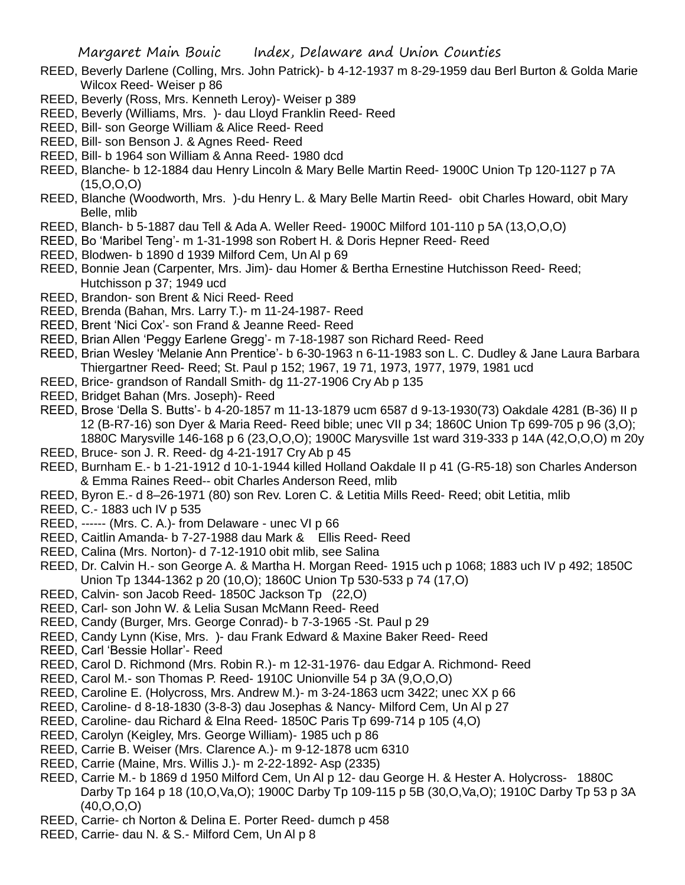- REED, Beverly Darlene (Colling, Mrs. John Patrick)- b 4-12-1937 m 8-29-1959 dau Berl Burton & Golda Marie Wilcox Reed- Weiser p 86
- REED, Beverly (Ross, Mrs. Kenneth Leroy)- Weiser p 389
- REED, Beverly (Williams, Mrs. )- dau Lloyd Franklin Reed- Reed
- REED, Bill- son George William & Alice Reed- Reed
- REED, Bill- son Benson J. & Agnes Reed- Reed
- REED, Bill- b 1964 son William & Anna Reed- 1980 dcd
- REED, Blanche- b 12-1884 dau Henry Lincoln & Mary Belle Martin Reed- 1900C Union Tp 120-1127 p 7A (15,O,O,O)
- REED, Blanche (Woodworth, Mrs. )-du Henry L. & Mary Belle Martin Reed- obit Charles Howard, obit Mary Belle, mlib
- REED, Blanch- b 5-1887 dau Tell & Ada A. Weller Reed- 1900C Milford 101-110 p 5A (13,O,O,O)
- REED, Bo 'Maribel Teng'- m 1-31-1998 son Robert H. & Doris Hepner Reed- Reed
- REED, Blodwen- b 1890 d 1939 Milford Cem, Un Al p 69
- REED, Bonnie Jean (Carpenter, Mrs. Jim)- dau Homer & Bertha Ernestine Hutchisson Reed- Reed; Hutchisson p 37; 1949 ucd
- REED, Brandon- son Brent & Nici Reed- Reed
- REED, Brenda (Bahan, Mrs. Larry T.)- m 11-24-1987- Reed
- REED, Brent 'Nici Cox'- son Frand & Jeanne Reed- Reed
- REED, Brian Allen 'Peggy Earlene Gregg'- m 7-18-1987 son Richard Reed- Reed
- REED, Brian Wesley 'Melanie Ann Prentice'- b 6-30-1963 n 6-11-1983 son L. C. Dudley & Jane Laura Barbara Thiergartner Reed- Reed; St. Paul p 152; 1967, 19 71, 1973, 1977, 1979, 1981 ucd
- REED, Brice- grandson of Randall Smith- dg 11-27-1906 Cry Ab p 135
- REED, Bridget Bahan (Mrs. Joseph)- Reed
- REED, Brose 'Della S. Butts'- b 4-20-1857 m 11-13-1879 ucm 6587 d 9-13-1930(73) Oakdale 4281 (B-36) II p 12 (B-R7-16) son Dyer & Maria Reed- Reed bible; unec VII p 34; 1860C Union Tp 699-705 p 96 (3,O); 1880C Marysville 146-168 p 6 (23,O,O,O); 1900C Marysville 1st ward 319-333 p 14A (42,O,O,O) m 20y
- REED, Bruce- son J. R. Reed- dg 4-21-1917 Cry Ab p 45
- REED, Burnham E.- b 1-21-1912 d 10-1-1944 killed Holland Oakdale II p 41 (G-R5-18) son Charles Anderson & Emma Raines Reed-- obit Charles Anderson Reed, mlib
- REED, Byron E.- d 8–26-1971 (80) son Rev. Loren C. & Letitia Mills Reed- Reed; obit Letitia, mlib
- REED, C.- 1883 uch IV p 535
- REED, ------ (Mrs. C. A.)- from Delaware unec VI p 66
- REED, Caitlin Amanda- b 7-27-1988 dau Mark & Ellis Reed- Reed
- REED, Calina (Mrs. Norton)- d 7-12-1910 obit mlib, see Salina
- REED, Dr. Calvin H.- son George A. & Martha H. Morgan Reed- 1915 uch p 1068; 1883 uch IV p 492; 1850C Union Tp 1344-1362 p 20 (10,O); 1860C Union Tp 530-533 p 74 (17,O)
- REED, Calvin- son Jacob Reed- 1850C Jackson Tp (22,O)
- REED, Carl- son John W. & Lelia Susan McMann Reed- Reed
- REED, Candy (Burger, Mrs. George Conrad)- b 7-3-1965 -St. Paul p 29
- REED, Candy Lynn (Kise, Mrs. )- dau Frank Edward & Maxine Baker Reed- Reed
- REED, Carl 'Bessie Hollar'- Reed
- REED, Carol D. Richmond (Mrs. Robin R.)- m 12-31-1976- dau Edgar A. Richmond- Reed
- REED, Carol M.- son Thomas P. Reed- 1910C Unionville 54 p 3A (9,O,O,O)
- REED, Caroline E. (Holycross, Mrs. Andrew M.)- m 3-24-1863 ucm 3422; unec XX p 66
- REED, Caroline- d 8-18-1830 (3-8-3) dau Josephas & Nancy- Milford Cem, Un Al p 27
- REED, Caroline- dau Richard & Elna Reed- 1850C Paris Tp 699-714 p 105 (4,O)
- REED, Carolyn (Keigley, Mrs. George William)- 1985 uch p 86
- REED, Carrie B. Weiser (Mrs. Clarence A.)- m 9-12-1878 ucm 6310
- REED, Carrie (Maine, Mrs. Willis J.)- m 2-22-1892- Asp (2335)
- REED, Carrie M.- b 1869 d 1950 Milford Cem, Un Al p 12- dau George H. & Hester A. Holycross- 1880C Darby Tp 164 p 18 (10,O,Va,O); 1900C Darby Tp 109-115 p 5B (30,O,Va,O); 1910C Darby Tp 53 p 3A (40,O,O,O)
- REED, Carrie- ch Norton & Delina E. Porter Reed- dumch p 458
- REED, Carrie- dau N. & S.- Milford Cem, Un Al p 8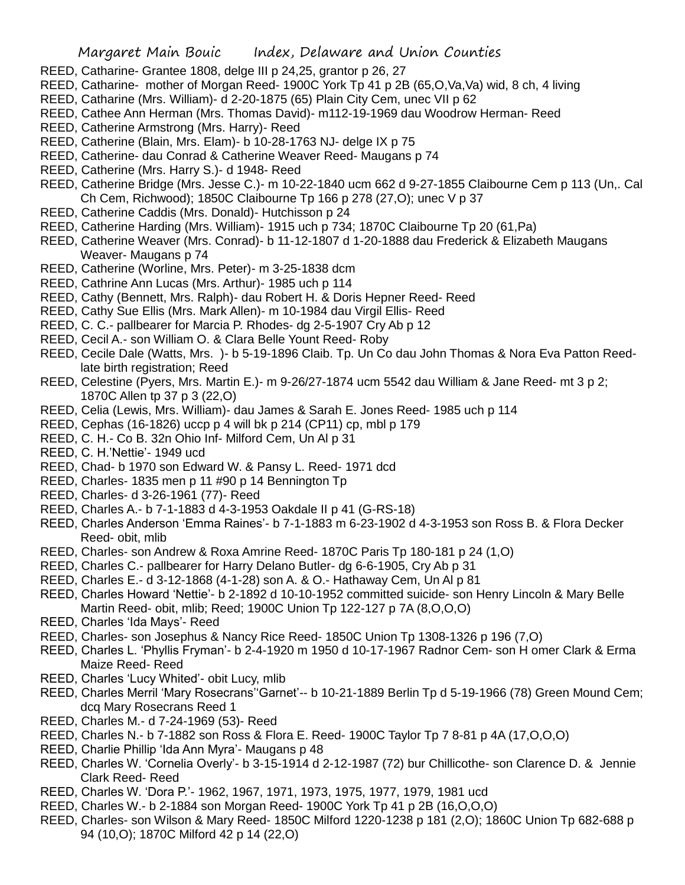- REED, Catharine- Grantee 1808, delge III p 24,25, grantor p 26, 27
- REED, Catharine- mother of Morgan Reed- 1900C York Tp 41 p 2B (65, O, Va, Va) wid, 8 ch, 4 living
- REED, Catharine (Mrs. William)- d 2-20-1875 (65) Plain City Cem, unec VII p 62
- REED, Cathee Ann Herman (Mrs. Thomas David)- m112-19-1969 dau Woodrow Herman- Reed
- REED, Catherine Armstrong (Mrs. Harry)- Reed
- REED, Catherine (Blain, Mrs. Elam)- b 10-28-1763 NJ- delge IX p 75
- REED, Catherine- dau Conrad & Catherine Weaver Reed- Maugans p 74
- REED, Catherine (Mrs. Harry S.)- d 1948- Reed
- REED, Catherine Bridge (Mrs. Jesse C.)- m 10-22-1840 ucm 662 d 9-27-1855 Claibourne Cem p 113 (Un,. Cal Ch Cem, Richwood); 1850C Claibourne Tp 166 p 278 (27,O); unec V p 37
- REED, Catherine Caddis (Mrs. Donald)- Hutchisson p 24
- REED, Catherine Harding (Mrs. William)- 1915 uch p 734; 1870C Claibourne Tp 20 (61,Pa)
- REED, Catherine Weaver (Mrs. Conrad)- b 11-12-1807 d 1-20-1888 dau Frederick & Elizabeth Maugans Weaver- Maugans p 74
- REED, Catherine (Worline, Mrs. Peter)- m 3-25-1838 dcm
- REED, Cathrine Ann Lucas (Mrs. Arthur)- 1985 uch p 114
- REED, Cathy (Bennett, Mrs. Ralph)- dau Robert H. & Doris Hepner Reed- Reed
- REED, Cathy Sue Ellis (Mrs. Mark Allen)- m 10-1984 dau Virgil Ellis- Reed
- REED, C. C.- pallbearer for Marcia P. Rhodes- dg 2-5-1907 Cry Ab p 12
- REED, Cecil A.- son William O. & Clara Belle Yount Reed- Roby
- REED, Cecile Dale (Watts, Mrs. )- b 5-19-1896 Claib. Tp. Un Co dau John Thomas & Nora Eva Patton Reedlate birth registration; Reed
- REED, Celestine (Pyers, Mrs. Martin E.)- m 9-26/27-1874 ucm 5542 dau William & Jane Reed- mt 3 p 2; 1870C Allen tp 37 p 3 (22,O)
- REED, Celia (Lewis, Mrs. William)- dau James & Sarah E. Jones Reed- 1985 uch p 114
- REED, Cephas (16-1826) uccp p 4 will bk p 214 (CP11) cp, mbl p 179
- REED, C. H.- Co B. 32n Ohio Inf- Milford Cem, Un Al p 31
- REED, C. H.'Nettie'- 1949 ucd
- REED, Chad- b 1970 son Edward W. & Pansy L. Reed- 1971 dcd
- REED, Charles- 1835 men p 11 #90 p 14 Bennington Tp
- REED, Charles- d 3-26-1961 (77)- Reed
- REED, Charles A.- b 7-1-1883 d 4-3-1953 Oakdale II p 41 (G-RS-18)
- REED, Charles Anderson 'Emma Raines'- b 7-1-1883 m 6-23-1902 d 4-3-1953 son Ross B. & Flora Decker Reed- obit, mlib
- REED, Charles- son Andrew & Roxa Amrine Reed- 1870C Paris Tp 180-181 p 24 (1,O)
- REED, Charles C.- pallbearer for Harry Delano Butler- dg 6-6-1905, Cry Ab p 31
- REED, Charles E.- d 3-12-1868 (4-1-28) son A. & O.- Hathaway Cem, Un Al p 81
- REED, Charles Howard 'Nettie'- b 2-1892 d 10-10-1952 committed suicide- son Henry Lincoln & Mary Belle Martin Reed- obit, mlib; Reed; 1900C Union Tp 122-127 p 7A (8,O,O,O)
- REED, Charles 'Ida Mays'- Reed
- REED, Charles- son Josephus & Nancy Rice Reed- 1850C Union Tp 1308-1326 p 196 (7,O)
- REED, Charles L. 'Phyllis Fryman'- b 2-4-1920 m 1950 d 10-17-1967 Radnor Cem- son H omer Clark & Erma Maize Reed- Reed
- REED, Charles 'Lucy Whited'- obit Lucy, mlib
- REED, Charles Merril 'Mary Rosecrans''Garnet'-- b 10-21-1889 Berlin Tp d 5-19-1966 (78) Green Mound Cem; dcq Mary Rosecrans Reed 1
- REED, Charles M.- d 7-24-1969 (53)- Reed
- REED, Charles N.- b 7-1882 son Ross & Flora E. Reed- 1900C Taylor Tp 7 8-81 p 4A (17,O,O,O)
- REED, Charlie Phillip 'Ida Ann Myra'- Maugans p 48
- REED, Charles W. 'Cornelia Overly'- b 3-15-1914 d 2-12-1987 (72) bur Chillicothe- son Clarence D. & Jennie Clark Reed- Reed
- REED, Charles W. 'Dora P.'- 1962, 1967, 1971, 1973, 1975, 1977, 1979, 1981 ucd
- REED, Charles W.- b 2-1884 son Morgan Reed- 1900C York Tp 41 p 2B (16,O,O,O)
- REED, Charles- son Wilson & Mary Reed- 1850C Milford 1220-1238 p 181 (2,O); 1860C Union Tp 682-688 p 94 (10,O); 1870C Milford 42 p 14 (22,O)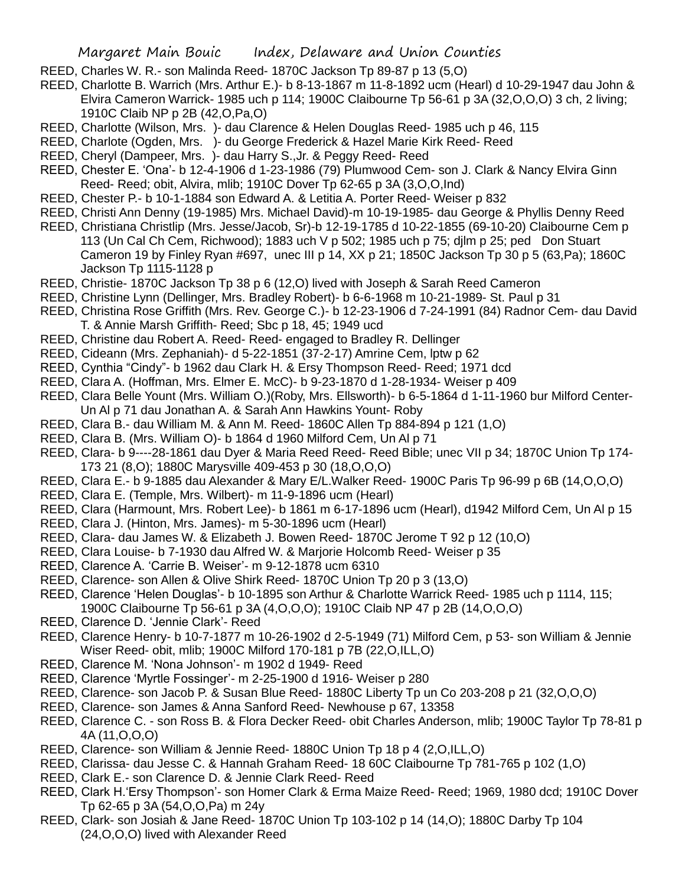- REED, Charles W. R.- son Malinda Reed- 1870C Jackson Tp 89-87 p 13 (5,O)
- REED, Charlotte B. Warrich (Mrs. Arthur E.)- b 8-13-1867 m 11-8-1892 ucm (Hearl) d 10-29-1947 dau John & Elvira Cameron Warrick- 1985 uch p 114; 1900C Claibourne Tp 56-61 p 3A (32,O,O,O) 3 ch, 2 living; 1910C Claib NP p 2B (42,O,Pa,O)
- REED, Charlotte (Wilson, Mrs. )- dau Clarence & Helen Douglas Reed- 1985 uch p 46, 115
- REED, Charlote (Ogden, Mrs. )- du George Frederick & Hazel Marie Kirk Reed- Reed
- REED, Cheryl (Dampeer, Mrs. )- dau Harry S.,Jr. & Peggy Reed- Reed
- REED, Chester E. 'Ona'- b 12-4-1906 d 1-23-1986 (79) Plumwood Cem- son J. Clark & Nancy Elvira Ginn Reed- Reed; obit, Alvira, mlib; 1910C Dover Tp 62-65 p 3A (3,O,O,Ind)
- REED, Chester P.- b 10-1-1884 son Edward A. & Letitia A. Porter Reed- Weiser p 832
- REED, Christi Ann Denny (19-1985) Mrs. Michael David)-m 10-19-1985- dau George & Phyllis Denny Reed
- REED, Christiana Christlip (Mrs. Jesse/Jacob, Sr)-b 12-19-1785 d 10-22-1855 (69-10-20) Claibourne Cem p 113 (Un Cal Ch Cem, Richwood); 1883 uch V p 502; 1985 uch p 75; djlm p 25; ped Don Stuart Cameron 19 by Finley Ryan #697, unec III p 14, XX p 21; 1850C Jackson Tp 30 p 5 (63,Pa); 1860C Jackson Tp 1115-1128 p
- REED, Christie- 1870C Jackson Tp 38 p 6 (12,O) lived with Joseph & Sarah Reed Cameron
- REED, Christine Lynn (Dellinger, Mrs. Bradley Robert)- b 6-6-1968 m 10-21-1989- St. Paul p 31
- REED, Christina Rose Griffith (Mrs. Rev. George C.)- b 12-23-1906 d 7-24-1991 (84) Radnor Cem- dau David T. & Annie Marsh Griffith- Reed; Sbc p 18, 45; 1949 ucd
- REED, Christine dau Robert A. Reed- Reed- engaged to Bradley R. Dellinger
- REED, Cideann (Mrs. Zephaniah)- d 5-22-1851 (37-2-17) Amrine Cem, lptw p 62
- REED, Cynthia "Cindy"- b 1962 dau Clark H. & Ersy Thompson Reed- Reed; 1971 dcd
- REED, Clara A. (Hoffman, Mrs. Elmer E. McC)- b 9-23-1870 d 1-28-1934- Weiser p 409
- REED, Clara Belle Yount (Mrs. William O.)(Roby, Mrs. Ellsworth)- b 6-5-1864 d 1-11-1960 bur Milford Center-Un Al p 71 dau Jonathan A. & Sarah Ann Hawkins Yount- Roby
- REED, Clara B.- dau William M. & Ann M. Reed- 1860C Allen Tp 884-894 p 121 (1,O)
- REED, Clara B. (Mrs. William O)- b 1864 d 1960 Milford Cem, Un Al p 71
- REED, Clara- b 9----28-1861 dau Dyer & Maria Reed Reed- Reed Bible; unec VII p 34; 1870C Union Tp 174- 173 21 (8,O); 1880C Marysville 409-453 p 30 (18,O,O,O)
- REED, Clara E.- b 9-1885 dau Alexander & Mary E/L.Walker Reed- 1900C Paris Tp 96-99 p 6B (14,O,O,O)
- REED, Clara E. (Temple, Mrs. Wilbert)- m 11-9-1896 ucm (Hearl)
- REED, Clara (Harmount, Mrs. Robert Lee)- b 1861 m 6-17-1896 ucm (Hearl), d1942 Milford Cem, Un Al p 15
- REED, Clara J. (Hinton, Mrs. James)- m 5-30-1896 ucm (Hearl)
- REED, Clara- dau James W. & Elizabeth J. Bowen Reed- 1870C Jerome T 92 p 12 (10,O)
- REED, Clara Louise- b 7-1930 dau Alfred W. & Marjorie Holcomb Reed- Weiser p 35
- REED, Clarence A. 'Carrie B. Weiser'- m 9-12-1878 ucm 6310
- REED, Clarence- son Allen & Olive Shirk Reed- 1870C Union Tp 20 p 3 (13,O)
- REED, Clarence 'Helen Douglas'- b 10-1895 son Arthur & Charlotte Warrick Reed- 1985 uch p 1114, 115; 1900C Claibourne Tp 56-61 p 3A (4,O,O,O); 1910C Claib NP 47 p 2B (14,O,O,O)
- REED, Clarence D. 'Jennie Clark'- Reed
- REED, Clarence Henry- b 10-7-1877 m 10-26-1902 d 2-5-1949 (71) Milford Cem, p 53- son William & Jennie Wiser Reed- obit, mlib; 1900C Milford 170-181 p 7B (22,O,ILL,O)
- REED, Clarence M. 'Nona Johnson'- m 1902 d 1949- Reed
- REED, Clarence 'Myrtle Fossinger'- m 2-25-1900 d 1916- Weiser p 280
- REED, Clarence- son Jacob P. & Susan Blue Reed- 1880C Liberty Tp un Co 203-208 p 21 (32,O,O,O)
- REED, Clarence- son James & Anna Sanford Reed- Newhouse p 67, 13358
- REED, Clarence C. son Ross B. & Flora Decker Reed- obit Charles Anderson, mlib; 1900C Taylor Tp 78-81 p 4A (11,O,O,O)
- REED, Clarence- son William & Jennie Reed- 1880C Union Tp 18 p 4 (2,O,ILL,O)
- REED, Clarissa- dau Jesse C. & Hannah Graham Reed- 18 60C Claibourne Tp 781-765 p 102 (1,O)
- REED, Clark E.- son Clarence D. & Jennie Clark Reed- Reed
- REED, Clark H.'Ersy Thompson'- son Homer Clark & Erma Maize Reed- Reed; 1969, 1980 dcd; 1910C Dover Tp 62-65 p 3A (54,O,O,Pa) m 24y
- REED, Clark- son Josiah & Jane Reed- 1870C Union Tp 103-102 p 14 (14,O); 1880C Darby Tp 104 (24,O,O,O) lived with Alexander Reed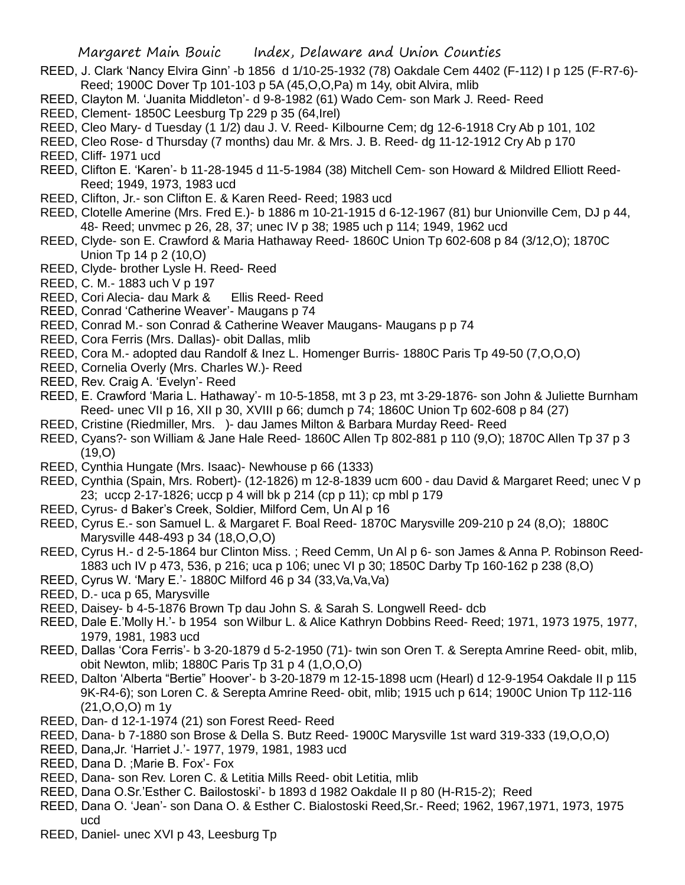- REED, J. Clark 'Nancy Elvira Ginn' -b 1856 d 1/10-25-1932 (78) Oakdale Cem 4402 (F-112) I p 125 (F-R7-6)- Reed; 1900C Dover Tp 101-103 p 5A (45,O,O,Pa) m 14y, obit Alvira, mlib
- REED, Clayton M. 'Juanita Middleton'- d 9-8-1982 (61) Wado Cem- son Mark J. Reed- Reed
- REED, Clement- 1850C Leesburg Tp 229 p 35 (64,Irel)
- REED, Cleo Mary- d Tuesday (1 1/2) dau J. V. Reed- Kilbourne Cem; dg 12-6-1918 Cry Ab p 101, 102
- REED, Cleo Rose- d Thursday (7 months) dau Mr. & Mrs. J. B. Reed- dg 11-12-1912 Cry Ab p 170
- REED, Cliff- 1971 ucd
- REED, Clifton E. 'Karen'- b 11-28-1945 d 11-5-1984 (38) Mitchell Cem- son Howard & Mildred Elliott Reed-Reed; 1949, 1973, 1983 ucd
- REED, Clifton, Jr.- son Clifton E. & Karen Reed- Reed; 1983 ucd
- REED, Clotelle Amerine (Mrs. Fred E.)- b 1886 m 10-21-1915 d 6-12-1967 (81) bur Unionville Cem, DJ p 44, 48- Reed; unvmec p 26, 28, 37; unec IV p 38; 1985 uch p 114; 1949, 1962 ucd
- REED, Clyde- son E. Crawford & Maria Hathaway Reed- 1860C Union Tp 602-608 p 84 (3/12,O); 1870C Union Tp 14 p 2 (10,O)
- REED, Clyde- brother Lysle H. Reed- Reed
- REED, C. M.- 1883 uch V p 197
- REED, Cori Alecia- dau Mark & Ellis Reed- Reed
- REED, Conrad 'Catherine Weaver'- Maugans p 74
- REED, Conrad M.- son Conrad & Catherine Weaver Maugans- Maugans p p 74
- REED, Cora Ferris (Mrs. Dallas)- obit Dallas, mlib
- REED, Cora M.- adopted dau Randolf & Inez L. Homenger Burris- 1880C Paris Tp 49-50 (7,O,O,O)
- REED, Cornelia Overly (Mrs. Charles W.)- Reed
- REED, Rev. Craig A. 'Evelyn'- Reed
- REED, E. Crawford 'Maria L. Hathaway'- m 10-5-1858, mt 3 p 23, mt 3-29-1876- son John & Juliette Burnham Reed- unec VII p 16, XII p 30, XVIII p 66; dumch p 74; 1860C Union Tp 602-608 p 84 (27)
- REED, Cristine (Riedmiller, Mrs. )- dau James Milton & Barbara Murday Reed- Reed
- REED, Cyans?- son William & Jane Hale Reed- 1860C Allen Tp 802-881 p 110 (9,O); 1870C Allen Tp 37 p 3 (19,O)
- REED, Cynthia Hungate (Mrs. Isaac)- Newhouse p 66 (1333)
- REED, Cynthia (Spain, Mrs. Robert)- (12-1826) m 12-8-1839 ucm 600 dau David & Margaret Reed; unec V p 23; uccp 2-17-1826; uccp p 4 will bk p 214 (cp p 11); cp mbl p 179
- REED, Cyrus- d Baker's Creek, Soldier, Milford Cem, Un Al p 16
- REED, Cyrus E.- son Samuel L. & Margaret F. Boal Reed- 1870C Marysville 209-210 p 24 (8,O); 1880C Marysville 448-493 p 34 (18,O,O,O)
- REED, Cyrus H.- d 2-5-1864 bur Clinton Miss. ; Reed Cemm, Un Al p 6- son James & Anna P. Robinson Reed-1883 uch IV p 473, 536, p 216; uca p 106; unec VI p 30; 1850C Darby Tp 160-162 p 238 (8,O)
- REED, Cyrus W. 'Mary E.'- 1880C Milford 46 p 34 (33,Va,Va,Va)
- REED, D.- uca p 65, Marysville
- REED, Daisey- b 4-5-1876 Brown Tp dau John S. & Sarah S. Longwell Reed- dcb
- REED, Dale E.'Molly H.'- b 1954 son Wilbur L. & Alice Kathryn Dobbins Reed- Reed; 1971, 1973 1975, 1977, 1979, 1981, 1983 ucd
- REED, Dallas 'Cora Ferris'- b 3-20-1879 d 5-2-1950 (71)- twin son Oren T. & Serepta Amrine Reed- obit, mlib, obit Newton, mlib; 1880C Paris Tp 31 p 4 (1,O,O,O)
- REED, Dalton 'Alberta "Bertie" Hoover'- b 3-20-1879 m 12-15-1898 ucm (Hearl) d 12-9-1954 Oakdale II p 115 9K-R4-6); son Loren C. & Serepta Amrine Reed- obit, mlib; 1915 uch p 614; 1900C Union Tp 112-116 (21,O,O,O) m 1y
- REED, Dan- d 12-1-1974 (21) son Forest Reed- Reed
- REED, Dana- b 7-1880 son Brose & Della S. Butz Reed- 1900C Marysville 1st ward 319-333 (19,O,O,O)
- REED, Dana,Jr. 'Harriet J.'- 1977, 1979, 1981, 1983 ucd
- REED, Dana D. ;Marie B. Fox'- Fox
- REED, Dana- son Rev. Loren C. & Letitia Mills Reed- obit Letitia, mlib
- REED, Dana O.Sr.'Esther C. Bailostoski'- b 1893 d 1982 Oakdale II p 80 (H-R15-2); Reed
- REED, Dana O. 'Jean'- son Dana O. & Esther C. Bialostoski Reed,Sr.- Reed; 1962, 1967,1971, 1973, 1975 ucd
- REED, Daniel- unec XVI p 43, Leesburg Tp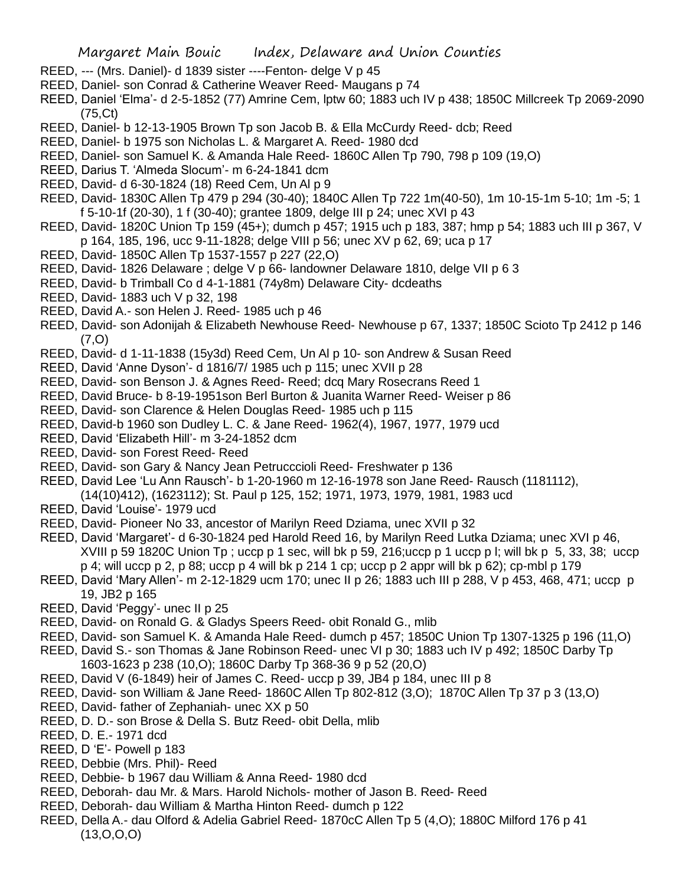- REED, --- (Mrs. Daniel)- d 1839 sister ----Fenton- delge V p 45
- REED, Daniel- son Conrad & Catherine Weaver Reed- Maugans p 74
- REED, Daniel 'Elma'- d 2-5-1852 (77) Amrine Cem, lptw 60; 1883 uch IV p 438; 1850C Millcreek Tp 2069-2090 (75,Ct)
- REED, Daniel- b 12-13-1905 Brown Tp son Jacob B. & Ella McCurdy Reed- dcb; Reed
- REED, Daniel- b 1975 son Nicholas L. & Margaret A. Reed- 1980 dcd
- REED, Daniel- son Samuel K. & Amanda Hale Reed- 1860C Allen Tp 790, 798 p 109 (19,O)
- REED, Darius T. 'Almeda Slocum'- m 6-24-1841 dcm
- REED, David- d 6-30-1824 (18) Reed Cem, Un Al p 9
- REED, David- 1830C Allen Tp 479 p 294 (30-40); 1840C Allen Tp 722 1m(40-50), 1m 10-15-1m 5-10; 1m -5; 1 f 5-10-1f (20-30), 1 f (30-40); grantee 1809, delge III p 24; unec XVI p 43
- REED, David- 1820C Union Tp 159 (45+); dumch p 457; 1915 uch p 183, 387; hmp p 54; 1883 uch III p 367, V p 164, 185, 196, ucc 9-11-1828; delge VIII p 56; unec XV p 62, 69; uca p 17
- REED, David- 1850C Allen Tp 1537-1557 p 227 (22,O)
- REED, David- 1826 Delaware ; delge V p 66- landowner Delaware 1810, delge VII p 6 3
- REED, David- b Trimball Co d 4-1-1881 (74y8m) Delaware City- dcdeaths
- REED, David- 1883 uch V p 32, 198
- REED, David A.- son Helen J. Reed- 1985 uch p 46
- REED, David- son Adonijah & Elizabeth Newhouse Reed- Newhouse p 67, 1337; 1850C Scioto Tp 2412 p 146 (7,O)
- REED, David- d 1-11-1838 (15y3d) Reed Cem, Un Al p 10- son Andrew & Susan Reed
- REED, David 'Anne Dyson'- d 1816/7/ 1985 uch p 115; unec XVII p 28
- REED, David- son Benson J. & Agnes Reed- Reed; dcq Mary Rosecrans Reed 1
- REED, David Bruce- b 8-19-1951son Berl Burton & Juanita Warner Reed- Weiser p 86
- REED, David- son Clarence & Helen Douglas Reed- 1985 uch p 115
- REED, David-b 1960 son Dudley L. C. & Jane Reed- 1962(4), 1967, 1977, 1979 ucd
- REED, David 'Elizabeth Hill'- m 3-24-1852 dcm
- REED, David- son Forest Reed- Reed
- REED, David- son Gary & Nancy Jean Petrucccioli Reed- Freshwater p 136
- REED, David Lee 'Lu Ann Rausch'- b 1-20-1960 m 12-16-1978 son Jane Reed- Rausch (1181112), (14(10)412), (1623112); St. Paul p 125, 152; 1971, 1973, 1979, 1981, 1983 ucd
- REED, David 'Louise'- 1979 ucd
- REED, David- Pioneer No 33, ancestor of Marilyn Reed Dziama, unec XVII p 32
- REED, David 'Margaret'- d 6-30-1824 ped Harold Reed 16, by Marilyn Reed Lutka Dziama; unec XVI p 46, XVIII p 59 1820C Union Tp ; uccp p 1 sec, will bk p 59, 216;uccp p 1 uccp p l; will bk p 5, 33, 38; uccp p 4; will uccp p 2, p 88; uccp p 4 will bk p 214 1 cp; uccp p 2 appr will bk p 62); cp-mbl p 179
- REED, David 'Mary Allen'- m 2-12-1829 ucm 170; unec II p 26; 1883 uch III p 288, V p 453, 468, 471; uccp p 19, JB2 p 165
- REED, David 'Peggy'- unec II p 25
- REED, David- on Ronald G. & Gladys Speers Reed- obit Ronald G., mlib
- REED, David- son Samuel K. & Amanda Hale Reed- dumch p 457; 1850C Union Tp 1307-1325 p 196 (11,O)
- REED, David S.- son Thomas & Jane Robinson Reed- unec VI p 30; 1883 uch IV p 492; 1850C Darby Tp 1603-1623 p 238 (10,O); 1860C Darby Tp 368-36 9 p 52 (20,O)
- REED, David V (6-1849) heir of James C. Reed- uccp p 39, JB4 p 184, unec III p 8
- REED, David- son William & Jane Reed- 1860C Allen Tp 802-812 (3,O); 1870C Allen Tp 37 p 3 (13,O)
- REED, David- father of Zephaniah- unec XX p 50
- REED, D. D.- son Brose & Della S. Butz Reed- obit Della, mlib
- REED, D. E.- 1971 dcd
- REED, D 'E'- Powell p 183
- REED, Debbie (Mrs. Phil)- Reed
- REED, Debbie- b 1967 dau William & Anna Reed- 1980 dcd
- REED, Deborah- dau Mr. & Mars. Harold Nichols- mother of Jason B. Reed- Reed
- REED, Deborah- dau William & Martha Hinton Reed- dumch p 122
- REED, Della A.- dau Olford & Adelia Gabriel Reed- 1870cC Allen Tp 5 (4,O); 1880C Milford 176 p 41 (13,O,O,O)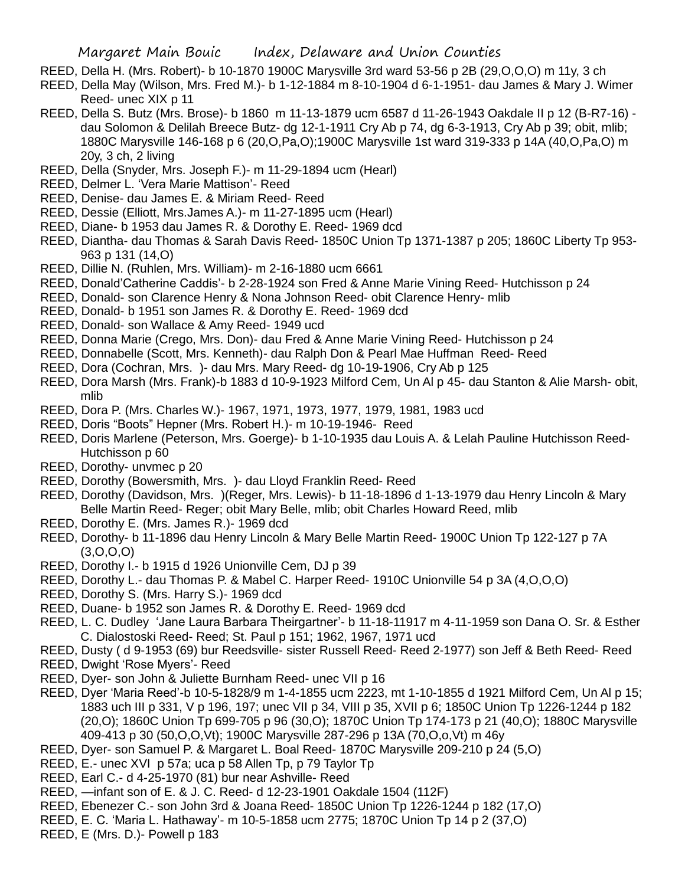- REED, Della H. (Mrs. Robert)- b 10-1870 1900C Marysville 3rd ward 53-56 p 2B (29,O,O,O) m 11y, 3 ch
- REED, Della May (Wilson, Mrs. Fred M.)- b 1-12-1884 m 8-10-1904 d 6-1-1951- dau James & Mary J. Wimer Reed- unec XIX p 11
- REED, Della S. Butz (Mrs. Brose)- b 1860 m 11-13-1879 ucm 6587 d 11-26-1943 Oakdale II p 12 (B-R7-16) dau Solomon & Delilah Breece Butz- dg 12-1-1911 Cry Ab p 74, dg 6-3-1913, Cry Ab p 39; obit, mlib; 1880C Marysville 146-168 p 6 (20,O,Pa,O);1900C Marysville 1st ward 319-333 p 14A (40,O,Pa,O) m 20y, 3 ch, 2 living
- REED, Della (Snyder, Mrs. Joseph F.)- m 11-29-1894 ucm (Hearl)
- REED, Delmer L. 'Vera Marie Mattison'- Reed
- REED, Denise- dau James E. & Miriam Reed- Reed
- REED, Dessie (Elliott, Mrs.James A.)- m 11-27-1895 ucm (Hearl)
- REED, Diane- b 1953 dau James R. & Dorothy E. Reed- 1969 dcd
- REED, Diantha- dau Thomas & Sarah Davis Reed- 1850C Union Tp 1371-1387 p 205; 1860C Liberty Tp 953- 963 p 131 (14,O)
- REED, Dillie N. (Ruhlen, Mrs. William)- m 2-16-1880 ucm 6661
- REED, Donald'Catherine Caddis'- b 2-28-1924 son Fred & Anne Marie Vining Reed- Hutchisson p 24
- REED, Donald- son Clarence Henry & Nona Johnson Reed- obit Clarence Henry- mlib
- REED, Donald- b 1951 son James R. & Dorothy E. Reed- 1969 dcd
- REED, Donald- son Wallace & Amy Reed- 1949 ucd
- REED, Donna Marie (Crego, Mrs. Don)- dau Fred & Anne Marie Vining Reed- Hutchisson p 24
- REED, Donnabelle (Scott, Mrs. Kenneth)- dau Ralph Don & Pearl Mae Huffman Reed- Reed
- REED, Dora (Cochran, Mrs. )- dau Mrs. Mary Reed- dg 10-19-1906, Cry Ab p 125
- REED, Dora Marsh (Mrs. Frank)-b 1883 d 10-9-1923 Milford Cem, Un Al p 45- dau Stanton & Alie Marsh- obit, mlib
- REED, Dora P. (Mrs. Charles W.)- 1967, 1971, 1973, 1977, 1979, 1981, 1983 ucd
- REED, Doris "Boots" Hepner (Mrs. Robert H.)- m 10-19-1946- Reed
- REED, Doris Marlene (Peterson, Mrs. Goerge)- b 1-10-1935 dau Louis A. & Lelah Pauline Hutchisson Reed-Hutchisson p 60
- REED, Dorothy- unvmec p 20
- REED, Dorothy (Bowersmith, Mrs. )- dau Lloyd Franklin Reed- Reed
- REED, Dorothy (Davidson, Mrs. )(Reger, Mrs. Lewis)- b 11-18-1896 d 1-13-1979 dau Henry Lincoln & Mary Belle Martin Reed- Reger; obit Mary Belle, mlib; obit Charles Howard Reed, mlib
- REED, Dorothy E. (Mrs. James R.)- 1969 dcd
- REED, Dorothy- b 11-1896 dau Henry Lincoln & Mary Belle Martin Reed- 1900C Union Tp 122-127 p 7A (3,O,O,O)
- REED, Dorothy I.- b 1915 d 1926 Unionville Cem, DJ p 39
- REED, Dorothy L.- dau Thomas P. & Mabel C. Harper Reed- 1910C Unionville 54 p 3A (4,O,O,O)
- REED, Dorothy S. (Mrs. Harry S.)- 1969 dcd
- REED, Duane- b 1952 son James R. & Dorothy E. Reed- 1969 dcd
- REED, L. C. Dudley 'Jane Laura Barbara Theirgartner'- b 11-18-11917 m 4-11-1959 son Dana O. Sr. & Esther C. Dialostoski Reed- Reed; St. Paul p 151; 1962, 1967, 1971 ucd
- REED, Dusty ( d 9-1953 (69) bur Reedsville- sister Russell Reed- Reed 2-1977) son Jeff & Beth Reed- Reed
- REED, Dwight 'Rose Myers'- Reed
- REED, Dyer- son John & Juliette Burnham Reed- unec VII p 16
- REED, Dyer 'Maria Reed'-b 10-5-1828/9 m 1-4-1855 ucm 2223, mt 1-10-1855 d 1921 Milford Cem, Un Al p 15; 1883 uch III p 331, V p 196, 197; unec VII p 34, VIII p 35, XVII p 6; 1850C Union Tp 1226-1244 p 182 (20,O); 1860C Union Tp 699-705 p 96 (30,O); 1870C Union Tp 174-173 p 21 (40,O); 1880C Marysville 409-413 p 30 (50,O,O,Vt); 1900C Marysville 287-296 p 13A (70,O,o,Vt) m 46y
- REED, Dyer- son Samuel P. & Margaret L. Boal Reed- 1870C Marysville 209-210 p 24 (5,O)
- REED, E.- unec XVI p 57a; uca p 58 Allen Tp, p 79 Taylor Tp
- REED, Earl C.- d 4-25-1970 (81) bur near Ashville- Reed
- REED, —infant son of E. & J. C. Reed- d 12-23-1901 Oakdale 1504 (112F)
- REED, Ebenezer C.- son John 3rd & Joana Reed- 1850C Union Tp 1226-1244 p 182 (17,O)
- REED, E. C. 'Maria L. Hathaway'- m 10-5-1858 ucm 2775; 1870C Union Tp 14 p 2 (37,O)
- REED, E (Mrs. D.)- Powell p 183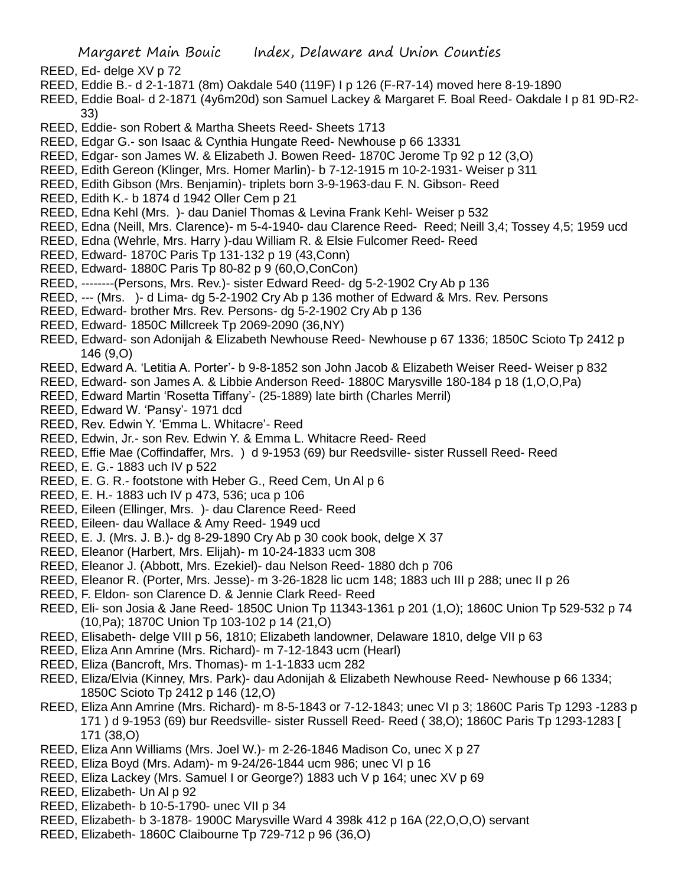- REED, Ed- delge XV p 72
- REED, Eddie B.- d 2-1-1871 (8m) Oakdale 540 (119F) I p 126 (F-R7-14) moved here 8-19-1890
- REED, Eddie Boal- d 2-1871 (4y6m20d) son Samuel Lackey & Margaret F. Boal Reed- Oakdale I p 81 9D-R2- 33)
- REED, Eddie- son Robert & Martha Sheets Reed- Sheets 1713
- REED, Edgar G.- son Isaac & Cynthia Hungate Reed- Newhouse p 66 13331
- REED, Edgar- son James W. & Elizabeth J. Bowen Reed- 1870C Jerome Tp 92 p 12 (3,O)
- REED, Edith Gereon (Klinger, Mrs. Homer Marlin)- b 7-12-1915 m 10-2-1931- Weiser p 311
- REED, Edith Gibson (Mrs. Benjamin)- triplets born 3-9-1963-dau F. N. Gibson- Reed
- REED, Edith K.- b 1874 d 1942 Oller Cem p 21
- REED, Edna Kehl (Mrs. )- dau Daniel Thomas & Levina Frank Kehl- Weiser p 532
- REED, Edna (Neill, Mrs. Clarence)- m 5-4-1940- dau Clarence Reed- Reed; Neill 3,4; Tossey 4,5; 1959 ucd
- REED, Edna (Wehrle, Mrs. Harry )-dau William R. & Elsie Fulcomer Reed- Reed
- REED, Edward- 1870C Paris Tp 131-132 p 19 (43,Conn)
- REED, Edward- 1880C Paris Tp 80-82 p 9 (60,O,ConCon)
- REED, --------(Persons, Mrs. Rev.)- sister Edward Reed- dg 5-2-1902 Cry Ab p 136
- REED, --- (Mrs. )- d Lima- dg 5-2-1902 Cry Ab p 136 mother of Edward & Mrs. Rev. Persons
- REED, Edward- brother Mrs. Rev. Persons- dg 5-2-1902 Cry Ab p 136
- REED, Edward- 1850C Millcreek Tp 2069-2090 (36,NY)
- REED, Edward- son Adonijah & Elizabeth Newhouse Reed- Newhouse p 67 1336; 1850C Scioto Tp 2412 p 146 (9,O)
- REED, Edward A. 'Letitia A. Porter'- b 9-8-1852 son John Jacob & Elizabeth Weiser Reed- Weiser p 832
- REED, Edward- son James A. & Libbie Anderson Reed- 1880C Marysville 180-184 p 18 (1,O,O,Pa)
- REED, Edward Martin 'Rosetta Tiffany'- (25-1889) late birth (Charles Merril)
- REED, Edward W. 'Pansy'- 1971 dcd
- REED, Rev. Edwin Y. 'Emma L. Whitacre'- Reed
- REED, Edwin, Jr.- son Rev. Edwin Y. & Emma L. Whitacre Reed- Reed
- REED, Effie Mae (Coffindaffer, Mrs. ) d 9-1953 (69) bur Reedsville- sister Russell Reed- Reed
- REED, E. G.- 1883 uch IV p 522
- REED, E. G. R.- footstone with Heber G., Reed Cem, Un Al p 6
- REED, E. H.- 1883 uch IV p 473, 536; uca p 106
- REED, Eileen (Ellinger, Mrs. )- dau Clarence Reed- Reed
- REED, Eileen- dau Wallace & Amy Reed- 1949 ucd
- REED, E. J. (Mrs. J. B.)- dg 8-29-1890 Cry Ab p 30 cook book, delge X 37
- REED, Eleanor (Harbert, Mrs. Elijah)- m 10-24-1833 ucm 308
- REED, Eleanor J. (Abbott, Mrs. Ezekiel)- dau Nelson Reed- 1880 dch p 706
- REED, Eleanor R. (Porter, Mrs. Jesse)- m 3-26-1828 lic ucm 148; 1883 uch III p 288; unec II p 26
- REED, F. Eldon- son Clarence D. & Jennie Clark Reed- Reed
- REED, Eli- son Josia & Jane Reed- 1850C Union Tp 11343-1361 p 201 (1,O); 1860C Union Tp 529-532 p 74 (10,Pa); 1870C Union Tp 103-102 p 14 (21,O)
- REED, Elisabeth- delge VIII p 56, 1810; Elizabeth landowner, Delaware 1810, delge VII p 63
- REED, Eliza Ann Amrine (Mrs. Richard)- m 7-12-1843 ucm (Hearl)
- REED, Eliza (Bancroft, Mrs. Thomas)- m 1-1-1833 ucm 282
- REED, Eliza/Elvia (Kinney, Mrs. Park)- dau Adonijah & Elizabeth Newhouse Reed- Newhouse p 66 1334; 1850C Scioto Tp 2412 p 146 (12,O)
- REED, Eliza Ann Amrine (Mrs. Richard)- m 8-5-1843 or 7-12-1843; unec VI p 3; 1860C Paris Tp 1293 -1283 p 171 ) d 9-1953 (69) bur Reedsville- sister Russell Reed- Reed ( 38,O); 1860C Paris Tp 1293-1283 [ 171 (38,O)
- REED, Eliza Ann Williams (Mrs. Joel W.)- m 2-26-1846 Madison Co, unec X p 27
- REED, Eliza Boyd (Mrs. Adam)- m 9-24/26-1844 ucm 986; unec VI p 16
- REED, Eliza Lackey (Mrs. Samuel I or George?) 1883 uch V p 164; unec XV p 69
- REED, Elizabeth- Un Al p 92
- REED, Elizabeth- b 10-5-1790- unec VII p 34
- REED, Elizabeth- b 3-1878- 1900C Marysville Ward 4 398k 412 p 16A (22,O,O,O) servant
- REED, Elizabeth- 1860C Claibourne Tp 729-712 p 96 (36,O)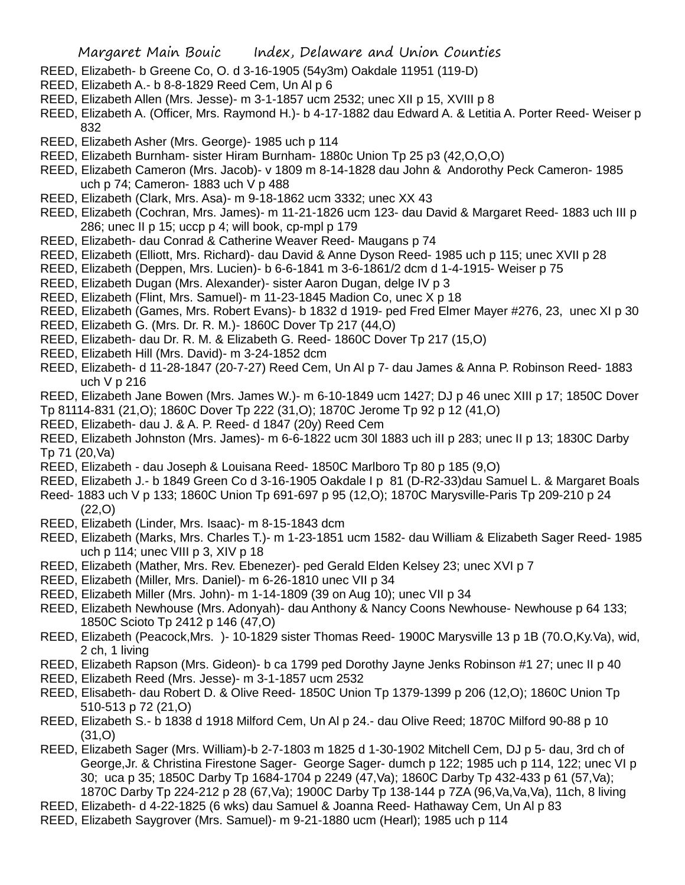- REED, Elizabeth- b Greene Co, O. d 3-16-1905 (54y3m) Oakdale 11951 (119-D)
- REED, Elizabeth A.- b 8-8-1829 Reed Cem, Un Al p 6
- REED, Elizabeth Allen (Mrs. Jesse)- m 3-1-1857 ucm 2532; unec XII p 15, XVIII p 8
- REED, Elizabeth A. (Officer, Mrs. Raymond H.)- b 4-17-1882 dau Edward A. & Letitia A. Porter Reed- Weiser p 832
- REED, Elizabeth Asher (Mrs. George)- 1985 uch p 114
- REED, Elizabeth Burnham- sister Hiram Burnham- 1880c Union Tp 25 p3 (42,O,O,O)
- REED, Elizabeth Cameron (Mrs. Jacob)- v 1809 m 8-14-1828 dau John & Andorothy Peck Cameron- 1985 uch p 74; Cameron- 1883 uch V p 488
- REED, Elizabeth (Clark, Mrs. Asa)- m 9-18-1862 ucm 3332; unec XX 43
- REED, Elizabeth (Cochran, Mrs. James)- m 11-21-1826 ucm 123- dau David & Margaret Reed- 1883 uch III p 286; unec II p 15; uccp p 4; will book, cp-mpl p 179
- REED, Elizabeth- dau Conrad & Catherine Weaver Reed- Maugans p 74
- REED, Elizabeth (Elliott, Mrs. Richard)- dau David & Anne Dyson Reed- 1985 uch p 115; unec XVII p 28
- REED, Elizabeth (Deppen, Mrs. Lucien)- b 6-6-1841 m 3-6-1861/2 dcm d 1-4-1915- Weiser p 75
- REED, Elizabeth Dugan (Mrs. Alexander)- sister Aaron Dugan, delge IV p 3
- REED, Elizabeth (Flint, Mrs. Samuel)- m 11-23-1845 Madion Co, unec X p 18
- REED, Elizabeth (Games, Mrs. Robert Evans)- b 1832 d 1919- ped Fred Elmer Mayer #276, 23, unec XI p 30
- REED, Elizabeth G. (Mrs. Dr. R. M.)- 1860C Dover Tp 217 (44,O)
- REED, Elizabeth- dau Dr. R. M. & Elizabeth G. Reed- 1860C Dover Tp 217 (15,O)
- REED, Elizabeth Hill (Mrs. David)- m 3-24-1852 dcm
- REED, Elizabeth- d 11-28-1847 (20-7-27) Reed Cem, Un Al p 7- dau James & Anna P. Robinson Reed- 1883 uch V p 216
- REED, Elizabeth Jane Bowen (Mrs. James W.)- m 6-10-1849 ucm 1427; DJ p 46 unec XIII p 17; 1850C Dover
- Tp 81114-831 (21,O); 1860C Dover Tp 222 (31,O); 1870C Jerome Tp 92 p 12 (41,O)
- REED, Elizabeth- dau J. & A. P. Reed- d 1847 (20y) Reed Cem
- REED, Elizabeth Johnston (Mrs. James)- m 6-6-1822 ucm 30l 1883 uch iII p 283; unec II p 13; 1830C Darby Tp 71 (20,Va)
- REED, Elizabeth dau Joseph & Louisana Reed- 1850C Marlboro Tp 80 p 185 (9,O)
- REED, Elizabeth J.- b 1849 Green Co d 3-16-1905 Oakdale I p 81 (D-R2-33)dau Samuel L. & Margaret Boals
- Reed- 1883 uch V p 133; 1860C Union Tp 691-697 p 95 (12,O); 1870C Marysville-Paris Tp 209-210 p 24 (22,O)
- REED, Elizabeth (Linder, Mrs. Isaac)- m 8-15-1843 dcm
- REED, Elizabeth (Marks, Mrs. Charles T.)- m 1-23-1851 ucm 1582- dau William & Elizabeth Sager Reed- 1985 uch p 114; unec VIII p 3, XIV p 18
- REED, Elizabeth (Mather, Mrs. Rev. Ebenezer)- ped Gerald Elden Kelsey 23; unec XVI p 7
- REED, Elizabeth (Miller, Mrs. Daniel)- m 6-26-1810 unec VII p 34
- REED, Elizabeth Miller (Mrs. John)- m 1-14-1809 (39 on Aug 10); unec VII p 34
- REED, Elizabeth Newhouse (Mrs. Adonyah)- dau Anthony & Nancy Coons Newhouse- Newhouse p 64 133; 1850C Scioto Tp 2412 p 146 (47,O)
- REED, Elizabeth (Peacock,Mrs. )- 10-1829 sister Thomas Reed- 1900C Marysville 13 p 1B (70.O,Ky.Va), wid, 2 ch, 1 living
- REED, Elizabeth Rapson (Mrs. Gideon)- b ca 1799 ped Dorothy Jayne Jenks Robinson #1 27; unec II p 40
- REED, Elizabeth Reed (Mrs. Jesse)- m 3-1-1857 ucm 2532
- REED, Elisabeth- dau Robert D. & Olive Reed- 1850C Union Tp 1379-1399 p 206 (12,O); 1860C Union Tp 510-513 p 72 (21,O)
- REED, Elizabeth S.- b 1838 d 1918 Milford Cem, Un Al p 24.- dau Olive Reed; 1870C Milford 90-88 p 10 (31,O)
- REED, Elizabeth Sager (Mrs. William)-b 2-7-1803 m 1825 d 1-30-1902 Mitchell Cem, DJ p 5- dau, 3rd ch of George,Jr. & Christina Firestone Sager- George Sager- dumch p 122; 1985 uch p 114, 122; unec VI p 30; uca p 35; 1850C Darby Tp 1684-1704 p 2249 (47,Va); 1860C Darby Tp 432-433 p 61 (57,Va); 1870C Darby Tp 224-212 p 28 (67,Va); 1900C Darby Tp 138-144 p 7ZA (96,Va,Va,Va), 11ch, 8 living
- REED, Elizabeth- d 4-22-1825 (6 wks) dau Samuel & Joanna Reed- Hathaway Cem, Un Al p 83
- REED, Elizabeth Saygrover (Mrs. Samuel)- m 9-21-1880 ucm (Hearl); 1985 uch p 114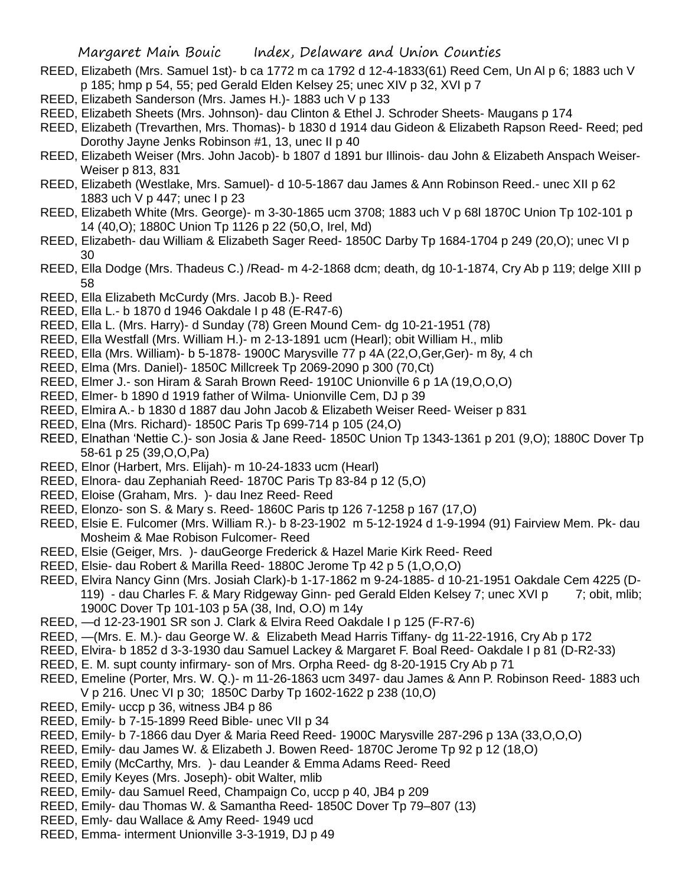- REED, Elizabeth (Mrs. Samuel 1st)- b ca 1772 m ca 1792 d 12-4-1833(61) Reed Cem, Un Al p 6; 1883 uch V p 185; hmp p 54, 55; ped Gerald Elden Kelsey 25; unec XIV p 32, XVI p 7
- REED, Elizabeth Sanderson (Mrs. James H.)- 1883 uch V p 133
- REED, Elizabeth Sheets (Mrs. Johnson)- dau Clinton & Ethel J. Schroder Sheets- Maugans p 174
- REED, Elizabeth (Trevarthen, Mrs. Thomas)- b 1830 d 1914 dau Gideon & Elizabeth Rapson Reed- Reed; ped Dorothy Jayne Jenks Robinson #1, 13, unec II p 40
- REED, Elizabeth Weiser (Mrs. John Jacob)- b 1807 d 1891 bur Illinois- dau John & Elizabeth Anspach Weiser-Weiser p 813, 831
- REED, Elizabeth (Westlake, Mrs. Samuel)- d 10-5-1867 dau James & Ann Robinson Reed.- unec XII p 62 1883 uch V p 447; unec I p 23
- REED, Elizabeth White (Mrs. George)- m 3-30-1865 ucm 3708; 1883 uch V p 68l 1870C Union Tp 102-101 p 14 (40,O); 1880C Union Tp 1126 p 22 (50,O, Irel, Md)
- REED, Elizabeth- dau William & Elizabeth Sager Reed- 1850C Darby Tp 1684-1704 p 249 (20,O); unec VI p 30
- REED, Ella Dodge (Mrs. Thadeus C.) /Read- m 4-2-1868 dcm; death, dg 10-1-1874, Cry Ab p 119; delge XIII p 58
- REED, Ella Elizabeth McCurdy (Mrs. Jacob B.)- Reed
- REED, Ella L.- b 1870 d 1946 Oakdale I p 48 (E-R47-6)
- REED, Ella L. (Mrs. Harry)- d Sunday (78) Green Mound Cem- dg 10-21-1951 (78)
- REED, Ella Westfall (Mrs. William H.)- m 2-13-1891 ucm (Hearl); obit William H., mlib
- REED, Ella (Mrs. William)- b 5-1878- 1900C Marysville 77 p 4A (22,O,Ger,Ger)- m 8y, 4 ch
- REED, Elma (Mrs. Daniel)- 1850C Millcreek Tp 2069-2090 p 300 (70,Ct)
- REED, Elmer J.- son Hiram & Sarah Brown Reed- 1910C Unionville 6 p 1A (19,O,O,O)
- REED, Elmer- b 1890 d 1919 father of Wilma- Unionville Cem, DJ p 39
- REED, Elmira A.- b 1830 d 1887 dau John Jacob & Elizabeth Weiser Reed- Weiser p 831
- REED, Elna (Mrs. Richard)- 1850C Paris Tp 699-714 p 105 (24,O)
- REED, Elnathan 'Nettie C.)- son Josia & Jane Reed- 1850C Union Tp 1343-1361 p 201 (9,O); 1880C Dover Tp 58-61 p 25 (39,O,O,Pa)
- REED, Elnor (Harbert, Mrs. Elijah)- m 10-24-1833 ucm (Hearl)
- REED, Elnora- dau Zephaniah Reed- 1870C Paris Tp 83-84 p 12 (5,O)
- REED, Eloise (Graham, Mrs. )- dau Inez Reed- Reed
- REED, Elonzo- son S. & Mary s. Reed- 1860C Paris tp 126 7-1258 p 167 (17,O)
- REED, Elsie E. Fulcomer (Mrs. William R.)- b 8-23-1902 m 5-12-1924 d 1-9-1994 (91) Fairview Mem. Pk- dau Mosheim & Mae Robison Fulcomer- Reed
- REED, Elsie (Geiger, Mrs. )- dauGeorge Frederick & Hazel Marie Kirk Reed- Reed
- REED, Elsie- dau Robert & Marilla Reed- 1880C Jerome Tp 42 p 5 (1,O,O,O)
- REED, Elvira Nancy Ginn (Mrs. Josiah Clark)-b 1-17-1862 m 9-24-1885- d 10-21-1951 Oakdale Cem 4225 (D-119) - dau Charles F. & Mary Ridgeway Ginn- ped Gerald Elden Kelsey 7; unec XVI p 7; obit, mlib; 1900C Dover Tp 101-103 p 5A (38, Ind, O.O) m 14y
- REED, —d 12-23-1901 SR son J. Clark & Elvira Reed Oakdale I p 125 (F-R7-6)
- REED, —(Mrs. E. M.)- dau George W. & Elizabeth Mead Harris Tiffany- dg 11-22-1916, Cry Ab p 172
- REED, Elvira- b 1852 d 3-3-1930 dau Samuel Lackey & Margaret F. Boal Reed- Oakdale I p 81 (D-R2-33)
- REED, E. M. supt county infirmary- son of Mrs. Orpha Reed- dg 8-20-1915 Cry Ab p 71
- REED, Emeline (Porter, Mrs. W. Q.)- m 11-26-1863 ucm 3497- dau James & Ann P. Robinson Reed- 1883 uch V p 216. Unec VI p 30; 1850C Darby Tp 1602-1622 p 238 (10,O)
- REED, Emily- uccp p 36, witness JB4 p 86
- REED, Emily- b 7-15-1899 Reed Bible- unec VII p 34
- REED, Emily- b 7-1866 dau Dyer & Maria Reed Reed- 1900C Marysville 287-296 p 13A (33,O,O,O)
- REED, Emily- dau James W. & Elizabeth J. Bowen Reed- 1870C Jerome Tp 92 p 12 (18,O)
- REED, Emily (McCarthy, Mrs. )- dau Leander & Emma Adams Reed- Reed
- REED, Emily Keyes (Mrs. Joseph)- obit Walter, mlib
- REED, Emily- dau Samuel Reed, Champaign Co, uccp p 40, JB4 p 209
- REED, Emily- dau Thomas W. & Samantha Reed- 1850C Dover Tp 79–807 (13)
- REED, Emly- dau Wallace & Amy Reed- 1949 ucd
- REED, Emma- interment Unionville 3-3-1919, DJ p 49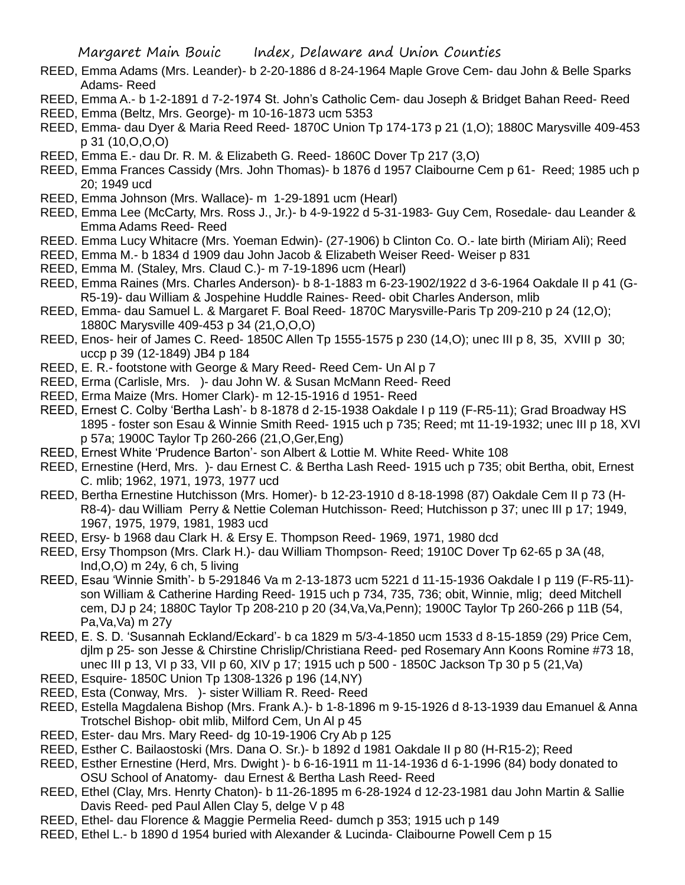- REED, Emma Adams (Mrs. Leander)- b 2-20-1886 d 8-24-1964 Maple Grove Cem- dau John & Belle Sparks Adams- Reed
- REED, Emma A.- b 1-2-1891 d 7-2-1974 St. John's Catholic Cem- dau Joseph & Bridget Bahan Reed- Reed
- REED, Emma (Beltz, Mrs. George)- m 10-16-1873 ucm 5353
- REED, Emma- dau Dyer & Maria Reed Reed- 1870C Union Tp 174-173 p 21 (1,O); 1880C Marysville 409-453 p 31 (10,O,O,O)
- REED, Emma E.- dau Dr. R. M. & Elizabeth G. Reed- 1860C Dover Tp 217 (3,O)
- REED, Emma Frances Cassidy (Mrs. John Thomas)- b 1876 d 1957 Claibourne Cem p 61- Reed; 1985 uch p 20; 1949 ucd
- REED, Emma Johnson (Mrs. Wallace)- m 1-29-1891 ucm (Hearl)
- REED, Emma Lee (McCarty, Mrs. Ross J., Jr.)- b 4-9-1922 d 5-31-1983- Guy Cem, Rosedale- dau Leander & Emma Adams Reed- Reed
- REED. Emma Lucy Whitacre (Mrs. Yoeman Edwin)- (27-1906) b Clinton Co. O.- late birth (Miriam Ali); Reed
- REED, Emma M.- b 1834 d 1909 dau John Jacob & Elizabeth Weiser Reed- Weiser p 831
- REED, Emma M. (Staley, Mrs. Claud C.)- m 7-19-1896 ucm (Hearl)
- REED, Emma Raines (Mrs. Charles Anderson)- b 8-1-1883 m 6-23-1902/1922 d 3-6-1964 Oakdale II p 41 (G-R5-19)- dau William & Jospehine Huddle Raines- Reed- obit Charles Anderson, mlib
- REED, Emma- dau Samuel L. & Margaret F. Boal Reed- 1870C Marysville-Paris Tp 209-210 p 24 (12,O); 1880C Marysville 409-453 p 34 (21,O,O,O)
- REED, Enos- heir of James C. Reed- 1850C Allen Tp 1555-1575 p 230 (14,O); unec III p 8, 35, XVIII p 30; uccp p 39 (12-1849) JB4 p 184
- REED, E. R.- footstone with George & Mary Reed- Reed Cem- Un Al p 7
- REED, Erma (Carlisle, Mrs. )- dau John W. & Susan McMann Reed- Reed
- REED, Erma Maize (Mrs. Homer Clark)- m 12-15-1916 d 1951- Reed
- REED, Ernest C. Colby 'Bertha Lash'- b 8-1878 d 2-15-1938 Oakdale I p 119 (F-R5-11); Grad Broadway HS 1895 - foster son Esau & Winnie Smith Reed- 1915 uch p 735; Reed; mt 11-19-1932; unec III p 18, XVI p 57a; 1900C Taylor Tp 260-266 (21,O,Ger,Eng)
- REED, Ernest White 'Prudence Barton'- son Albert & Lottie M. White Reed- White 108
- REED, Ernestine (Herd, Mrs. )- dau Ernest C. & Bertha Lash Reed- 1915 uch p 735; obit Bertha, obit, Ernest C. mlib; 1962, 1971, 1973, 1977 ucd
- REED, Bertha Ernestine Hutchisson (Mrs. Homer)- b 12-23-1910 d 8-18-1998 (87) Oakdale Cem II p 73 (H-R8-4)- dau William Perry & Nettie Coleman Hutchisson- Reed; Hutchisson p 37; unec III p 17; 1949, 1967, 1975, 1979, 1981, 1983 ucd
- REED, Ersy- b 1968 dau Clark H. & Ersy E. Thompson Reed- 1969, 1971, 1980 dcd
- REED, Ersy Thompson (Mrs. Clark H.)- dau William Thompson- Reed; 1910C Dover Tp 62-65 p 3A (48, Ind,O,O) m 24y, 6 ch, 5 living
- REED, Esau 'Winnie Smith'- b 5-291846 Va m 2-13-1873 ucm 5221 d 11-15-1936 Oakdale I p 119 (F-R5-11) son William & Catherine Harding Reed- 1915 uch p 734, 735, 736; obit, Winnie, mlig; deed Mitchell cem, DJ p 24; 1880C Taylor Tp 208-210 p 20 (34,Va,Va,Penn); 1900C Taylor Tp 260-266 p 11B (54, Pa,Va,Va) m 27y
- REED, E. S. D. 'Susannah Eckland/Eckard'- b ca 1829 m 5/3-4-1850 ucm 1533 d 8-15-1859 (29) Price Cem, djlm p 25- son Jesse & Chirstine Chrislip/Christiana Reed- ped Rosemary Ann Koons Romine #73 18, unec III p 13, VI p 33, VII p 60, XIV p 17; 1915 uch p 500 - 1850C Jackson Tp 30 p 5 (21,Va)
- REED, Esquire- 1850C Union Tp 1308-1326 p 196 (14,NY)
- REED, Esta (Conway, Mrs. )- sister William R. Reed- Reed
- REED, Estella Magdalena Bishop (Mrs. Frank A.)- b 1-8-1896 m 9-15-1926 d 8-13-1939 dau Emanuel & Anna Trotschel Bishop- obit mlib, Milford Cem, Un Al p 45
- REED, Ester- dau Mrs. Mary Reed- dg 10-19-1906 Cry Ab p 125
- REED, Esther C. Bailaostoski (Mrs. Dana O. Sr.)- b 1892 d 1981 Oakdale II p 80 (H-R15-2); Reed
- REED, Esther Ernestine (Herd, Mrs. Dwight )- b 6-16-1911 m 11-14-1936 d 6-1-1996 (84) body donated to OSU School of Anatomy- dau Ernest & Bertha Lash Reed- Reed
- REED, Ethel (Clay, Mrs. Henrty Chaton)- b 11-26-1895 m 6-28-1924 d 12-23-1981 dau John Martin & Sallie Davis Reed- ped Paul Allen Clay 5, delge V p 48
- REED, Ethel- dau Florence & Maggie Permelia Reed- dumch p 353; 1915 uch p 149
- REED, Ethel L.- b 1890 d 1954 buried with Alexander & Lucinda- Claibourne Powell Cem p 15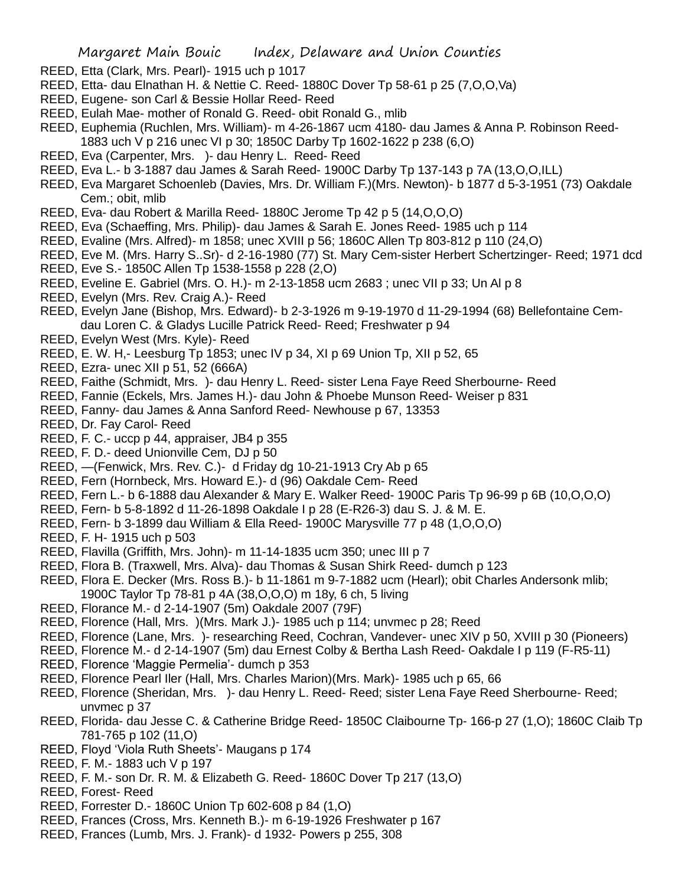- REED, Etta (Clark, Mrs. Pearl)- 1915 uch p 1017
- REED, Etta- dau Elnathan H. & Nettie C. Reed- 1880C Dover Tp 58-61 p 25 (7,O,O,Va)
- REED, Eugene- son Carl & Bessie Hollar Reed- Reed
- REED, Eulah Mae- mother of Ronald G. Reed- obit Ronald G., mlib
- REED, Euphemia (Ruchlen, Mrs. William)- m 4-26-1867 ucm 4180- dau James & Anna P. Robinson Reed-1883 uch V p 216 unec VI p 30; 1850C Darby Tp 1602-1622 p 238 (6,O)
- REED, Eva (Carpenter, Mrs. )- dau Henry L. Reed- Reed
- REED, Eva L.- b 3-1887 dau James & Sarah Reed- 1900C Darby Tp 137-143 p 7A (13,O,O,ILL)
- REED, Eva Margaret Schoenleb (Davies, Mrs. Dr. William F.)(Mrs. Newton)- b 1877 d 5-3-1951 (73) Oakdale Cem.; obit, mlib
- REED, Eva- dau Robert & Marilla Reed- 1880C Jerome Tp 42 p 5 (14,O,O,O)
- REED, Eva (Schaeffing, Mrs. Philip)- dau James & Sarah E. Jones Reed- 1985 uch p 114
- REED, Evaline (Mrs. Alfred)- m 1858; unec XVIII p 56; 1860C Allen Tp 803-812 p 110 (24,O)
- REED, Eve M. (Mrs. Harry S..Sr)- d 2-16-1980 (77) St. Mary Cem-sister Herbert Schertzinger- Reed; 1971 dcd
- REED, Eve S.- 1850C Allen Tp 1538-1558 p 228 (2,O)
- REED, Eveline E. Gabriel (Mrs. O. H.)- m 2-13-1858 ucm 2683 ; unec VII p 33; Un Al p 8
- REED, Evelyn (Mrs. Rev. Craig A.)- Reed
- REED, Evelyn Jane (Bishop, Mrs. Edward)- b 2-3-1926 m 9-19-1970 d 11-29-1994 (68) Bellefontaine Cemdau Loren C. & Gladys Lucille Patrick Reed- Reed; Freshwater p 94
- REED, Evelyn West (Mrs. Kyle)- Reed
- REED, E. W. H,- Leesburg Tp 1853; unec IV p 34, XI p 69 Union Tp, XII p 52, 65
- REED, Ezra- unec XII p 51, 52 (666A)
- REED, Faithe (Schmidt, Mrs. )- dau Henry L. Reed- sister Lena Faye Reed Sherbourne- Reed
- REED, Fannie (Eckels, Mrs. James H.)- dau John & Phoebe Munson Reed- Weiser p 831
- REED, Fanny- dau James & Anna Sanford Reed- Newhouse p 67, 13353
- REED, Dr. Fay Carol- Reed
- REED, F. C.- uccp p 44, appraiser, JB4 p 355
- REED, F. D.- deed Unionville Cem, DJ p 50
- REED, —(Fenwick, Mrs. Rev. C.)- d Friday dg 10-21-1913 Cry Ab p 65
- REED, Fern (Hornbeck, Mrs. Howard E.)- d (96) Oakdale Cem- Reed
- REED, Fern L.- b 6-1888 dau Alexander & Mary E. Walker Reed- 1900C Paris Tp 96-99 p 6B (10,O,O,O)
- REED, Fern- b 5-8-1892 d 11-26-1898 Oakdale I p 28 (E-R26-3) dau S. J. & M. E.
- REED, Fern- b 3-1899 dau William & Ella Reed- 1900C Marysville 77 p 48 (1,O,O,O)
- REED, F. H- 1915 uch p 503
- REED, Flavilla (Griffith, Mrs. John)- m 11-14-1835 ucm 350; unec III p 7
- REED, Flora B. (Traxwell, Mrs. Alva)- dau Thomas & Susan Shirk Reed- dumch p 123
- REED, Flora E. Decker (Mrs. Ross B.)- b 11-1861 m 9-7-1882 ucm (Hearl); obit Charles Andersonk mlib; 1900C Taylor Tp 78-81 p 4A (38,O,O,O) m 18y, 6 ch, 5 living
- REED, Florance M.- d 2-14-1907 (5m) Oakdale 2007 (79F)
- REED, Florence (Hall, Mrs. )(Mrs. Mark J.)- 1985 uch p 114; unvmec p 28; Reed
- REED, Florence (Lane, Mrs. )- researching Reed, Cochran, Vandever- unec XIV p 50, XVIII p 30 (Pioneers)
- REED, Florence M.- d 2-14-1907 (5m) dau Ernest Colby & Bertha Lash Reed- Oakdale I p 119 (F-R5-11)
- REED, Florence 'Maggie Permelia'- dumch p 353
- REED, Florence Pearl Iler (Hall, Mrs. Charles Marion)(Mrs. Mark)- 1985 uch p 65, 66
- REED, Florence (Sheridan, Mrs. )- dau Henry L. Reed- Reed; sister Lena Faye Reed Sherbourne- Reed; unvmec p 37
- REED, Florida- dau Jesse C. & Catherine Bridge Reed- 1850C Claibourne Tp- 166-p 27 (1,O); 1860C Claib Tp 781-765 p 102 (11,O)
- REED, Floyd 'Viola Ruth Sheets'- Maugans p 174
- REED, F. M.- 1883 uch V p 197
- REED, F. M.- son Dr. R. M. & Elizabeth G. Reed- 1860C Dover Tp 217 (13,O)
- REED, Forest- Reed
- REED, Forrester D.- 1860C Union Tp 602-608 p 84 (1,O)
- REED, Frances (Cross, Mrs. Kenneth B.)- m 6-19-1926 Freshwater p 167
- REED, Frances (Lumb, Mrs. J. Frank)- d 1932- Powers p 255, 308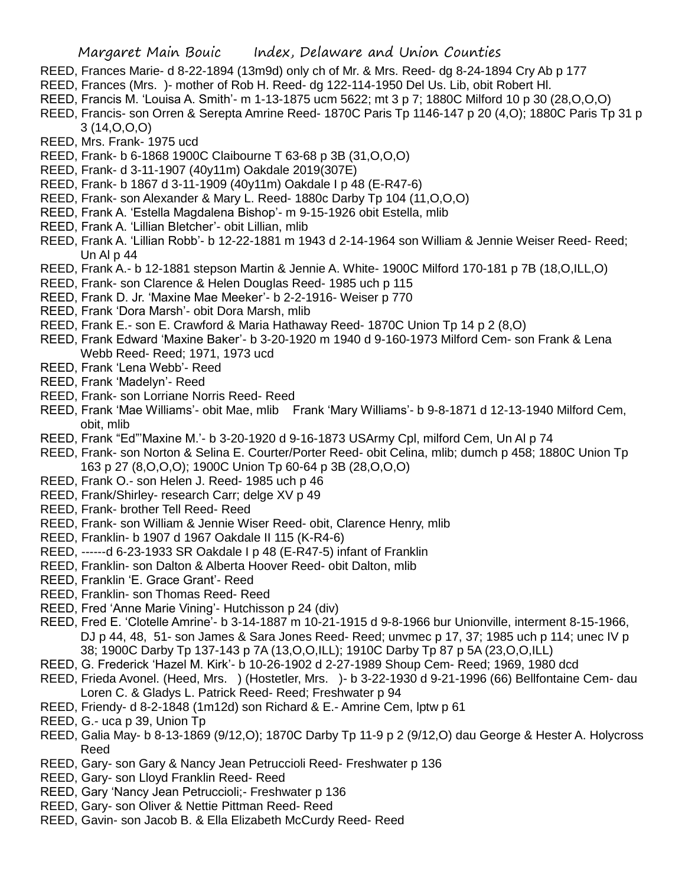- REED, Frances Marie- d 8-22-1894 (13m9d) only ch of Mr. & Mrs. Reed- dg 8-24-1894 Cry Ab p 177
- REED, Frances (Mrs. )- mother of Rob H. Reed- dg 122-114-1950 Del Us. Lib, obit Robert Hl.
- REED, Francis M. 'Louisa A. Smith'- m 1-13-1875 ucm 5622; mt 3 p 7; 1880C Milford 10 p 30 (28,O,O,O)
- REED, Francis- son Orren & Serepta Amrine Reed- 1870C Paris Tp 1146-147 p 20 (4,O); 1880C Paris Tp 31 p 3 (14,O,O,O)
- REED, Mrs. Frank- 1975 ucd
- REED, Frank- b 6-1868 1900C Claibourne T 63-68 p 3B (31,O,O,O)
- REED, Frank- d 3-11-1907 (40y11m) Oakdale 2019(307E)
- REED, Frank- b 1867 d 3-11-1909 (40y11m) Oakdale I p 48 (E-R47-6)
- REED, Frank- son Alexander & Mary L. Reed- 1880c Darby Tp 104 (11,O,O,O)
- REED, Frank A. 'Estella Magdalena Bishop'- m 9-15-1926 obit Estella, mlib
- REED, Frank A. 'Lillian Bletcher'- obit Lillian, mlib
- REED, Frank A. 'Lillian Robb'- b 12-22-1881 m 1943 d 2-14-1964 son William & Jennie Weiser Reed- Reed; Un Al p 44
- REED, Frank A.- b 12-1881 stepson Martin & Jennie A. White- 1900C Milford 170-181 p 7B (18,O,ILL,O)
- REED, Frank- son Clarence & Helen Douglas Reed- 1985 uch p 115
- REED, Frank D. Jr. 'Maxine Mae Meeker'- b 2-2-1916- Weiser p 770
- REED, Frank 'Dora Marsh'- obit Dora Marsh, mlib
- REED, Frank E.- son E. Crawford & Maria Hathaway Reed- 1870C Union Tp 14 p 2 (8,O)
- REED, Frank Edward 'Maxine Baker'- b 3-20-1920 m 1940 d 9-160-1973 Milford Cem- son Frank & Lena Webb Reed- Reed; 1971, 1973 ucd
- REED, Frank 'Lena Webb'- Reed
- REED, Frank 'Madelyn'- Reed
- REED, Frank- son Lorriane Norris Reed- Reed
- REED, Frank 'Mae Williams'- obit Mae, mlib Frank 'Mary Williams'- b 9-8-1871 d 12-13-1940 Milford Cem, obit, mlib
- REED, Frank "Ed"'Maxine M.'- b 3-20-1920 d 9-16-1873 USArmy Cpl, milford Cem, Un Al p 74
- REED, Frank- son Norton & Selina E. Courter/Porter Reed- obit Celina, mlib; dumch p 458; 1880C Union Tp 163 p 27 (8,O,O,O); 1900C Union Tp 60-64 p 3B (28,O,O,O)
- REED, Frank O.- son Helen J. Reed- 1985 uch p 46
- REED, Frank/Shirley- research Carr; delge XV p 49
- REED, Frank- brother Tell Reed- Reed
- REED, Frank- son William & Jennie Wiser Reed- obit, Clarence Henry, mlib
- REED, Franklin- b 1907 d 1967 Oakdale II 115 (K-R4-6)
- REED, ------d 6-23-1933 SR Oakdale I p 48 (E-R47-5) infant of Franklin
- REED, Franklin- son Dalton & Alberta Hoover Reed- obit Dalton, mlib
- REED, Franklin 'E. Grace Grant'- Reed
- REED, Franklin- son Thomas Reed- Reed
- REED, Fred 'Anne Marie Vining'- Hutchisson p 24 (div)
- REED, Fred E. 'Clotelle Amrine'- b 3-14-1887 m 10-21-1915 d 9-8-1966 bur Unionville, interment 8-15-1966, DJ p 44, 48, 51- son James & Sara Jones Reed- Reed; unvmec p 17, 37; 1985 uch p 114; unec IV p 38; 1900C Darby Tp 137-143 p 7A (13,O,O,ILL); 1910C Darby Tp 87 p 5A (23,O,O,ILL)
- REED, G. Frederick 'Hazel M. Kirk'- b 10-26-1902 d 2-27-1989 Shoup Cem- Reed; 1969, 1980 dcd
- REED, Frieda Avonel. (Heed, Mrs. ) (Hostetler, Mrs. )- b 3-22-1930 d 9-21-1996 (66) Bellfontaine Cem- dau Loren C. & Gladys L. Patrick Reed- Reed; Freshwater p 94
- REED, Friendy- d 8-2-1848 (1m12d) son Richard & E.- Amrine Cem, lptw p 61
- REED, G.- uca p 39, Union Tp
- REED, Galia May- b 8-13-1869 (9/12,O); 1870C Darby Tp 11-9 p 2 (9/12,O) dau George & Hester A. Holycross Reed
- REED, Gary- son Gary & Nancy Jean Petruccioli Reed- Freshwater p 136
- REED, Gary- son Lloyd Franklin Reed- Reed
- REED, Gary 'Nancy Jean Petruccioli;- Freshwater p 136
- REED, Gary- son Oliver & Nettie Pittman Reed- Reed
- REED, Gavin- son Jacob B. & Ella Elizabeth McCurdy Reed- Reed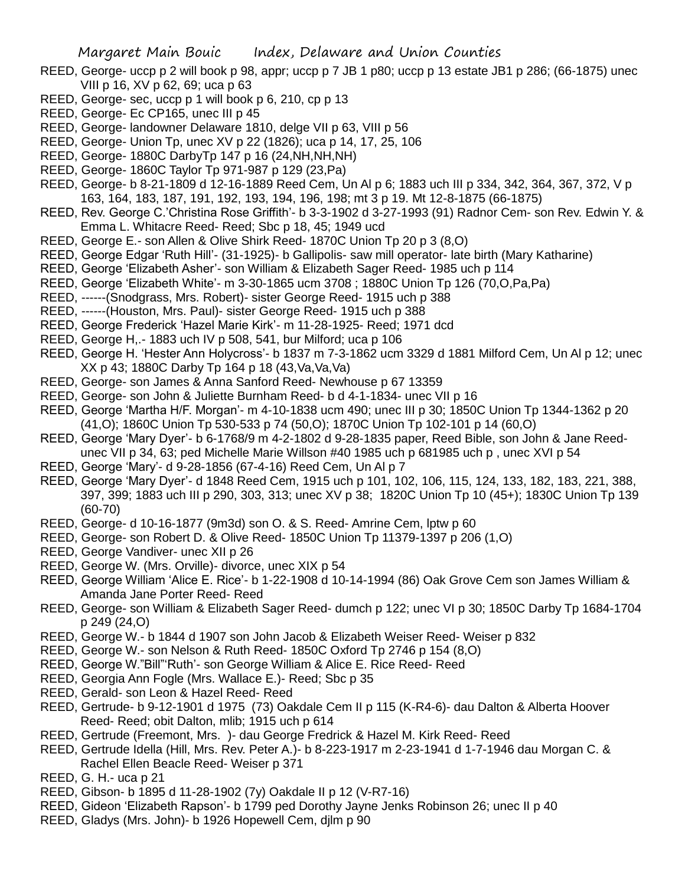- REED, George- uccp p 2 will book p 98, appr; uccp p 7 JB 1 p80; uccp p 13 estate JB1 p 286; (66-1875) unec VIII p 16, XV p 62, 69; uca p 63
- REED, George- sec, uccp p 1 will book p 6, 210, cp p 13
- REED, George- Ec CP165, unec III p 45
- REED, George- landowner Delaware 1810, delge VII p 63, VIII p 56
- REED, George- Union Tp, unec XV p 22 (1826); uca p 14, 17, 25, 106
- REED, George- 1880C DarbyTp 147 p 16 (24,NH,NH,NH)
- REED, George- 1860C Taylor Tp 971-987 p 129 (23,Pa)
- REED, George- b 8-21-1809 d 12-16-1889 Reed Cem, Un Al p 6; 1883 uch III p 334, 342, 364, 367, 372, V p 163, 164, 183, 187, 191, 192, 193, 194, 196, 198; mt 3 p 19. Mt 12-8-1875 (66-1875)
- REED, Rev. George C.'Christina Rose Griffith'- b 3-3-1902 d 3-27-1993 (91) Radnor Cem- son Rev. Edwin Y. & Emma L. Whitacre Reed- Reed; Sbc p 18, 45; 1949 ucd
- REED, George E.- son Allen & Olive Shirk Reed- 1870C Union Tp 20 p 3 (8,O)
- REED, George Edgar 'Ruth Hill'- (31-1925)- b Gallipolis- saw mill operator- late birth (Mary Katharine)
- REED, George 'Elizabeth Asher'- son William & Elizabeth Sager Reed- 1985 uch p 114
- REED, George 'Elizabeth White'- m 3-30-1865 ucm 3708 ; 1880C Union Tp 126 (70,O,Pa,Pa)
- REED, ------(Snodgrass, Mrs. Robert)- sister George Reed- 1915 uch p 388
- REED, ------(Houston, Mrs. Paul)- sister George Reed- 1915 uch p 388
- REED, George Frederick 'Hazel Marie Kirk'- m 11-28-1925- Reed; 1971 dcd
- REED, George H,.- 1883 uch IV p 508, 541, bur Milford; uca p 106
- REED, George H. 'Hester Ann Holycross'- b 1837 m 7-3-1862 ucm 3329 d 1881 Milford Cem, Un Al p 12; unec XX p 43; 1880C Darby Tp 164 p 18 (43,Va,Va,Va)
- REED, George- son James & Anna Sanford Reed- Newhouse p 67 13359
- REED, George- son John & Juliette Burnham Reed- b d 4-1-1834- unec VII p 16
- REED, George 'Martha H/F. Morgan'- m 4-10-1838 ucm 490; unec III p 30; 1850C Union Tp 1344-1362 p 20 (41,O); 1860C Union Tp 530-533 p 74 (50,O); 1870C Union Tp 102-101 p 14 (60,O)
- REED, George 'Mary Dyer'- b 6-1768/9 m 4-2-1802 d 9-28-1835 paper, Reed Bible, son John & Jane Reedunec VII p 34, 63; ped Michelle Marie Willson #40 1985 uch p 681985 uch p, unec XVI p 54
- REED, George 'Mary'- d 9-28-1856 (67-4-16) Reed Cem, Un Al p 7
- REED, George 'Mary Dyer'- d 1848 Reed Cem, 1915 uch p 101, 102, 106, 115, 124, 133, 182, 183, 221, 388, 397, 399; 1883 uch III p 290, 303, 313; unec XV p 38; 1820C Union Tp 10 (45+); 1830C Union Tp 139 (60-70)
- REED, George- d 10-16-1877 (9m3d) son O. & S. Reed- Amrine Cem, lptw p 60
- REED, George- son Robert D. & Olive Reed- 1850C Union Tp 11379-1397 p 206 (1,O)
- REED, George Vandiver- unec XII p 26
- REED, George W. (Mrs. Orville)- divorce, unec XIX p 54
- REED, George William 'Alice E. Rice'- b 1-22-1908 d 10-14-1994 (86) Oak Grove Cem son James William & Amanda Jane Porter Reed- Reed
- REED, George- son William & Elizabeth Sager Reed- dumch p 122; unec VI p 30; 1850C Darby Tp 1684-1704 p 249 (24,O)
- REED, George W.- b 1844 d 1907 son John Jacob & Elizabeth Weiser Reed- Weiser p 832
- REED, George W.- son Nelson & Ruth Reed- 1850C Oxford Tp 2746 p 154 (8,O)
- REED, George W."Bill"'Ruth'- son George William & Alice E. Rice Reed- Reed
- REED, Georgia Ann Fogle (Mrs. Wallace E.)- Reed; Sbc p 35
- REED, Gerald- son Leon & Hazel Reed- Reed
- REED, Gertrude- b 9-12-1901 d 1975 (73) Oakdale Cem II p 115 (K-R4-6)- dau Dalton & Alberta Hoover Reed- Reed; obit Dalton, mlib; 1915 uch p 614
- REED, Gertrude (Freemont, Mrs. )- dau George Fredrick & Hazel M. Kirk Reed- Reed
- REED, Gertrude Idella (Hill, Mrs. Rev. Peter A.)- b 8-223-1917 m 2-23-1941 d 1-7-1946 dau Morgan C. & Rachel Ellen Beacle Reed- Weiser p 371
- REED, G. H.- uca p 21
- REED, Gibson- b 1895 d 11-28-1902 (7y) Oakdale II p 12 (V-R7-16)
- REED, Gideon 'Elizabeth Rapson'- b 1799 ped Dorothy Jayne Jenks Robinson 26; unec II p 40
- REED, Gladys (Mrs. John)- b 1926 Hopewell Cem, djlm p 90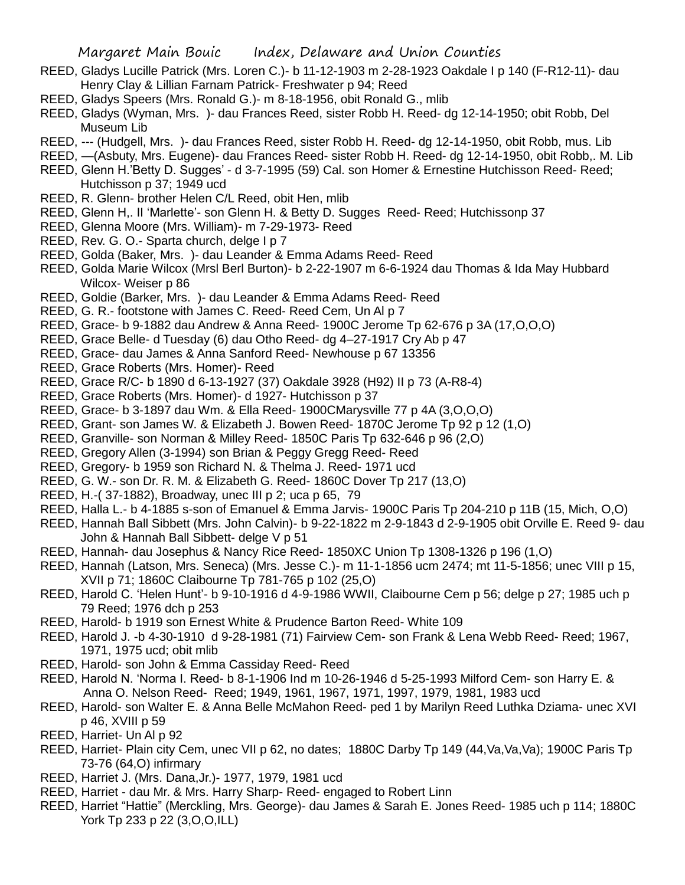- REED, Gladys Lucille Patrick (Mrs. Loren C.)- b 11-12-1903 m 2-28-1923 Oakdale I p 140 (F-R12-11)- dau Henry Clay & Lillian Farnam Patrick- Freshwater p 94; Reed
- REED, Gladys Speers (Mrs. Ronald G.)- m 8-18-1956, obit Ronald G., mlib
- REED, Gladys (Wyman, Mrs. )- dau Frances Reed, sister Robb H. Reed- dg 12-14-1950; obit Robb, Del Museum Lib
- REED, --- (Hudgell, Mrs. )- dau Frances Reed, sister Robb H. Reed- dg 12-14-1950, obit Robb, mus. Lib
- REED, —(Asbuty, Mrs. Eugene)- dau Frances Reed- sister Robb H. Reed- dg 12-14-1950, obit Robb,. M. Lib
- REED, Glenn H.'Betty D. Sugges' d 3-7-1995 (59) Cal. son Homer & Ernestine Hutchisson Reed- Reed; Hutchisson p 37; 1949 ucd
- REED, R. Glenn- brother Helen C/L Reed, obit Hen, mlib
- REED, Glenn H,. II 'Marlette'- son Glenn H. & Betty D. Sugges Reed- Reed; Hutchissonp 37
- REED, Glenna Moore (Mrs. William)- m 7-29-1973- Reed
- REED, Rev. G. O.- Sparta church, delge I p 7
- REED, Golda (Baker, Mrs. )- dau Leander & Emma Adams Reed- Reed
- REED, Golda Marie Wilcox (Mrsl Berl Burton)- b 2-22-1907 m 6-6-1924 dau Thomas & Ida May Hubbard Wilcox- Weiser p 86
- REED, Goldie (Barker, Mrs. )- dau Leander & Emma Adams Reed- Reed
- REED, G. R.- footstone with James C. Reed- Reed Cem, Un Al p 7
- REED, Grace- b 9-1882 dau Andrew & Anna Reed- 1900C Jerome Tp 62-676 p 3A (17,O,O,O)
- REED, Grace Belle- d Tuesday (6) dau Otho Reed- dg 4–27-1917 Cry Ab p 47
- REED, Grace- dau James & Anna Sanford Reed- Newhouse p 67 13356
- REED, Grace Roberts (Mrs. Homer)- Reed
- REED, Grace R/C- b 1890 d 6-13-1927 (37) Oakdale 3928 (H92) II p 73 (A-R8-4)
- REED, Grace Roberts (Mrs. Homer)- d 1927- Hutchisson p 37
- REED, Grace- b 3-1897 dau Wm. & Ella Reed- 1900CMarysville 77 p 4A (3,O,O,O)
- REED, Grant- son James W. & Elizabeth J. Bowen Reed- 1870C Jerome Tp 92 p 12 (1,O)
- REED, Granville- son Norman & Milley Reed- 1850C Paris Tp 632-646 p 96 (2,O)
- REED, Gregory Allen (3-1994) son Brian & Peggy Gregg Reed- Reed
- REED, Gregory- b 1959 son Richard N. & Thelma J. Reed- 1971 ucd
- REED, G. W.- son Dr. R. M. & Elizabeth G. Reed- 1860C Dover Tp 217 (13,O)
- REED, H.-( 37-1882), Broadway, unec III p 2; uca p 65, 79
- REED, Halla L.- b 4-1885 s-son of Emanuel & Emma Jarvis- 1900C Paris Tp 204-210 p 11B (15, Mich, O,O)
- REED, Hannah Ball Sibbett (Mrs. John Calvin)- b 9-22-1822 m 2-9-1843 d 2-9-1905 obit Orville E. Reed 9- dau John & Hannah Ball Sibbett- delge V p 51
- REED, Hannah- dau Josephus & Nancy Rice Reed- 1850XC Union Tp 1308-1326 p 196 (1,O)
- REED, Hannah (Latson, Mrs. Seneca) (Mrs. Jesse C.)- m 11-1-1856 ucm 2474; mt 11-5-1856; unec VIII p 15, XVII p 71; 1860C Claibourne Tp 781-765 p 102 (25,O)
- REED, Harold C. 'Helen Hunt'- b 9-10-1916 d 4-9-1986 WWII, Claibourne Cem p 56; delge p 27; 1985 uch p 79 Reed; 1976 dch p 253
- REED, Harold- b 1919 son Ernest White & Prudence Barton Reed- White 109
- REED, Harold J. -b 4-30-1910 d 9-28-1981 (71) Fairview Cem- son Frank & Lena Webb Reed- Reed; 1967, 1971, 1975 ucd; obit mlib
- REED, Harold- son John & Emma Cassiday Reed- Reed
- REED, Harold N. 'Norma I. Reed- b 8-1-1906 Ind m 10-26-1946 d 5-25-1993 Milford Cem- son Harry E. & Anna O. Nelson Reed- Reed; 1949, 1961, 1967, 1971, 1997, 1979, 1981, 1983 ucd
- REED, Harold- son Walter E. & Anna Belle McMahon Reed- ped 1 by Marilyn Reed Luthka Dziama- unec XVI p 46, XVIII p 59
- REED, Harriet- Un Al p 92
- REED, Harriet- Plain city Cem, unec VII p 62, no dates; 1880C Darby Tp 149 (44,Va,Va,Va); 1900C Paris Tp 73-76 (64,O) infirmary
- REED, Harriet J. (Mrs. Dana,Jr.)- 1977, 1979, 1981 ucd
- REED, Harriet dau Mr. & Mrs. Harry Sharp- Reed- engaged to Robert Linn
- REED, Harriet "Hattie" (Merckling, Mrs. George)- dau James & Sarah E. Jones Reed- 1985 uch p 114; 1880C York Tp 233 p 22 (3,O,O,ILL)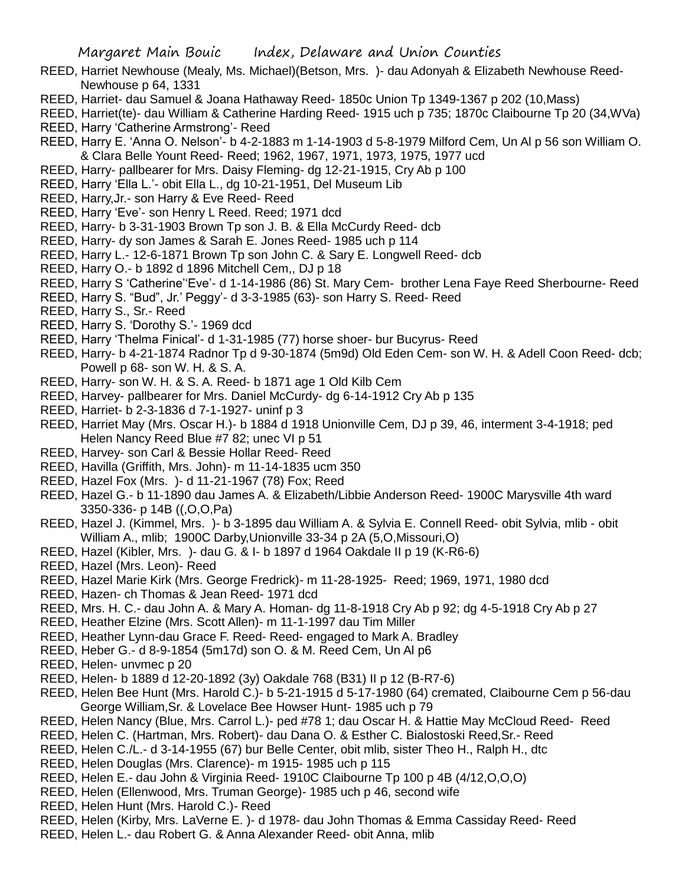- REED, Harriet Newhouse (Mealy, Ms. Michael)(Betson, Mrs. )- dau Adonyah & Elizabeth Newhouse Reed-Newhouse p 64, 1331
- REED, Harriet- dau Samuel & Joana Hathaway Reed- 1850c Union Tp 1349-1367 p 202 (10,Mass)
- REED, Harriet(te)- dau William & Catherine Harding Reed- 1915 uch p 735; 1870c Claibourne Tp 20 (34,WVa) REED, Harry 'Catherine Armstrong'- Reed
- REED, Harry E. 'Anna O. Nelson'- b 4-2-1883 m 1-14-1903 d 5-8-1979 Milford Cem, Un Al p 56 son William O. & Clara Belle Yount Reed- Reed; 1962, 1967, 1971, 1973, 1975, 1977 ucd
- REED, Harry- pallbearer for Mrs. Daisy Fleming- dg 12-21-1915, Cry Ab p 100
- REED, Harry 'Ella L.'- obit Ella L., dg 10-21-1951, Del Museum Lib
- REED, Harry,Jr.- son Harry & Eve Reed- Reed
- REED, Harry 'Eve'- son Henry L Reed. Reed; 1971 dcd
- REED, Harry- b 3-31-1903 Brown Tp son J. B. & Ella McCurdy Reed- dcb
- REED, Harry- dy son James & Sarah E. Jones Reed- 1985 uch p 114
- REED, Harry L.- 12-6-1871 Brown Tp son John C. & Sary E. Longwell Reed- dcb
- REED, Harry O.- b 1892 d 1896 Mitchell Cem,, DJ p 18
- REED, Harry S 'Catherine''Eve'- d 1-14-1986 (86) St. Mary Cem- brother Lena Faye Reed Sherbourne- Reed
- REED, Harry S. "Bud", Jr.' Peggy'- d 3-3-1985 (63)- son Harry S. Reed- Reed
- REED, Harry S., Sr.- Reed
- REED, Harry S. 'Dorothy S.'- 1969 dcd
- REED, Harry 'Thelma Finical'- d 1-31-1985 (77) horse shoer- bur Bucyrus- Reed
- REED, Harry- b 4-21-1874 Radnor Tp d 9-30-1874 (5m9d) Old Eden Cem- son W. H. & Adell Coon Reed- dcb; Powell p 68- son W. H. & S. A.
- REED, Harry- son W. H. & S. A. Reed- b 1871 age 1 Old Kilb Cem
- REED, Harvey- pallbearer for Mrs. Daniel McCurdy- dg 6-14-1912 Cry Ab p 135
- REED, Harriet- b 2-3-1836 d 7-1-1927- uninf p 3
- REED, Harriet May (Mrs. Oscar H.)- b 1884 d 1918 Unionville Cem, DJ p 39, 46, interment 3-4-1918; ped Helen Nancy Reed Blue #7 82; unec VI p 51
- REED, Harvey- son Carl & Bessie Hollar Reed- Reed
- REED, Havilla (Griffith, Mrs. John)- m 11-14-1835 ucm 350
- REED, Hazel Fox (Mrs. )- d 11-21-1967 (78) Fox; Reed
- REED, Hazel G.- b 11-1890 dau James A. & Elizabeth/Libbie Anderson Reed- 1900C Marysville 4th ward 3350-336- p 14B ((,O,O,Pa)
- REED, Hazel J. (Kimmel, Mrs. )- b 3-1895 dau William A. & Sylvia E. Connell Reed- obit Sylvia, mlib obit William A., mlib; 1900C Darby,Unionville 33-34 p 2A (5,O,Missouri,O)
- REED, Hazel (Kibler, Mrs. )- dau G. & I- b 1897 d 1964 Oakdale II p 19 (K-R6-6)
- REED, Hazel (Mrs. Leon)- Reed
- REED, Hazel Marie Kirk (Mrs. George Fredrick)- m 11-28-1925- Reed; 1969, 1971, 1980 dcd
- REED, Hazen- ch Thomas & Jean Reed- 1971 dcd
- REED, Mrs. H. C.- dau John A. & Mary A. Homan- dg 11-8-1918 Cry Ab p 92; dg 4-5-1918 Cry Ab p 27
- REED, Heather Elzine (Mrs. Scott Allen)- m 11-1-1997 dau Tim Miller
- REED, Heather Lynn-dau Grace F. Reed- Reed- engaged to Mark A. Bradley
- REED, Heber G.- d 8-9-1854 (5m17d) son O. & M. Reed Cem, Un Al p6
- REED, Helen- unvmec p 20
- REED, Helen- b 1889 d 12-20-1892 (3y) Oakdale 768 (B31) II p 12 (B-R7-6)
- REED, Helen Bee Hunt (Mrs. Harold C.)- b 5-21-1915 d 5-17-1980 (64) cremated, Claibourne Cem p 56-dau George William,Sr. & Lovelace Bee Howser Hunt- 1985 uch p 79
- REED, Helen Nancy (Blue, Mrs. Carrol L.)- ped #78 1; dau Oscar H. & Hattie May McCloud Reed- Reed
- REED, Helen C. (Hartman, Mrs. Robert)- dau Dana O. & Esther C. Bialostoski Reed,Sr.- Reed
- REED, Helen C./L.- d 3-14-1955 (67) bur Belle Center, obit mlib, sister Theo H., Ralph H., dtc
- REED, Helen Douglas (Mrs. Clarence)- m 1915- 1985 uch p 115
- REED, Helen E.- dau John & Virginia Reed- 1910C Claibourne Tp 100 p 4B (4/12,O,O,O)
- REED, Helen (Ellenwood, Mrs. Truman George)- 1985 uch p 46, second wife
- REED, Helen Hunt (Mrs. Harold C.)- Reed
- REED, Helen (Kirby, Mrs. LaVerne E. )- d 1978- dau John Thomas & Emma Cassiday Reed- Reed
- REED, Helen L.- dau Robert G. & Anna Alexander Reed- obit Anna, mlib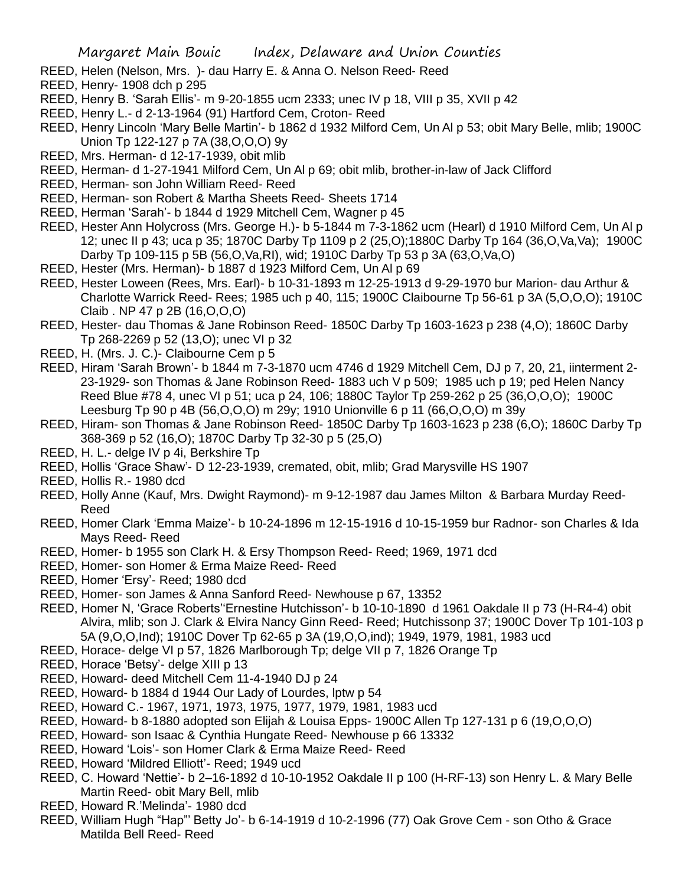- REED, Helen (Nelson, Mrs. )- dau Harry E. & Anna O. Nelson Reed- Reed
- REED, Henry- 1908 dch p 295
- REED, Henry B. 'Sarah Ellis'- m 9-20-1855 ucm 2333; unec IV p 18, VIII p 35, XVII p 42
- REED, Henry L.- d 2-13-1964 (91) Hartford Cem, Croton- Reed
- REED, Henry Lincoln 'Mary Belle Martin'- b 1862 d 1932 Milford Cem, Un Al p 53; obit Mary Belle, mlib; 1900C Union Tp 122-127 p 7A (38,O,O,O) 9y
- REED, Mrs. Herman- d 12-17-1939, obit mlib
- REED, Herman- d 1-27-1941 Milford Cem, Un Al p 69; obit mlib, brother-in-law of Jack Clifford
- REED, Herman- son John William Reed- Reed
- REED, Herman- son Robert & Martha Sheets Reed- Sheets 1714
- REED, Herman 'Sarah'- b 1844 d 1929 Mitchell Cem, Wagner p 45
- REED, Hester Ann Holycross (Mrs. George H.)- b 5-1844 m 7-3-1862 ucm (Hearl) d 1910 Milford Cem, Un Al p 12; unec II p 43; uca p 35; 1870C Darby Tp 1109 p 2 (25,O);1880C Darby Tp 164 (36,O,Va,Va); 1900C Darby Tp 109-115 p 5B (56,O,Va,RI), wid; 1910C Darby Tp 53 p 3A (63,O,Va,O)
- REED, Hester (Mrs. Herman)- b 1887 d 1923 Milford Cem, Un Al p 69
- REED, Hester Loween (Rees, Mrs. Earl)- b 10-31-1893 m 12-25-1913 d 9-29-1970 bur Marion- dau Arthur & Charlotte Warrick Reed- Rees; 1985 uch p 40, 115; 1900C Claibourne Tp 56-61 p 3A (5,O,O,O); 1910C Claib . NP 47 p 2B (16,O,O,O)
- REED, Hester- dau Thomas & Jane Robinson Reed- 1850C Darby Tp 1603-1623 p 238 (4,O); 1860C Darby Tp 268-2269 p 52 (13,O); unec VI p 32
- REED, H. (Mrs. J. C.)- Claibourne Cem p 5
- REED, Hiram 'Sarah Brown'- b 1844 m 7-3-1870 ucm 4746 d 1929 Mitchell Cem, DJ p 7, 20, 21, iinterment 2- 23-1929- son Thomas & Jane Robinson Reed- 1883 uch V p 509; 1985 uch p 19; ped Helen Nancy Reed Blue #78 4, unec VI p 51; uca p 24, 106; 1880C Taylor Tp 259-262 p 25 (36,O,O,O); 1900C Leesburg Tp 90 p 4B (56,O,O,O) m 29y; 1910 Unionville 6 p 11 (66,O,O,O) m 39y
- REED, Hiram- son Thomas & Jane Robinson Reed- 1850C Darby Tp 1603-1623 p 238 (6,O); 1860C Darby Tp 368-369 p 52 (16,O); 1870C Darby Tp 32-30 p 5 (25,O)
- REED, H. L.- delge IV p 4i, Berkshire Tp
- REED, Hollis 'Grace Shaw'- D 12-23-1939, cremated, obit, mlib; Grad Marysville HS 1907
- REED, Hollis R.- 1980 dcd
- REED, Holly Anne (Kauf, Mrs. Dwight Raymond)- m 9-12-1987 dau James Milton & Barbara Murday Reed-Reed
- REED, Homer Clark 'Emma Maize'- b 10-24-1896 m 12-15-1916 d 10-15-1959 bur Radnor- son Charles & Ida Mays Reed- Reed
- REED, Homer- b 1955 son Clark H. & Ersy Thompson Reed- Reed; 1969, 1971 dcd
- REED, Homer- son Homer & Erma Maize Reed- Reed
- REED, Homer 'Ersy'- Reed; 1980 dcd
- REED, Homer- son James & Anna Sanford Reed- Newhouse p 67, 13352
- REED, Homer N, 'Grace Roberts''Ernestine Hutchisson'- b 10-10-1890 d 1961 Oakdale II p 73 (H-R4-4) obit Alvira, mlib; son J. Clark & Elvira Nancy Ginn Reed- Reed; Hutchissonp 37; 1900C Dover Tp 101-103 p 5A (9,O,O,Ind); 1910C Dover Tp 62-65 p 3A (19,O,O,ind); 1949, 1979, 1981, 1983 ucd
- REED, Horace- delge VI p 57, 1826 Marlborough Tp; delge VII p 7, 1826 Orange Tp
- REED, Horace 'Betsy'- delge XIII p 13
- REED, Howard- deed Mitchell Cem 11-4-1940 DJ p 24
- REED, Howard- b 1884 d 1944 Our Lady of Lourdes, lptw p 54
- REED, Howard C.- 1967, 1971, 1973, 1975, 1977, 1979, 1981, 1983 ucd
- REED, Howard- b 8-1880 adopted son Elijah & Louisa Epps- 1900C Allen Tp 127-131 p 6 (19,O,O,O)
- REED, Howard- son Isaac & Cynthia Hungate Reed- Newhouse p 66 13332
- REED, Howard 'Lois'- son Homer Clark & Erma Maize Reed- Reed
- REED, Howard 'Mildred Elliott'- Reed; 1949 ucd
- REED, C. Howard 'Nettie'- b 2–16-1892 d 10-10-1952 Oakdale II p 100 (H-RF-13) son Henry L. & Mary Belle Martin Reed- obit Mary Bell, mlib
- REED, Howard R.'Melinda'- 1980 dcd
- REED, William Hugh "Hap"' Betty Jo'- b 6-14-1919 d 10-2-1996 (77) Oak Grove Cem son Otho & Grace Matilda Bell Reed- Reed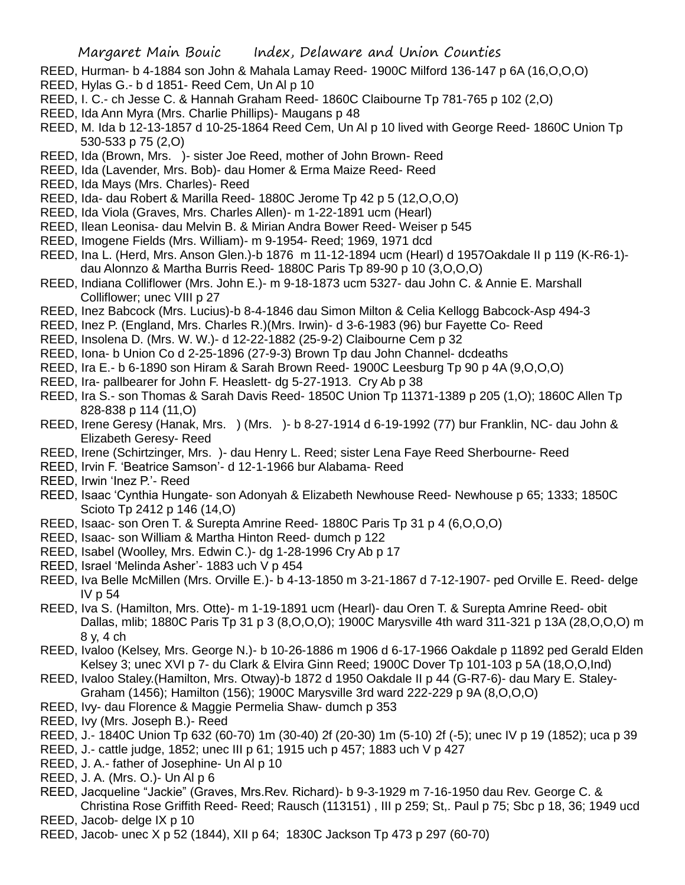- REED, Hurman- b 4-1884 son John & Mahala Lamay Reed- 1900C Milford 136-147 p 6A (16,O,O,O)
- REED, Hylas G.- b d 1851- Reed Cem, Un Al p 10
- REED, I. C.- ch Jesse C. & Hannah Graham Reed- 1860C Claibourne Tp 781-765 p 102 (2,O)
- REED, Ida Ann Myra (Mrs. Charlie Phillips)- Maugans p 48
- REED, M. Ida b 12-13-1857 d 10-25-1864 Reed Cem, Un Al p 10 lived with George Reed- 1860C Union Tp 530-533 p 75 (2,O)
- REED, Ida (Brown, Mrs. )- sister Joe Reed, mother of John Brown- Reed
- REED, Ida (Lavender, Mrs. Bob)- dau Homer & Erma Maize Reed- Reed
- REED, Ida Mays (Mrs. Charles)- Reed
- REED, Ida- dau Robert & Marilla Reed- 1880C Jerome Tp 42 p 5 (12,O,O,O)
- REED, Ida Viola (Graves, Mrs. Charles Allen)- m 1-22-1891 ucm (Hearl)
- REED, Ilean Leonisa- dau Melvin B. & Mirian Andra Bower Reed- Weiser p 545
- REED, Imogene Fields (Mrs. William)- m 9-1954- Reed; 1969, 1971 dcd
- REED, Ina L. (Herd, Mrs. Anson Glen.)-b 1876 m 11-12-1894 ucm (Hearl) d 1957Oakdale II p 119 (K-R6-1) dau Alonnzo & Martha Burris Reed- 1880C Paris Tp 89-90 p 10 (3,O,O,O)
- REED, Indiana Colliflower (Mrs. John E.)- m 9-18-1873 ucm 5327- dau John C. & Annie E. Marshall Colliflower; unec VIII p 27
- REED, Inez Babcock (Mrs. Lucius)-b 8-4-1846 dau Simon Milton & Celia Kellogg Babcock-Asp 494-3
- REED, Inez P. (England, Mrs. Charles R.)(Mrs. Irwin)- d 3-6-1983 (96) bur Fayette Co- Reed
- REED, Insolena D. (Mrs. W. W.)- d 12-22-1882 (25-9-2) Claibourne Cem p 32
- REED, Iona- b Union Co d 2-25-1896 (27-9-3) Brown Tp dau John Channel- dcdeaths
- REED, Ira E.- b 6-1890 son Hiram & Sarah Brown Reed- 1900C Leesburg Tp 90 p 4A (9,O,O,O)
- REED, Ira- pallbearer for John F. Heaslett- dg 5-27-1913. Cry Ab p 38
- REED, Ira S.- son Thomas & Sarah Davis Reed- 1850C Union Tp 11371-1389 p 205 (1,O); 1860C Allen Tp 828-838 p 114 (11,O)
- REED, Irene Geresy (Hanak, Mrs. ) (Mrs. )- b 8-27-1914 d 6-19-1992 (77) bur Franklin, NC- dau John & Elizabeth Geresy- Reed
- REED, Irene (Schirtzinger, Mrs. )- dau Henry L. Reed; sister Lena Faye Reed Sherbourne- Reed
- REED, Irvin F. 'Beatrice Samson'- d 12-1-1966 bur Alabama- Reed
- REED, Irwin 'Inez P.'- Reed
- REED, Isaac 'Cynthia Hungate- son Adonyah & Elizabeth Newhouse Reed- Newhouse p 65; 1333; 1850C Scioto Tp 2412 p 146 (14,O)
- REED, Isaac- son Oren T. & Surepta Amrine Reed- 1880C Paris Tp 31 p 4 (6,O,O,O)
- REED, Isaac- son William & Martha Hinton Reed- dumch p 122
- REED, Isabel (Woolley, Mrs. Edwin C.)- dg 1-28-1996 Cry Ab p 17
- REED, Israel 'Melinda Asher'- 1883 uch V p 454
- REED, Iva Belle McMillen (Mrs. Orville E.)- b 4-13-1850 m 3-21-1867 d 7-12-1907- ped Orville E. Reed- delge IV p 54
- REED, Iva S. (Hamilton, Mrs. Otte)- m 1-19-1891 ucm (Hearl)- dau Oren T. & Surepta Amrine Reed- obit Dallas, mlib; 1880C Paris Tp 31 p 3 (8,O,O,O); 1900C Marysville 4th ward 311-321 p 13A (28,O,O,O) m 8 y, 4 ch
- REED, Ivaloo (Kelsey, Mrs. George N.)- b 10-26-1886 m 1906 d 6-17-1966 Oakdale p 11892 ped Gerald Elden Kelsey 3; unec XVI p 7- du Clark & Elvira Ginn Reed; 1900C Dover Tp 101-103 p 5A (18,O,O,Ind)
- REED, Ivaloo Staley.(Hamilton, Mrs. Otway)-b 1872 d 1950 Oakdale II p 44 (G-R7-6)- dau Mary E. Staley-Graham (1456); Hamilton (156); 1900C Marysville 3rd ward 222-229 p 9A (8,O,O,O)
- REED, Ivy- dau Florence & Maggie Permelia Shaw- dumch p 353
- REED, Ivy (Mrs. Joseph B.)- Reed
- REED, J.- 1840C Union Tp 632 (60-70) 1m (30-40) 2f (20-30) 1m (5-10) 2f (-5); unec IV p 19 (1852); uca p 39
- REED, J.- cattle judge, 1852; unec III p 61; 1915 uch p 457; 1883 uch V p 427
- REED, J. A.- father of Josephine- Un Al p 10
- REED, J. A. (Mrs. O.)- Un Al p 6
- REED, Jacqueline "Jackie" (Graves, Mrs.Rev. Richard)- b 9-3-1929 m 7-16-1950 dau Rev. George C. & Christina Rose Griffith Reed- Reed; Rausch (113151) , III p 259; St,. Paul p 75; Sbc p 18, 36; 1949 ucd
- REED, Jacob- delge IX p 10
- REED, Jacob- unec X p 52 (1844), XII p 64; 1830C Jackson Tp 473 p 297 (60-70)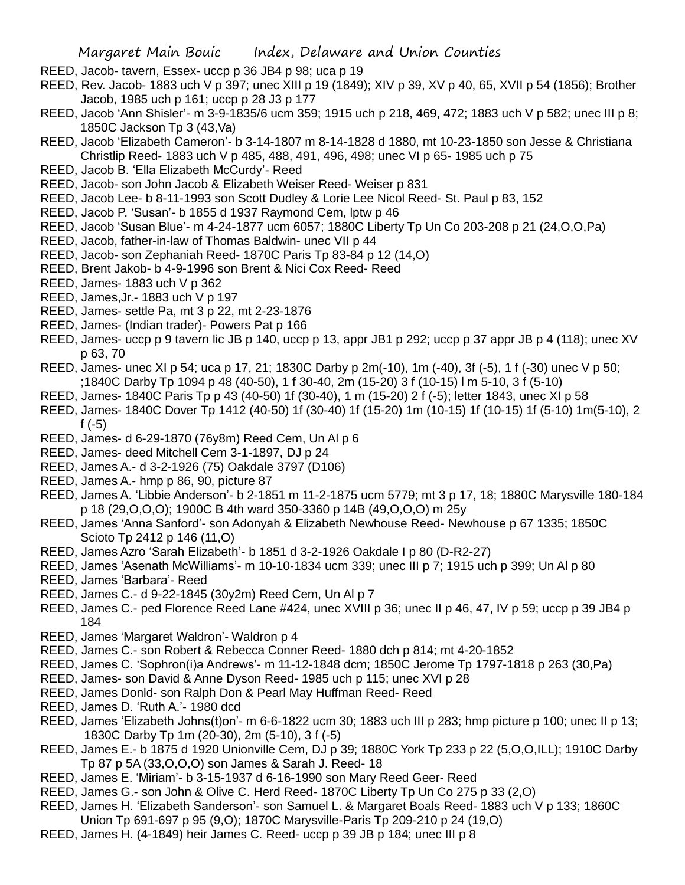- REED, Jacob- tavern, Essex- uccp p 36 JB4 p 98; uca p 19
- REED, Rev. Jacob- 1883 uch V p 397; unec XIII p 19 (1849); XIV p 39, XV p 40, 65, XVII p 54 (1856); Brother Jacob, 1985 uch p 161; uccp p 28 J3 p 177
- REED, Jacob 'Ann Shisler'- m 3-9-1835/6 ucm 359; 1915 uch p 218, 469, 472; 1883 uch V p 582; unec III p 8; 1850C Jackson Tp 3 (43,Va)
- REED, Jacob 'Elizabeth Cameron'- b 3-14-1807 m 8-14-1828 d 1880, mt 10-23-1850 son Jesse & Christiana Christlip Reed- 1883 uch V p 485, 488, 491, 496, 498; unec VI p 65- 1985 uch p 75
- REED, Jacob B. 'Ella Elizabeth McCurdy'- Reed
- REED, Jacob- son John Jacob & Elizabeth Weiser Reed- Weiser p 831
- REED, Jacob Lee- b 8-11-1993 son Scott Dudley & Lorie Lee Nicol Reed- St. Paul p 83, 152
- REED, Jacob P. 'Susan'- b 1855 d 1937 Raymond Cem, lptw p 46
- REED, Jacob 'Susan Blue'- m 4-24-1877 ucm 6057; 1880C Liberty Tp Un Co 203-208 p 21 (24,O,O,Pa)
- REED, Jacob, father-in-law of Thomas Baldwin- unec VII p 44
- REED, Jacob- son Zephaniah Reed- 1870C Paris Tp 83-84 p 12 (14,O)
- REED, Brent Jakob- b 4-9-1996 son Brent & Nici Cox Reed- Reed
- REED, James- 1883 uch V p 362
- REED, James,Jr.- 1883 uch V p 197
- REED, James- settle Pa, mt 3 p 22, mt 2-23-1876
- REED, James- (Indian trader)- Powers Pat p 166
- REED, James- uccp p 9 tavern lic JB p 140, uccp p 13, appr JB1 p 292; uccp p 37 appr JB p 4 (118); unec XV p 63, 70
- REED, James- unec XI p 54; uca p 17, 21; 1830C Darby p 2m(-10), 1m (-40), 3f (-5), 1 f (-30) unec V p 50; ;1840C Darby Tp 1094 p 48 (40-50), 1 f 30-40, 2m (15-20) 3 f (10-15) l m 5-10, 3 f (5-10)
- REED, James- 1840C Paris Tp p 43 (40-50) 1f (30-40), 1 m (15-20) 2 f (-5); letter 1843, unec XI p 58
- REED, James- 1840C Dover Tp 1412 (40-50) 1f (30-40) 1f (15-20) 1m (10-15) 1f (10-15) 1f (5-10) 1m(5-10), 2 f (-5)
- REED, James- d 6-29-1870 (76y8m) Reed Cem, Un Al p 6
- REED, James- deed Mitchell Cem 3-1-1897, DJ p 24
- REED, James A.- d 3-2-1926 (75) Oakdale 3797 (D106)
- REED, James A.- hmp p 86, 90, picture 87
- REED, James A. 'Libbie Anderson'- b 2-1851 m 11-2-1875 ucm 5779; mt 3 p 17, 18; 1880C Marysville 180-184 p 18 (29,O,O,O); 1900C B 4th ward 350-3360 p 14B (49,O,O,O) m 25y
- REED, James 'Anna Sanford'- son Adonyah & Elizabeth Newhouse Reed- Newhouse p 67 1335; 1850C Scioto Tp 2412 p 146 (11,O)
- REED, James Azro 'Sarah Elizabeth'- b 1851 d 3-2-1926 Oakdale I p 80 (D-R2-27)
- REED, James 'Asenath McWilliams'- m 10-10-1834 ucm 339; unec III p 7; 1915 uch p 399; Un Al p 80
- REED, James 'Barbara'- Reed
- REED, James C.- d 9-22-1845 (30y2m) Reed Cem, Un Al p 7
- REED, James C .- ped Florence Reed Lane #424, unec XVIII p 36; unec II p 46, 47, IV p 59; uccp p 39 JB4 p 184
- REED, James 'Margaret Waldron'- Waldron p 4
- REED, James C.- son Robert & Rebecca Conner Reed- 1880 dch p 814; mt 4-20-1852
- REED, James C. 'Sophron(i)a Andrews'- m 11-12-1848 dcm; 1850C Jerome Tp 1797-1818 p 263 (30,Pa)
- REED, James- son David & Anne Dyson Reed- 1985 uch p 115; unec XVI p 28
- REED, James Donld- son Ralph Don & Pearl May Huffman Reed- Reed
- REED, James D. 'Ruth A.'- 1980 dcd
- REED, James 'Elizabeth Johns(t)on'- m 6-6-1822 ucm 30; 1883 uch III p 283; hmp picture p 100; unec II p 13; 1830C Darby Tp 1m (20-30), 2m (5-10), 3 f (-5)
- REED, James E.- b 1875 d 1920 Unionville Cem, DJ p 39; 1880C York Tp 233 p 22 (5,O,O,ILL); 1910C Darby Tp 87 p 5A (33,O,O,O) son James & Sarah J. Reed- 18
- REED, James E. 'Miriam'- b 3-15-1937 d 6-16-1990 son Mary Reed Geer- Reed
- REED, James G.- son John & Olive C. Herd Reed- 1870C Liberty Tp Un Co 275 p 33 (2,O)
- REED, James H. 'Elizabeth Sanderson'- son Samuel L. & Margaret Boals Reed- 1883 uch V p 133; 1860C
- Union Tp 691-697 p 95 (9,O); 1870C Marysville-Paris Tp 209-210 p 24 (19,O)
- REED, James H. (4-1849) heir James C. Reed- uccp p 39 JB p 184; unec III p 8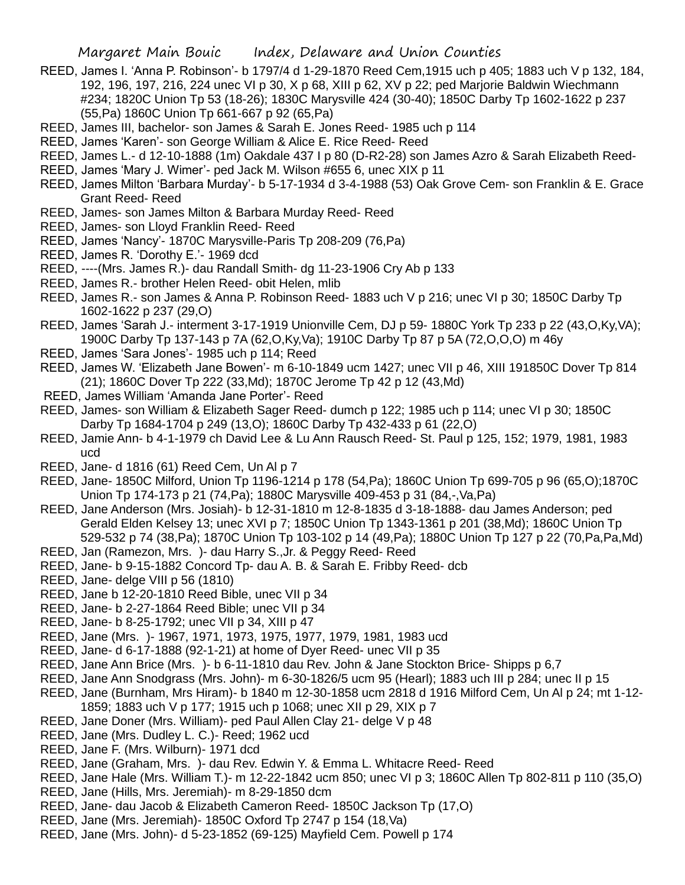- REED, James I. 'Anna P. Robinson'- b 1797/4 d 1-29-1870 Reed Cem,1915 uch p 405; 1883 uch V p 132, 184, 192, 196, 197, 216, 224 unec VI p 30, X p 68, XIII p 62, XV p 22; ped Marjorie Baldwin Wiechmann #234; 1820C Union Tp 53 (18-26); 1830C Marysville 424 (30-40); 1850C Darby Tp 1602-1622 p 237 (55,Pa) 1860C Union Tp 661-667 p 92 (65,Pa)
- REED, James III, bachelor- son James & Sarah E. Jones Reed- 1985 uch p 114
- REED, James 'Karen'- son George William & Alice E. Rice Reed- Reed
- REED, James L.- d 12-10-1888 (1m) Oakdale 437 I p 80 (D-R2-28) son James Azro & Sarah Elizabeth Reed-
- REED, James 'Mary J. Wimer'- ped Jack M. Wilson #655 6, unec XIX p 11
- REED, James Milton 'Barbara Murday'- b 5-17-1934 d 3-4-1988 (53) Oak Grove Cem- son Franklin & E. Grace Grant Reed- Reed
- REED, James- son James Milton & Barbara Murday Reed- Reed
- REED, James- son Lloyd Franklin Reed- Reed
- REED, James 'Nancy'- 1870C Marysville-Paris Tp 208-209 (76,Pa)
- REED, James R. 'Dorothy E.'- 1969 dcd
- REED, ----(Mrs. James R.)- dau Randall Smith- dg 11-23-1906 Cry Ab p 133
- REED, James R.- brother Helen Reed- obit Helen, mlib
- REED, James R.- son James & Anna P. Robinson Reed- 1883 uch V p 216; unec VI p 30; 1850C Darby Tp 1602-1622 p 237 (29,O)
- REED, James 'Sarah J.- interment 3-17-1919 Unionville Cem, DJ p 59- 1880C York Tp 233 p 22 (43,O,Ky,VA); 1900C Darby Tp 137-143 p 7A (62,O,Ky,Va); 1910C Darby Tp 87 p 5A (72,O,O,O) m 46y
- REED, James 'Sara Jones'- 1985 uch p 114; Reed
- REED, James W. 'Elizabeth Jane Bowen'- m 6-10-1849 ucm 1427; unec VII p 46, XIII 191850C Dover Tp 814 (21); 1860C Dover Tp 222 (33,Md); 1870C Jerome Tp 42 p 12 (43,Md)
- REED, James William 'Amanda Jane Porter'- Reed
- REED, James- son William & Elizabeth Sager Reed- dumch p 122; 1985 uch p 114; unec VI p 30; 1850C Darby Tp 1684-1704 p 249 (13,O); 1860C Darby Tp 432-433 p 61 (22,O)
- REED, Jamie Ann- b 4-1-1979 ch David Lee & Lu Ann Rausch Reed- St. Paul p 125, 152; 1979, 1981, 1983 ucd
- REED, Jane- d 1816 (61) Reed Cem, Un Al p 7
- REED, Jane- 1850C Milford, Union Tp 1196-1214 p 178 (54,Pa); 1860C Union Tp 699-705 p 96 (65,O);1870C Union Tp 174-173 p 21 (74,Pa); 1880C Marysville 409-453 p 31 (84,-,Va,Pa)
- REED, Jane Anderson (Mrs. Josiah)- b 12-31-1810 m 12-8-1835 d 3-18-1888- dau James Anderson; ped Gerald Elden Kelsey 13; unec XVI p 7; 1850C Union Tp 1343-1361 p 201 (38,Md); 1860C Union Tp 529-532 p 74 (38,Pa); 1870C Union Tp 103-102 p 14 (49,Pa); 1880C Union Tp 127 p 22 (70,Pa,Pa,Md)
- REED, Jan (Ramezon, Mrs. )- dau Harry S.,Jr. & Peggy Reed- Reed
- REED, Jane- b 9-15-1882 Concord Tp- dau A. B. & Sarah E. Fribby Reed- dcb
- REED, Jane- delge VIII p 56 (1810)
- REED, Jane b 12-20-1810 Reed Bible, unec VII p 34
- REED, Jane- b 2-27-1864 Reed Bible; unec VII p 34
- REED, Jane- b 8-25-1792; unec VII p 34, XIII p 47
- REED, Jane (Mrs. )- 1967, 1971, 1973, 1975, 1977, 1979, 1981, 1983 ucd
- REED, Jane- d 6-17-1888 (92-1-21) at home of Dyer Reed- unec VII p 35
- REED, Jane Ann Brice (Mrs. )- b 6-11-1810 dau Rev. John & Jane Stockton Brice- Shipps p 6,7
- REED, Jane Ann Snodgrass (Mrs. John)- m 6-30-1826/5 ucm 95 (Hearl); 1883 uch III p 284; unec II p 15
- REED, Jane (Burnham, Mrs Hiram)- b 1840 m 12-30-1858 ucm 2818 d 1916 Milford Cem, Un Al p 24; mt 1-12- 1859; 1883 uch V p 177; 1915 uch p 1068; unec XII p 29, XIX p 7
- REED, Jane Doner (Mrs. William)- ped Paul Allen Clay 21- delge V p 48
- REED, Jane (Mrs. Dudley L. C.)- Reed; 1962 ucd
- REED, Jane F. (Mrs. Wilburn)- 1971 dcd
- REED, Jane (Graham, Mrs. )- dau Rev. Edwin Y. & Emma L. Whitacre Reed- Reed
- REED, Jane Hale (Mrs. William T.)- m 12-22-1842 ucm 850; unec VI p 3; 1860C Allen Tp 802-811 p 110 (35,O)
- REED, Jane (Hills, Mrs. Jeremiah)- m 8-29-1850 dcm
- REED, Jane- dau Jacob & Elizabeth Cameron Reed- 1850C Jackson Tp (17,O)
- REED, Jane (Mrs. Jeremiah)- 1850C Oxford Tp 2747 p 154 (18,Va)
- REED, Jane (Mrs. John)- d 5-23-1852 (69-125) Mayfield Cem. Powell p 174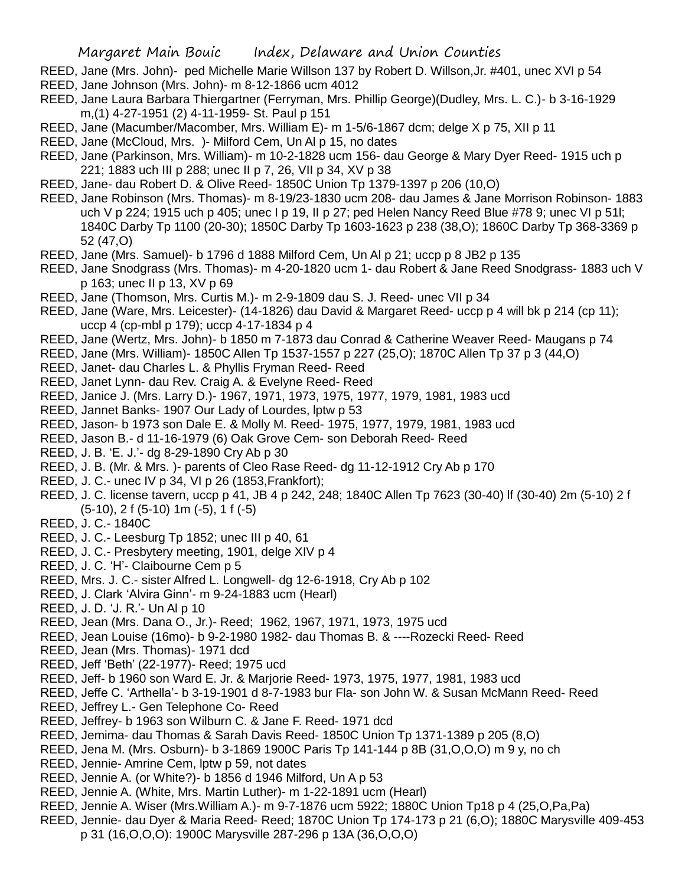- REED, Jane (Mrs. John)- ped Michelle Marie Willson 137 by Robert D. Willson,Jr. #401, unec XVI p 54 REED, Jane Johnson (Mrs. John)- m 8-12-1866 ucm 4012
- REED, Jane Laura Barbara Thiergartner (Ferryman, Mrs. Phillip George)(Dudley, Mrs. L. C.)- b 3-16-1929 m,(1) 4-27-1951 (2) 4-11-1959- St. Paul p 151
- REED, Jane (Macumber/Macomber, Mrs. William E)- m 1-5/6-1867 dcm; delge X p 75, XII p 11
- REED, Jane (McCloud, Mrs. )- Milford Cem, Un Al p 15, no dates
- REED, Jane (Parkinson, Mrs. William)- m 10-2-1828 ucm 156- dau George & Mary Dyer Reed- 1915 uch p 221; 1883 uch III p 288; unec II p 7, 26, VII p 34, XV p 38
- REED, Jane- dau Robert D. & Olive Reed- 1850C Union Tp 1379-1397 p 206 (10,O)
- REED, Jane Robinson (Mrs. Thomas)- m 8-19/23-1830 ucm 208- dau James & Jane Morrison Robinson- 1883 uch V p 224; 1915 uch p 405; unec I p 19, II p 27; ped Helen Nancy Reed Blue #78 9; unec VI p 51l; 1840C Darby Tp 1100 (20-30); 1850C Darby Tp 1603-1623 p 238 (38,O); 1860C Darby Tp 368-3369 p 52 (47,O)
- REED, Jane (Mrs. Samuel)- b 1796 d 1888 Milford Cem, Un Al p 21; uccp p 8 JB2 p 135
- REED, Jane Snodgrass (Mrs. Thomas)- m 4-20-1820 ucm 1- dau Robert & Jane Reed Snodgrass- 1883 uch V p 163; unec II p 13, XV p 69
- REED, Jane (Thomson, Mrs. Curtis M.)- m 2-9-1809 dau S. J. Reed- unec VII p 34
- REED, Jane (Ware, Mrs. Leicester)- (14-1826) dau David & Margaret Reed- uccp p 4 will bk p 214 (cp 11); uccp 4 (cp-mbl p 179); uccp 4-17-1834 p 4
- REED, Jane (Wertz, Mrs. John)- b 1850 m 7-1873 dau Conrad & Catherine Weaver Reed- Maugans p 74
- REED, Jane (Mrs. William)- 1850C Allen Tp 1537-1557 p 227 (25,O); 1870C Allen Tp 37 p 3 (44,O)
- REED, Janet- dau Charles L. & Phyllis Fryman Reed- Reed
- REED, Janet Lynn- dau Rev. Craig A. & Evelyne Reed- Reed
- REED, Janice J. (Mrs. Larry D.)- 1967, 1971, 1973, 1975, 1977, 1979, 1981, 1983 ucd
- REED, Jannet Banks- 1907 Our Lady of Lourdes, lptw p 53
- REED, Jason- b 1973 son Dale E. & Molly M. Reed- 1975, 1977, 1979, 1981, 1983 ucd
- REED, Jason B.- d 11-16-1979 (6) Oak Grove Cem- son Deborah Reed- Reed
- REED, J. B. 'E. J.'- dg 8-29-1890 Cry Ab p 30
- REED, J. B. (Mr. & Mrs. )- parents of Cleo Rase Reed- dg 11-12-1912 Cry Ab p 170
- REED, J. C.- unec IV p 34, VI p 26 (1853,Frankfort);
- REED, J. C. license tavern, uccp p 41, JB 4 p 242, 248; 1840C Allen Tp 7623 (30-40) lf (30-40) 2m (5-10) 2 f (5-10), 2 f (5-10) 1m (-5), 1 f (-5)
- REED, J. C.- 1840C
- REED, J. C.- Leesburg Tp 1852; unec III p 40, 61
- REED, J. C.- Presbytery meeting, 1901, delge XIV p 4
- REED, J. C. 'H'- Claibourne Cem p 5
- REED, Mrs. J. C.- sister Alfred L. Longwell- dg 12-6-1918, Cry Ab p 102
- REED, J. Clark 'Alvira Ginn'- m 9-24-1883 ucm (Hearl)
- REED, J. D. 'J. R.'- Un Al p 10
- REED, Jean (Mrs. Dana O., Jr.)- Reed; 1962, 1967, 1971, 1973, 1975 ucd
- REED, Jean Louise (16mo)- b 9-2-1980 1982- dau Thomas B. & ----Rozecki Reed- Reed
- REED, Jean (Mrs. Thomas)- 1971 dcd
- REED, Jeff 'Beth' (22-1977)- Reed; 1975 ucd
- REED, Jeff- b 1960 son Ward E. Jr. & Marjorie Reed- 1973, 1975, 1977, 1981, 1983 ucd
- REED, Jeffe C. 'Arthella'- b 3-19-1901 d 8-7-1983 bur Fla- son John W. & Susan McMann Reed- Reed REED, Jeffrey L.- Gen Telephone Co- Reed
- REED, Jeffrey- b 1963 son Wilburn C. & Jane F. Reed- 1971 dcd
- REED, Jemima- dau Thomas & Sarah Davis Reed- 1850C Union Tp 1371-1389 p 205 (8,O)
- REED, Jena M. (Mrs. Osburn)- b 3-1869 1900C Paris Tp 141-144 p 8B (31,O,O,O) m 9 y, no ch
- REED, Jennie- Amrine Cem, lptw p 59, not dates
- REED, Jennie A. (or White?)- b 1856 d 1946 Milford, Un A p 53
- REED, Jennie A. (White, Mrs. Martin Luther)- m 1-22-1891 ucm (Hearl)
- REED, Jennie A. Wiser (Mrs.William A.)- m 9-7-1876 ucm 5922; 1880C Union Tp18 p 4 (25,O,Pa,Pa)
- REED, Jennie- dau Dyer & Maria Reed- Reed; 1870C Union Tp 174-173 p 21 (6,O); 1880C Marysville 409-453 p 31 (16,O,O,O): 1900C Marysville 287-296 p 13A (36,O,O,O)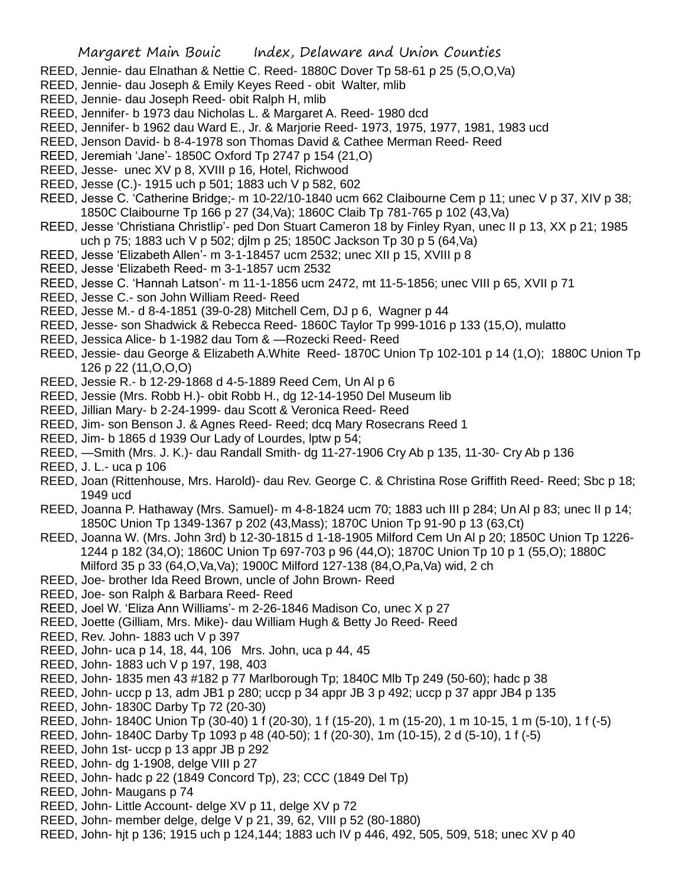- REED, Jennie- dau Elnathan & Nettie C. Reed- 1880C Dover Tp 58-61 p 25 (5,O,O,Va)
- REED, Jennie- dau Joseph & Emily Keyes Reed obit Walter, mlib
- REED, Jennie- dau Joseph Reed- obit Ralph H, mlib
- REED, Jennifer- b 1973 dau Nicholas L. & Margaret A. Reed- 1980 dcd
- REED, Jennifer- b 1962 dau Ward E., Jr. & Marjorie Reed- 1973, 1975, 1977, 1981, 1983 ucd
- REED, Jenson David- b 8-4-1978 son Thomas David & Cathee Merman Reed- Reed
- REED, Jeremiah 'Jane'- 1850C Oxford Tp 2747 p 154 (21,O)
- REED, Jesse- unec XV p 8, XVIII p 16, Hotel, Richwood
- REED, Jesse (C.)- 1915 uch p 501; 1883 uch V p 582, 602
- REED, Jesse C. 'Catherine Bridge;- m 10-22/10-1840 ucm 662 Claibourne Cem p 11; unec V p 37, XIV p 38; 1850C Claibourne Tp 166 p 27 (34,Va); 1860C Claib Tp 781-765 p 102 (43,Va)
- REED, Jesse 'Christiana Christlip'- ped Don Stuart Cameron 18 by Finley Ryan, unec II p 13, XX p 21; 1985 uch p 75; 1883 uch V p 502; djlm p 25; 1850C Jackson Tp 30 p 5 (64,Va)
- REED, Jesse 'Elizabeth Allen'- m 3-1-18457 ucm 2532; unec XII p 15, XVIII p 8
- REED, Jesse 'Elizabeth Reed- m 3-1-1857 ucm 2532
- REED, Jesse C. 'Hannah Latson'- m 11-1-1856 ucm 2472, mt 11-5-1856; unec VIII p 65, XVII p 71
- REED, Jesse C.- son John William Reed- Reed
- REED, Jesse M.- d 8-4-1851 (39-0-28) Mitchell Cem, DJ p 6, Wagner p 44
- REED, Jesse- son Shadwick & Rebecca Reed- 1860C Taylor Tp 999-1016 p 133 (15,O), mulatto
- REED, Jessica Alice- b 1-1982 dau Tom & —Rozecki Reed- Reed
- REED, Jessie- dau George & Elizabeth A.White Reed- 1870C Union Tp 102-101 p 14 (1,O); 1880C Union Tp 126 p 22 (11,O,O,O)
- REED, Jessie R.- b 12-29-1868 d 4-5-1889 Reed Cem, Un Al p 6
- REED, Jessie (Mrs. Robb H.)- obit Robb H., dg 12-14-1950 Del Museum lib
- REED, Jillian Mary- b 2-24-1999- dau Scott & Veronica Reed- Reed
- REED, Jim- son Benson J. & Agnes Reed- Reed; dcq Mary Rosecrans Reed 1
- REED, Jim- b 1865 d 1939 Our Lady of Lourdes, lptw p 54;
- REED, —Smith (Mrs. J. K.)- dau Randall Smith- dg 11-27-1906 Cry Ab p 135, 11-30- Cry Ab p 136
- REED, J. L.- uca p 106
- REED, Joan (Rittenhouse, Mrs. Harold)- dau Rev. George C. & Christina Rose Griffith Reed- Reed; Sbc p 18; 1949 ucd
- REED, Joanna P. Hathaway (Mrs. Samuel)- m 4-8-1824 ucm 70; 1883 uch III p 284; Un Al p 83; unec II p 14; 1850C Union Tp 1349-1367 p 202 (43,Mass); 1870C Union Tp 91-90 p 13 (63,Ct)
- REED, Joanna W. (Mrs. John 3rd) b 12-30-1815 d 1-18-1905 Milford Cem Un Al p 20; 1850C Union Tp 1226- 1244 p 182 (34,O); 1860C Union Tp 697-703 p 96 (44,O); 1870C Union Tp 10 p 1 (55,O); 1880C Milford 35 p 33 (64,O,Va,Va); 1900C Milford 127-138 (84,O,Pa,Va) wid, 2 ch
- REED, Joe- brother Ida Reed Brown, uncle of John Brown- Reed
- REED, Joe- son Ralph & Barbara Reed- Reed
- REED, Joel W. 'Eliza Ann Williams'- m 2-26-1846 Madison Co, unec X p 27
- REED, Joette (Gilliam, Mrs. Mike)- dau William Hugh & Betty Jo Reed- Reed
- REED, Rev. John- 1883 uch V p 397
- REED, John- uca p 14, 18, 44, 106 Mrs. John, uca p 44, 45
- REED, John- 1883 uch V p 197, 198, 403
- REED, John- 1835 men 43 #182 p 77 Marlborough Tp; 1840C Mlb Tp 249 (50-60); hadc p 38
- REED, John- uccp p 13, adm JB1 p 280; uccp p 34 appr JB 3 p 492; uccp p 37 appr JB4 p 135
- REED, John- 1830C Darby Tp 72 (20-30)
- REED, John- 1840C Union Tp (30-40) 1 f (20-30), 1 f (15-20), 1 m (15-20), 1 m 10-15, 1 m (5-10), 1 f (-5)
- REED, John- 1840C Darby Tp 1093 p 48 (40-50); 1 f (20-30), 1m (10-15), 2 d (5-10), 1 f (-5)
- REED, John 1st- uccp p 13 appr JB p 292
- REED, John- dg 1-1908, delge VIII p 27
- REED, John- hadc p 22 (1849 Concord Tp), 23; CCC (1849 Del Tp)
- REED, John- Maugans p 74
- REED, John- Little Account- delge XV p 11, delge XV p 72
- REED, John- member delge, delge V p 21, 39, 62, VIII p 52 (80-1880)
- REED, John- hjt p 136; 1915 uch p 124,144; 1883 uch IV p 446, 492, 505, 509, 518; unec XV p 40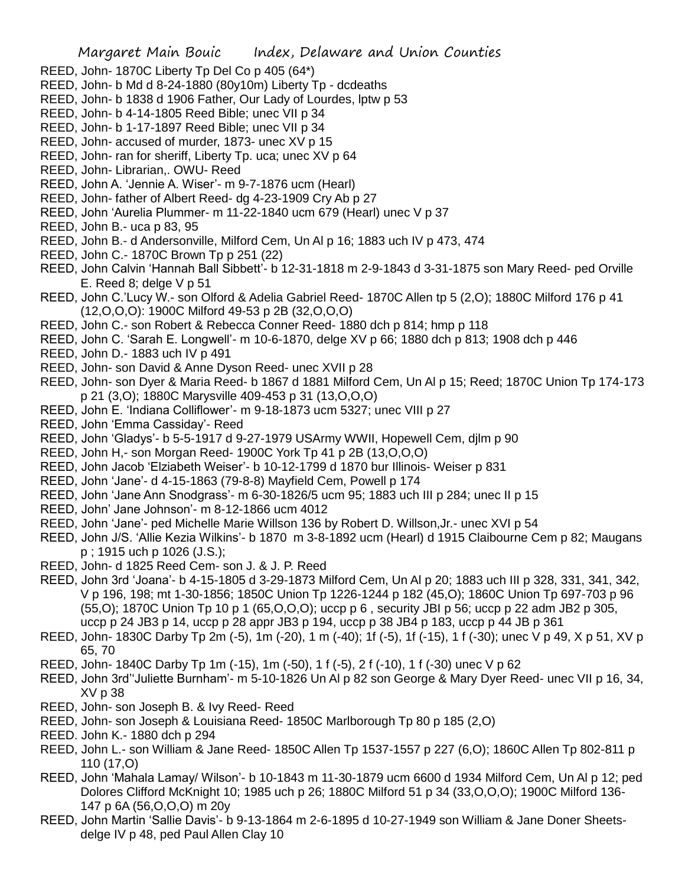- REED, John- 1870C Liberty Tp Del Co p 405 (64\*)
- REED, John- b Md d 8-24-1880 (80y10m) Liberty Tp dcdeaths
- REED, John- b 1838 d 1906 Father, Our Lady of Lourdes, lptw p 53
- REED, John- b 4-14-1805 Reed Bible; unec VII p 34
- REED, John- b 1-17-1897 Reed Bible; unec VII p 34
- REED, John- accused of murder, 1873- unec XV p 15
- REED, John- ran for sheriff, Liberty Tp. uca; unec XV p 64
- REED, John- Librarian,. OWU- Reed
- REED, John A. 'Jennie A. Wiser'- m 9-7-1876 ucm (Hearl)
- REED, John- father of Albert Reed- dg 4-23-1909 Cry Ab p 27
- REED, John 'Aurelia Plummer- m 11-22-1840 ucm 679 (Hearl) unec V p 37
- REED, John B.- uca p 83, 95
- REED, John B.- d Andersonville, Milford Cem, Un Al p 16; 1883 uch IV p 473, 474
- REED, John C.- 1870C Brown Tp p 251 (22)
- REED, John Calvin 'Hannah Ball Sibbett'- b 12-31-1818 m 2-9-1843 d 3-31-1875 son Mary Reed- ped Orville E. Reed 8; delge V p 51
- REED, John C.'Lucy W.- son Olford & Adelia Gabriel Reed- 1870C Allen tp 5 (2,O); 1880C Milford 176 p 41 (12,O,O,O): 1900C Milford 49-53 p 2B (32,O,O,O)
- REED, John C.- son Robert & Rebecca Conner Reed- 1880 dch p 814; hmp p 118
- REED, John C. 'Sarah E. Longwell'- m 10-6-1870, delge XV p 66; 1880 dch p 813; 1908 dch p 446
- REED, John D.- 1883 uch IV p 491
- REED, John- son David & Anne Dyson Reed- unec XVII p 28
- REED, John- son Dyer & Maria Reed- b 1867 d 1881 Milford Cem, Un Al p 15; Reed; 1870C Union Tp 174-173 p 21 (3,O); 1880C Marysville 409-453 p 31 (13,O,O,O)
- REED, John E. 'Indiana Colliflower'- m 9-18-1873 ucm 5327; unec VIII p 27
- REED, John 'Emma Cassiday'- Reed
- REED, John 'Gladys'- b 5-5-1917 d 9-27-1979 USArmy WWII, Hopewell Cem, djlm p 90
- REED, John H,- son Morgan Reed- 1900C York Tp 41 p 2B (13,O,O,O)
- REED, John Jacob 'Elziabeth Weiser'- b 10-12-1799 d 1870 bur Illinois- Weiser p 831
- REED, John 'Jane'- d 4-15-1863 (79-8-8) Mayfield Cem, Powell p 174
- REED, John 'Jane Ann Snodgrass'- m 6-30-1826/5 ucm 95; 1883 uch III p 284; unec II p 15
- REED, John' Jane Johnson'- m 8-12-1866 ucm 4012
- REED, John 'Jane'- ped Michelle Marie Willson 136 by Robert D. Willson,Jr.- unec XVI p 54
- REED, John J/S. 'Allie Kezia Wilkins'- b 1870 m 3-8-1892 ucm (Hearl) d 1915 Claibourne Cem p 82; Maugans p ; 1915 uch p 1026 (J.S.);
- REED, John- d 1825 Reed Cem- son J. & J. P. Reed
- REED, John 3rd 'Joana'- b 4-15-1805 d 3-29-1873 Milford Cem, Un Al p 20; 1883 uch III p 328, 331, 341, 342, V p 196, 198; mt 1-30-1856; 1850C Union Tp 1226-1244 p 182 (45,O); 1860C Union Tp 697-703 p 96 (55,O); 1870C Union Tp 10 p 1 (65,O,O,O); uccp p 6 , security JBI p 56; uccp p 22 adm JB2 p 305, uccp p 24 JB3 p 14, uccp p 28 appr JB3 p 194, uccp p 38 JB4 p 183, uccp p 44 JB p 361
- REED, John- 1830C Darby Tp 2m (-5), 1m (-20), 1 m (-40); 1f (-5), 1f (-15), 1 f (-30); unec V p 49, X p 51, XV p 65, 70
- REED, John- 1840C Darby Tp 1m (-15), 1m (-50), 1 f (-5), 2 f (-10), 1 f (-30) unec V p 62
- REED, John 3rd''Juliette Burnham'- m 5-10-1826 Un Al p 82 son George & Mary Dyer Reed- unec VII p 16, 34, XV p 38
- REED, John- son Joseph B. & Ivy Reed- Reed
- REED, John- son Joseph & Louisiana Reed- 1850C Marlborough Tp 80 p 185 (2,O)
- REED. John K.- 1880 dch p 294
- REED, John L.- son William & Jane Reed- 1850C Allen Tp 1537-1557 p 227 (6,O); 1860C Allen Tp 802-811 p 110 (17,O)
- REED, John 'Mahala Lamay/ Wilson'- b 10-1843 m 11-30-1879 ucm 6600 d 1934 Milford Cem, Un Al p 12; ped Dolores Clifford McKnight 10; 1985 uch p 26; 1880C Milford 51 p 34 (33,O,O,O); 1900C Milford 136- 147 p 6A (56,O,O,O) m 20y
- REED, John Martin 'Sallie Davis'- b 9-13-1864 m 2-6-1895 d 10-27-1949 son William & Jane Doner Sheetsdelge IV p 48, ped Paul Allen Clay 10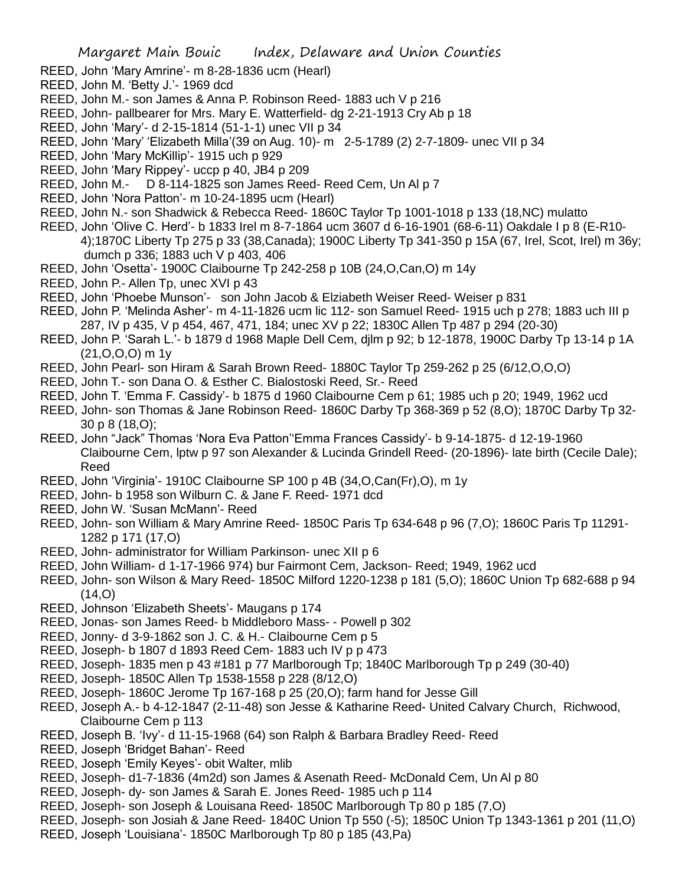- REED, John 'Mary Amrine'- m 8-28-1836 ucm (Hearl)
- REED, John M. 'Betty J.'- 1969 dcd
- REED, John M.- son James & Anna P. Robinson Reed- 1883 uch V p 216
- REED, John- pallbearer for Mrs. Mary E. Watterfield- dg 2-21-1913 Cry Ab p 18
- REED, John 'Mary'- d 2-15-1814 (51-1-1) unec VII p 34
- REED, John 'Mary' 'Elizabeth Milla'(39 on Aug. 10)- m 2-5-1789 (2) 2-7-1809- unec VII p 34
- REED, John 'Mary McKillip'- 1915 uch p 929
- REED, John 'Mary Rippey'- uccp p 40, JB4 p 209
- REED, John M.- D 8-114-1825 son James Reed- Reed Cem, Un Al p 7
- REED, John 'Nora Patton'- m 10-24-1895 ucm (Hearl)
- REED, John N.- son Shadwick & Rebecca Reed- 1860C Taylor Tp 1001-1018 p 133 (18,NC) mulatto
- REED, John 'Olive C. Herd'- b 1833 Irel m 8-7-1864 ucm 3607 d 6-16-1901 (68-6-11) Oakdale I p 8 (E-R10- 4);1870C Liberty Tp 275 p 33 (38,Canada); 1900C Liberty Tp 341-350 p 15A (67, Irel, Scot, Irel) m 36y; dumch p 336; 1883 uch V p 403, 406
- REED, John 'Osetta'- 1900C Claibourne Tp 242-258 p 10B (24,O,Can,O) m 14y
- REED, John P.- Allen Tp, unec XVI p 43
- REED, John 'Phoebe Munson'- son John Jacob & Elziabeth Weiser Reed- Weiser p 831
- REED, John P. 'Melinda Asher'- m 4-11-1826 ucm lic 112- son Samuel Reed- 1915 uch p 278; 1883 uch III p 287, IV p 435, V p 454, 467, 471, 184; unec XV p 22; 1830C Allen Tp 487 p 294 (20-30)
- REED, John P. 'Sarah L.'- b 1879 d 1968 Maple Dell Cem, djlm p 92; b 12-1878, 1900C Darby Tp 13-14 p 1A (21,O,O,O) m 1y
- REED, John Pearl- son Hiram & Sarah Brown Reed- 1880C Taylor Tp 259-262 p 25 (6/12,O,O,O)
- REED, John T.- son Dana O. & Esther C. Bialostoski Reed, Sr.- Reed
- REED, John T. 'Emma F. Cassidy'- b 1875 d 1960 Claibourne Cem p 61; 1985 uch p 20; 1949, 1962 ucd
- REED, John- son Thomas & Jane Robinson Reed- 1860C Darby Tp 368-369 p 52 (8,O); 1870C Darby Tp 32- 30 p 8 (18,O);
- REED, John "Jack" Thomas 'Nora Eva Patton''Emma Frances Cassidy'- b 9-14-1875- d 12-19-1960 Claibourne Cem, lptw p 97 son Alexander & Lucinda Grindell Reed- (20-1896)- late birth (Cecile Dale); Reed
- REED, John 'Virginia'- 1910C Claibourne SP 100 p 4B (34,O,Can(Fr),O), m 1y
- REED, John- b 1958 son Wilburn C. & Jane F. Reed- 1971 dcd
- REED, John W. 'Susan McMann'- Reed
- REED, John- son William & Mary Amrine Reed- 1850C Paris Tp 634-648 p 96 (7,O); 1860C Paris Tp 11291- 1282 p 171 (17,O)
- REED, John- administrator for William Parkinson- unec XII p 6
- REED, John William- d 1-17-1966 974) bur Fairmont Cem, Jackson- Reed; 1949, 1962 ucd
- REED, John- son Wilson & Mary Reed- 1850C Milford 1220-1238 p 181 (5,O); 1860C Union Tp 682-688 p 94  $(14, 0)$
- REED, Johnson 'Elizabeth Sheets'- Maugans p 174
- REED, Jonas- son James Reed- b Middleboro Mass- Powell p 302
- REED, Jonny- d 3-9-1862 son J. C. & H.- Claibourne Cem p 5
- REED, Joseph- b 1807 d 1893 Reed Cem- 1883 uch IV p p 473
- REED, Joseph- 1835 men p 43 #181 p 77 Marlborough Tp; 1840C Marlborough Tp p 249 (30-40)
- REED, Joseph- 1850C Allen Tp 1538-1558 p 228 (8/12,O)
- REED, Joseph- 1860C Jerome Tp 167-168 p 25 (20,O); farm hand for Jesse Gill
- REED, Joseph A.- b 4-12-1847 (2-11-48) son Jesse & Katharine Reed- United Calvary Church, Richwood, Claibourne Cem p 113
- REED, Joseph B. 'Ivy'- d 11-15-1968 (64) son Ralph & Barbara Bradley Reed- Reed
- REED, Joseph 'Bridget Bahan'- Reed
- REED, Joseph 'Emily Keyes'- obit Walter, mlib
- REED, Joseph- d1-7-1836 (4m2d) son James & Asenath Reed- McDonald Cem, Un Al p 80
- REED, Joseph- dy- son James & Sarah E. Jones Reed- 1985 uch p 114
- REED, Joseph- son Joseph & Louisana Reed- 1850C Marlborough Tp 80 p 185 (7,O)
- REED, Joseph- son Josiah & Jane Reed- 1840C Union Tp 550 (-5); 1850C Union Tp 1343-1361 p 201 (11,O)
- REED, Joseph 'Louisiana'- 1850C Marlborough Tp 80 p 185 (43,Pa)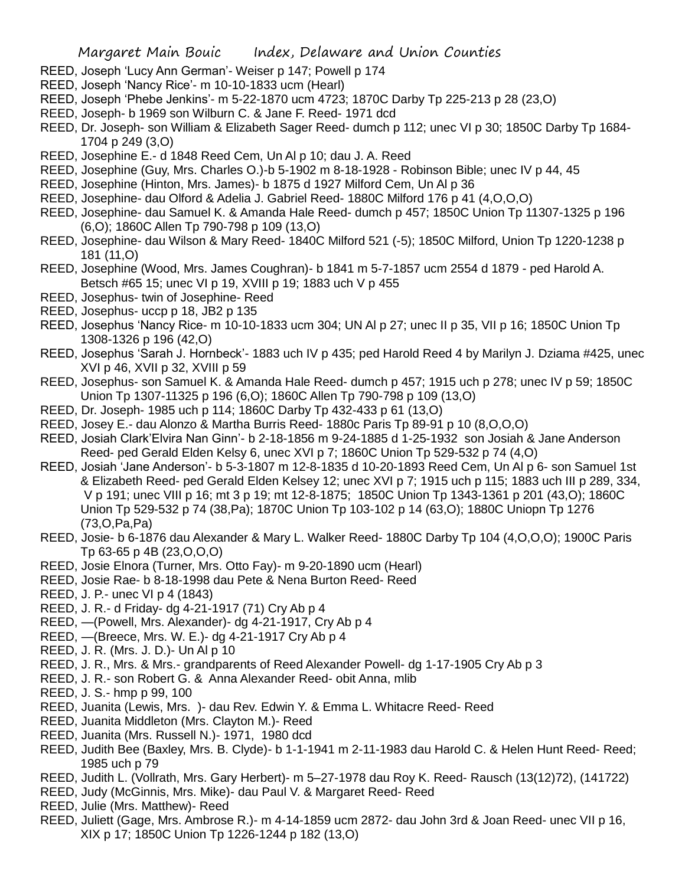- REED, Joseph 'Lucy Ann German'- Weiser p 147; Powell p 174
- REED, Joseph 'Nancy Rice'- m 10-10-1833 ucm (Hearl)
- REED, Joseph 'Phebe Jenkins'- m 5-22-1870 ucm 4723; 1870C Darby Tp 225-213 p 28 (23,O)
- REED, Joseph- b 1969 son Wilburn C. & Jane F. Reed- 1971 dcd
- REED, Dr. Joseph- son William & Elizabeth Sager Reed- dumch p 112; unec VI p 30; 1850C Darby Tp 1684- 1704 p 249 (3,O)
- REED, Josephine E.- d 1848 Reed Cem, Un Al p 10; dau J. A. Reed
- REED, Josephine (Guy, Mrs. Charles O.)-b 5-1902 m 8-18-1928 Robinson Bible; unec IV p 44, 45
- REED, Josephine (Hinton, Mrs. James)- b 1875 d 1927 Milford Cem, Un Al p 36
- REED, Josephine- dau Olford & Adelia J. Gabriel Reed- 1880C Milford 176 p 41 (4,O,O,O)
- REED, Josephine- dau Samuel K. & Amanda Hale Reed- dumch p 457; 1850C Union Tp 11307-1325 p 196 (6,O); 1860C Allen Tp 790-798 p 109 (13,O)
- REED, Josephine- dau Wilson & Mary Reed- 1840C Milford 521 (-5); 1850C Milford, Union Tp 1220-1238 p 181 (11,O)
- REED, Josephine (Wood, Mrs. James Coughran)- b 1841 m 5-7-1857 ucm 2554 d 1879 ped Harold A. Betsch #65 15; unec VI p 19, XVIII p 19; 1883 uch V p 455
- REED, Josephus- twin of Josephine- Reed
- REED, Josephus- uccp p 18, JB2 p 135
- REED, Josephus 'Nancy Rice- m 10-10-1833 ucm 304; UN Al p 27; unec II p 35, VII p 16; 1850C Union Tp 1308-1326 p 196 (42,O)
- REED, Josephus 'Sarah J. Hornbeck'- 1883 uch IV p 435; ped Harold Reed 4 by Marilyn J. Dziama #425, unec XVI p 46, XVII p 32, XVIII p 59
- REED, Josephus- son Samuel K. & Amanda Hale Reed- dumch p 457; 1915 uch p 278; unec IV p 59; 1850C Union Tp 1307-11325 p 196 (6,O); 1860C Allen Tp 790-798 p 109 (13,O)
- REED, Dr. Joseph- 1985 uch p 114; 1860C Darby Tp 432-433 p 61 (13,O)
- REED, Josey E.- dau Alonzo & Martha Burris Reed- 1880c Paris Tp 89-91 p 10 (8,O,O,O)
- REED, Josiah Clark'Elvira Nan Ginn'- b 2-18-1856 m 9-24-1885 d 1-25-1932 son Josiah & Jane Anderson Reed- ped Gerald Elden Kelsy 6, unec XVI p 7; 1860C Union Tp 529-532 p 74 (4,O)
- REED, Josiah 'Jane Anderson'- b 5-3-1807 m 12-8-1835 d 10-20-1893 Reed Cem, Un Al p 6- son Samuel 1st & Elizabeth Reed- ped Gerald Elden Kelsey 12; unec XVI p 7; 1915 uch p 115; 1883 uch III p 289, 334, V p 191; unec VIII p 16; mt 3 p 19; mt 12-8-1875; 1850C Union Tp 1343-1361 p 201 (43,O); 1860C Union Tp 529-532 p 74 (38,Pa); 1870C Union Tp 103-102 p 14 (63,O); 1880C Uniopn Tp 1276 (73,O,Pa,Pa)
- REED, Josie- b 6-1876 dau Alexander & Mary L. Walker Reed- 1880C Darby Tp 104 (4,O,O,O); 1900C Paris Tp 63-65 p 4B (23,O,O,O)
- REED, Josie Elnora (Turner, Mrs. Otto Fay)- m 9-20-1890 ucm (Hearl)
- REED, Josie Rae- b 8-18-1998 dau Pete & Nena Burton Reed- Reed
- REED, J. P.- unec VI p 4 (1843)
- REED, J. R.- d Friday- dg 4-21-1917 (71) Cry Ab p 4
- REED, —(Powell, Mrs. Alexander)- dg 4-21-1917, Cry Ab p 4
- REED, —(Breece, Mrs. W. E.)- dg 4-21-1917 Cry Ab p 4
- REED, J. R. (Mrs. J. D.)- Un Al p 10
- REED, J. R., Mrs. & Mrs.- grandparents of Reed Alexander Powell- dg 1-17-1905 Cry Ab p 3
- REED, J. R.- son Robert G. & Anna Alexander Reed- obit Anna, mlib
- REED, J. S.- hmp p 99, 100
- REED, Juanita (Lewis, Mrs. )- dau Rev. Edwin Y. & Emma L. Whitacre Reed- Reed
- REED, Juanita Middleton (Mrs. Clayton M.)- Reed
- REED, Juanita (Mrs. Russell N.)- 1971, 1980 dcd
- REED, Judith Bee (Baxley, Mrs. B. Clyde)- b 1-1-1941 m 2-11-1983 dau Harold C. & Helen Hunt Reed- Reed; 1985 uch p 79
- REED, Judith L. (Vollrath, Mrs. Gary Herbert)- m 5–27-1978 dau Roy K. Reed- Rausch (13(12)72), (141722)
- REED, Judy (McGinnis, Mrs. Mike)- dau Paul V. & Margaret Reed- Reed
- REED, Julie (Mrs. Matthew)- Reed
- REED, Juliett (Gage, Mrs. Ambrose R.)- m 4-14-1859 ucm 2872- dau John 3rd & Joan Reed- unec VII p 16, XIX p 17; 1850C Union Tp 1226-1244 p 182 (13,O)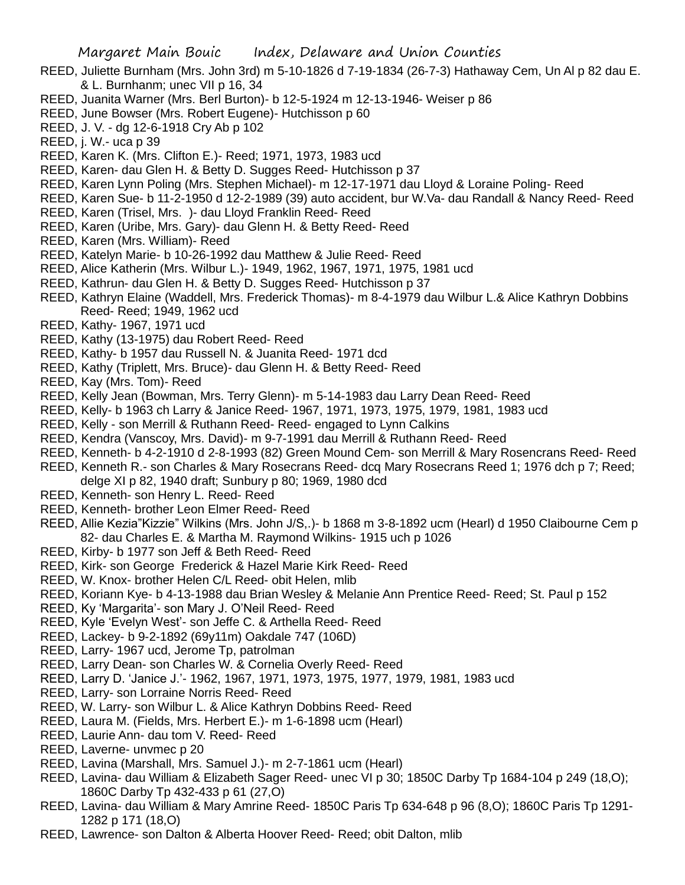- REED, Juliette Burnham (Mrs. John 3rd) m 5-10-1826 d 7-19-1834 (26-7-3) Hathaway Cem, Un Al p 82 dau E. & L. Burnhanm; unec VII p 16, 34
- REED, Juanita Warner (Mrs. Berl Burton)- b 12-5-1924 m 12-13-1946- Weiser p 86
- REED, June Bowser (Mrs. Robert Eugene)- Hutchisson p 60
- REED, J. V. dg 12-6-1918 Cry Ab p 102
- REED, j. W.- uca p 39
- REED, Karen K. (Mrs. Clifton E.)- Reed; 1971, 1973, 1983 ucd
- REED, Karen- dau Glen H. & Betty D. Sugges Reed- Hutchisson p 37
- REED, Karen Lynn Poling (Mrs. Stephen Michael)- m 12-17-1971 dau Lloyd & Loraine Poling- Reed
- REED, Karen Sue- b 11-2-1950 d 12-2-1989 (39) auto accident, bur W.Va- dau Randall & Nancy Reed- Reed
- REED, Karen (Trisel, Mrs. )- dau Lloyd Franklin Reed- Reed
- REED, Karen (Uribe, Mrs. Gary)- dau Glenn H. & Betty Reed- Reed
- REED, Karen (Mrs. William)- Reed
- REED, Katelyn Marie- b 10-26-1992 dau Matthew & Julie Reed- Reed
- REED, Alice Katherin (Mrs. Wilbur L.)- 1949, 1962, 1967, 1971, 1975, 1981 ucd
- REED, Kathrun- dau Glen H. & Betty D. Sugges Reed- Hutchisson p 37
- REED, Kathryn Elaine (Waddell, Mrs. Frederick Thomas)- m 8-4-1979 dau Wilbur L.& Alice Kathryn Dobbins Reed- Reed; 1949, 1962 ucd
- REED, Kathy- 1967, 1971 ucd
- REED, Kathy (13-1975) dau Robert Reed- Reed
- REED, Kathy- b 1957 dau Russell N. & Juanita Reed- 1971 dcd
- REED, Kathy (Triplett, Mrs. Bruce)- dau Glenn H. & Betty Reed- Reed
- REED, Kay (Mrs. Tom)- Reed
- REED, Kelly Jean (Bowman, Mrs. Terry Glenn)- m 5-14-1983 dau Larry Dean Reed- Reed
- REED, Kelly- b 1963 ch Larry & Janice Reed- 1967, 1971, 1973, 1975, 1979, 1981, 1983 ucd
- REED, Kelly son Merrill & Ruthann Reed- Reed- engaged to Lynn Calkins
- REED, Kendra (Vanscoy, Mrs. David)- m 9-7-1991 dau Merrill & Ruthann Reed- Reed
- REED, Kenneth- b 4-2-1910 d 2-8-1993 (82) Green Mound Cem- son Merrill & Mary Rosencrans Reed- Reed
- REED, Kenneth R.- son Charles & Mary Rosecrans Reed- dcq Mary Rosecrans Reed 1; 1976 dch p 7; Reed; delge XI p 82, 1940 draft; Sunbury p 80; 1969, 1980 dcd
- REED, Kenneth- son Henry L. Reed- Reed
- REED, Kenneth- brother Leon Elmer Reed- Reed
- REED, Allie Kezia"Kizzie" Wilkins (Mrs. John J/S,.)- b 1868 m 3-8-1892 ucm (Hearl) d 1950 Claibourne Cem p 82- dau Charles E. & Martha M. Raymond Wilkins- 1915 uch p 1026
- REED, Kirby- b 1977 son Jeff & Beth Reed- Reed
- REED, Kirk- son George Frederick & Hazel Marie Kirk Reed- Reed
- REED, W. Knox- brother Helen C/L Reed- obit Helen, mlib
- REED, Koriann Kye- b 4-13-1988 dau Brian Wesley & Melanie Ann Prentice Reed- Reed; St. Paul p 152
- REED, Ky 'Margarita'- son Mary J. O'Neil Reed- Reed
- REED, Kyle 'Evelyn West'- son Jeffe C. & Arthella Reed- Reed
- REED, Lackey- b 9-2-1892 (69y11m) Oakdale 747 (106D)
- REED, Larry- 1967 ucd, Jerome Tp, patrolman
- REED, Larry Dean- son Charles W. & Cornelia Overly Reed- Reed
- REED, Larry D. 'Janice J.'- 1962, 1967, 1971, 1973, 1975, 1977, 1979, 1981, 1983 ucd
- REED, Larry- son Lorraine Norris Reed- Reed
- REED, W. Larry- son Wilbur L. & Alice Kathryn Dobbins Reed- Reed
- REED, Laura M. (Fields, Mrs. Herbert E.)- m 1-6-1898 ucm (Hearl)
- REED, Laurie Ann- dau tom V. Reed- Reed
- REED, Laverne- unvmec p 20
- REED, Lavina (Marshall, Mrs. Samuel J.)- m 2-7-1861 ucm (Hearl)
- REED, Lavina- dau William & Elizabeth Sager Reed- unec VI p 30; 1850C Darby Tp 1684-104 p 249 (18,O); 1860C Darby Tp 432-433 p 61 (27,O)
- REED, Lavina- dau William & Mary Amrine Reed- 1850C Paris Tp 634-648 p 96 (8,O); 1860C Paris Tp 1291- 1282 p 171 (18,O)
- REED, Lawrence- son Dalton & Alberta Hoover Reed- Reed; obit Dalton, mlib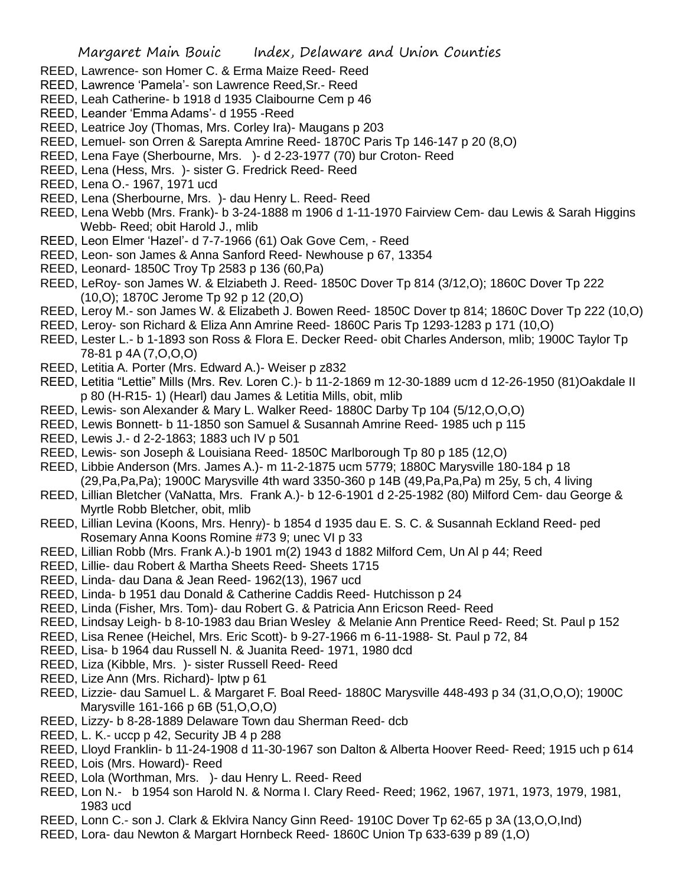- REED, Lawrence- son Homer C. & Erma Maize Reed- Reed
- REED, Lawrence 'Pamela'- son Lawrence Reed,Sr.- Reed
- REED, Leah Catherine- b 1918 d 1935 Claibourne Cem p 46
- REED, Leander 'Emma Adams'- d 1955 -Reed
- REED, Leatrice Joy (Thomas, Mrs. Corley Ira)- Maugans p 203
- REED, Lemuel- son Orren & Sarepta Amrine Reed- 1870C Paris Tp 146-147 p 20 (8,O)
- REED, Lena Faye (Sherbourne, Mrs. )- d 2-23-1977 (70) bur Croton- Reed
- REED, Lena (Hess, Mrs. )- sister G. Fredrick Reed- Reed
- REED, Lena O.- 1967, 1971 ucd
- REED, Lena (Sherbourne, Mrs. )- dau Henry L. Reed- Reed
- REED, Lena Webb (Mrs. Frank)- b 3-24-1888 m 1906 d 1-11-1970 Fairview Cem- dau Lewis & Sarah Higgins Webb- Reed; obit Harold J., mlib
- REED, Leon Elmer 'Hazel'- d 7-7-1966 (61) Oak Gove Cem, Reed
- REED, Leon- son James & Anna Sanford Reed- Newhouse p 67, 13354
- REED, Leonard- 1850C Troy Tp 2583 p 136 (60,Pa)
- REED, LeRoy- son James W. & Elziabeth J. Reed- 1850C Dover Tp 814 (3/12,O); 1860C Dover Tp 222 (10,O); 1870C Jerome Tp 92 p 12 (20,O)
- REED, Leroy M.- son James W. & Elizabeth J. Bowen Reed- 1850C Dover tp 814; 1860C Dover Tp 222 (10,O)
- REED, Leroy- son Richard & Eliza Ann Amrine Reed- 1860C Paris Tp 1293-1283 p 171 (10,O)
- REED, Lester L.- b 1-1893 son Ross & Flora E. Decker Reed- obit Charles Anderson, mlib; 1900C Taylor Tp 78-81 p 4A (7,O,O,O)
- REED, Letitia A. Porter (Mrs. Edward A.)- Weiser p z832
- REED, Letitia "Lettie" Mills (Mrs. Rev. Loren C.)- b 11-2-1869 m 12-30-1889 ucm d 12-26-1950 (81)Oakdale II p 80 (H-R15- 1) (Hearl) dau James & Letitia Mills, obit, mlib
- REED, Lewis- son Alexander & Mary L. Walker Reed- 1880C Darby Tp 104 (5/12,O,O,O)
- REED, Lewis Bonnett- b 11-1850 son Samuel & Susannah Amrine Reed- 1985 uch p 115
- REED, Lewis J.- d 2-2-1863; 1883 uch IV p 501
- REED, Lewis- son Joseph & Louisiana Reed- 1850C Marlborough Tp 80 p 185 (12,O)
- REED, Libbie Anderson (Mrs. James A.)- m 11-2-1875 ucm 5779; 1880C Marysville 180-184 p 18 (29,Pa,Pa,Pa); 1900C Marysville 4th ward 3350-360 p 14B (49,Pa,Pa,Pa) m 25y, 5 ch, 4 living
- REED, Lillian Bletcher (VaNatta, Mrs. Frank A.)- b 12-6-1901 d 2-25-1982 (80) Milford Cem- dau George & Myrtle Robb Bletcher, obit, mlib
- REED, Lillian Levina (Koons, Mrs. Henry)- b 1854 d 1935 dau E. S. C. & Susannah Eckland Reed- ped Rosemary Anna Koons Romine #73 9; unec VI p 33
- REED, Lillian Robb (Mrs. Frank A.)-b 1901 m(2) 1943 d 1882 Milford Cem, Un Al p 44; Reed
- REED, Lillie- dau Robert & Martha Sheets Reed- Sheets 1715
- REED, Linda- dau Dana & Jean Reed- 1962(13), 1967 ucd
- REED, Linda- b 1951 dau Donald & Catherine Caddis Reed- Hutchisson p 24
- REED, Linda (Fisher, Mrs. Tom)- dau Robert G. & Patricia Ann Ericson Reed- Reed
- REED, Lindsay Leigh- b 8-10-1983 dau Brian Wesley & Melanie Ann Prentice Reed- Reed; St. Paul p 152
- REED, Lisa Renee (Heichel, Mrs. Eric Scott)- b 9-27-1966 m 6-11-1988- St. Paul p 72, 84
- REED, Lisa- b 1964 dau Russell N. & Juanita Reed- 1971, 1980 dcd
- REED, Liza (Kibble, Mrs. )- sister Russell Reed- Reed
- REED, Lize Ann (Mrs. Richard)- lptw p 61
- REED, Lizzie- dau Samuel L. & Margaret F. Boal Reed- 1880C Marysville 448-493 p 34 (31,O,O,O); 1900C Marysville 161-166 p 6B (51,O,O,O)
- REED, Lizzy- b 8-28-1889 Delaware Town dau Sherman Reed- dcb
- REED, L. K.- uccp p 42, Security JB 4 p 288
- REED, Lloyd Franklin- b 11-24-1908 d 11-30-1967 son Dalton & Alberta Hoover Reed- Reed; 1915 uch p 614
- REED, Lois (Mrs. Howard)- Reed
- REED, Lola (Worthman, Mrs. )- dau Henry L. Reed- Reed
- REED, Lon N.- b 1954 son Harold N. & Norma I. Clary Reed- Reed; 1962, 1967, 1971, 1973, 1979, 1981, 1983 ucd
- REED, Lonn C.- son J. Clark & Eklvira Nancy Ginn Reed- 1910C Dover Tp 62-65 p 3A (13,O,O,Ind)
- REED, Lora- dau Newton & Margart Hornbeck Reed- 1860C Union Tp 633-639 p 89 (1,O)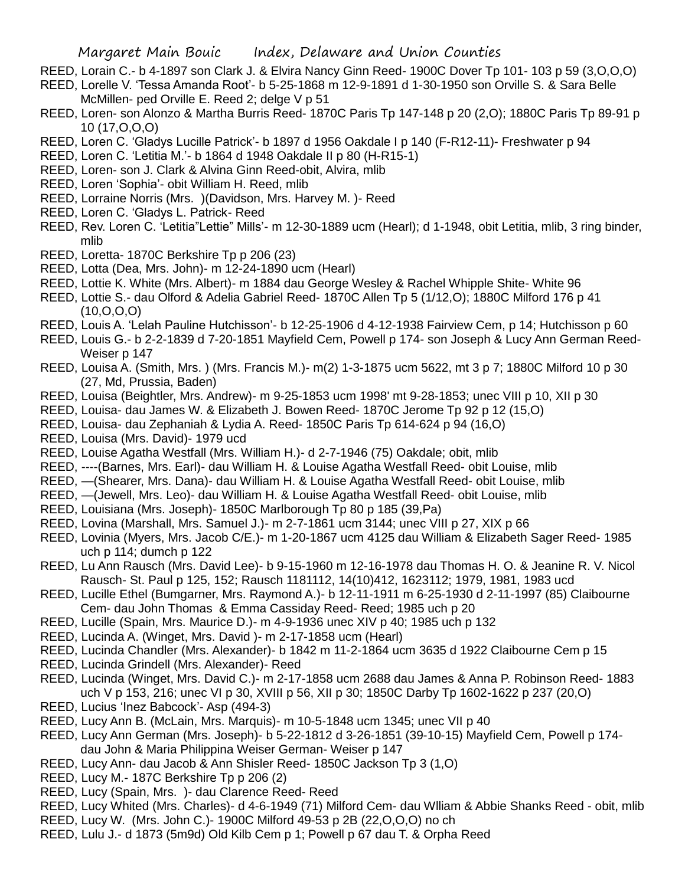- REED, Lorain C.- b 4-1897 son Clark J. & Elvira Nancy Ginn Reed- 1900C Dover Tp 101- 103 p 59 (3,O,O,O)
- REED, Lorelle V. 'Tessa Amanda Root'- b 5-25-1868 m 12-9-1891 d 1-30-1950 son Orville S. & Sara Belle McMillen- ped Orville E. Reed 2; delge V p 51
- REED, Loren- son Alonzo & Martha Burris Reed- 1870C Paris Tp 147-148 p 20 (2,O); 1880C Paris Tp 89-91 p 10 (17,O,O,O)
- REED, Loren C. 'Gladys Lucille Patrick'- b 1897 d 1956 Oakdale I p 140 (F-R12-11)- Freshwater p 94
- REED, Loren C. 'Letitia M.'- b 1864 d 1948 Oakdale II p 80 (H-R15-1)
- REED, Loren- son J. Clark & Alvina Ginn Reed-obit, Alvira, mlib
- REED, Loren 'Sophia'- obit William H. Reed, mlib
- REED, Lorraine Norris (Mrs. )(Davidson, Mrs. Harvey M. )- Reed
- REED, Loren C. 'Gladys L. Patrick- Reed
- REED, Rev. Loren C. 'Letitia"Lettie" Mills'- m 12-30-1889 ucm (Hearl); d 1-1948, obit Letitia, mlib, 3 ring binder, mlib
- REED, Loretta- 1870C Berkshire Tp p 206 (23)
- REED, Lotta (Dea, Mrs. John)- m 12-24-1890 ucm (Hearl)
- REED, Lottie K. White (Mrs. Albert)- m 1884 dau George Wesley & Rachel Whipple Shite- White 96
- REED, Lottie S.- dau Olford & Adelia Gabriel Reed- 1870C Allen Tp 5 (1/12,O); 1880C Milford 176 p 41 (10,O,O,O)
- REED, Louis A. 'Lelah Pauline Hutchisson'- b 12-25-1906 d 4-12-1938 Fairview Cem, p 14; Hutchisson p 60
- REED, Louis G.- b 2-2-1839 d 7-20-1851 Mayfield Cem, Powell p 174- son Joseph & Lucy Ann German Reed-Weiser p 147
- REED, Louisa A. (Smith, Mrs. ) (Mrs. Francis M.)- m(2) 1-3-1875 ucm 5622, mt 3 p 7; 1880C Milford 10 p 30 (27, Md, Prussia, Baden)
- REED, Louisa (Beightler, Mrs. Andrew)- m 9-25-1853 ucm 1998' mt 9-28-1853; unec VIII p 10, XII p 30
- REED, Louisa- dau James W. & Elizabeth J. Bowen Reed- 1870C Jerome Tp 92 p 12 (15,O)
- REED, Louisa- dau Zephaniah & Lydia A. Reed- 1850C Paris Tp 614-624 p 94 (16,O)
- REED, Louisa (Mrs. David)- 1979 ucd
- REED, Louise Agatha Westfall (Mrs. William H.)- d 2-7-1946 (75) Oakdale; obit, mlib
- REED, ----(Barnes, Mrs. Earl)- dau William H. & Louise Agatha Westfall Reed- obit Louise, mlib
- REED, —(Shearer, Mrs. Dana)- dau William H. & Louise Agatha Westfall Reed- obit Louise, mlib
- REED, —(Jewell, Mrs. Leo)- dau William H. & Louise Agatha Westfall Reed- obit Louise, mlib
- REED, Louisiana (Mrs. Joseph)- 1850C Marlborough Tp 80 p 185 (39,Pa)
- REED, Lovina (Marshall, Mrs. Samuel J.)- m 2-7-1861 ucm 3144; unec VIII p 27, XIX p 66
- REED, Lovinia (Myers, Mrs. Jacob C/E.)- m 1-20-1867 ucm 4125 dau William & Elizabeth Sager Reed- 1985 uch p 114; dumch p 122
- REED, Lu Ann Rausch (Mrs. David Lee)- b 9-15-1960 m 12-16-1978 dau Thomas H. O. & Jeanine R. V. Nicol Rausch- St. Paul p 125, 152; Rausch 1181112, 14(10)412, 1623112; 1979, 1981, 1983 ucd
- REED, Lucille Ethel (Bumgarner, Mrs. Raymond A.)- b 12-11-1911 m 6-25-1930 d 2-11-1997 (85) Claibourne Cem- dau John Thomas & Emma Cassiday Reed- Reed; 1985 uch p 20
- REED, Lucille (Spain, Mrs. Maurice D.)- m 4-9-1936 unec XIV p 40; 1985 uch p 132
- REED, Lucinda A. (Winget, Mrs. David )- m 2-17-1858 ucm (Hearl)
- REED, Lucinda Chandler (Mrs. Alexander)- b 1842 m 11-2-1864 ucm 3635 d 1922 Claibourne Cem p 15
- REED, Lucinda Grindell (Mrs. Alexander)- Reed
- REED, Lucinda (Winget, Mrs. David C.)- m 2-17-1858 ucm 2688 dau James & Anna P. Robinson Reed- 1883 uch V p 153, 216; unec VI p 30, XVIII p 56, XII p 30; 1850C Darby Tp 1602-1622 p 237 (20,O)
- REED, Lucius 'Inez Babcock'- Asp (494-3)
- REED, Lucy Ann B. (McLain, Mrs. Marquis)- m 10-5-1848 ucm 1345; unec VII p 40
- REED, Lucy Ann German (Mrs. Joseph)- b 5-22-1812 d 3-26-1851 (39-10-15) Mayfield Cem, Powell p 174 dau John & Maria Philippina Weiser German- Weiser p 147
- REED, Lucy Ann- dau Jacob & Ann Shisler Reed- 1850C Jackson Tp 3 (1,O)
- REED, Lucy M.- 187C Berkshire Tp p 206 (2)
- REED, Lucy (Spain, Mrs. )- dau Clarence Reed- Reed
- REED, Lucy Whited (Mrs. Charles)- d 4-6-1949 (71) Milford Cem- dau Wlliam & Abbie Shanks Reed obit, mlib
- REED, Lucy W. (Mrs. John C.)- 1900C Milford 49-53 p 2B (22,O,O,O) no ch
- REED, Lulu J.- d 1873 (5m9d) Old Kilb Cem p 1; Powell p 67 dau T. & Orpha Reed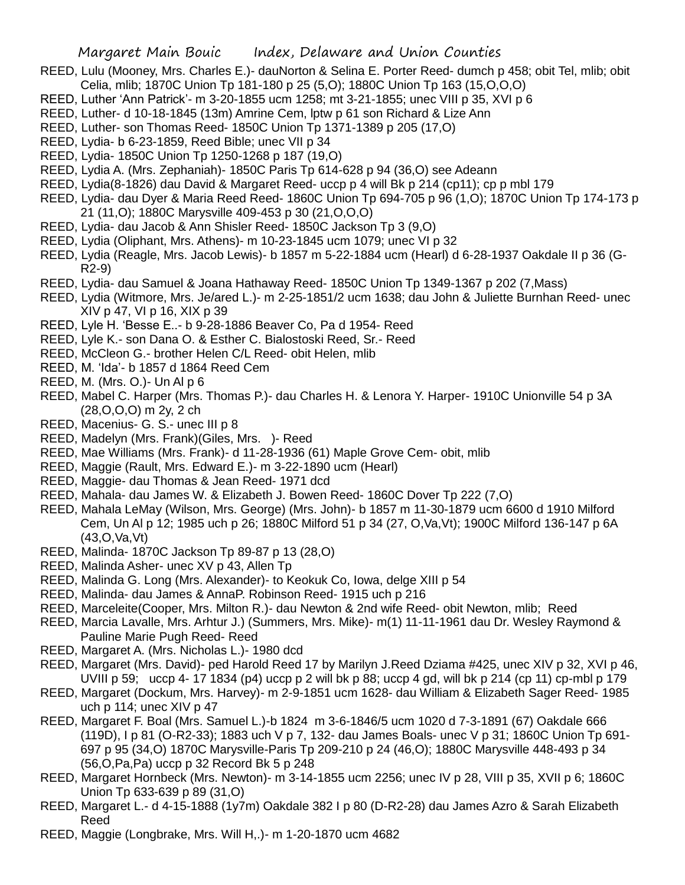- REED, Lulu (Mooney, Mrs. Charles E.)- dauNorton & Selina E. Porter Reed- dumch p 458; obit Tel, mlib; obit Celia, mlib; 1870C Union Tp 181-180 p 25 (5,O); 1880C Union Tp 163 (15,O,O,O)
- REED, Luther 'Ann Patrick'- m 3-20-1855 ucm 1258; mt 3-21-1855; unec VIII p 35, XVI p 6
- REED, Luther- d 10-18-1845 (13m) Amrine Cem, lptw p 61 son Richard & Lize Ann
- REED, Luther- son Thomas Reed- 1850C Union Tp 1371-1389 p 205 (17,O)
- REED, Lydia- b 6-23-1859, Reed Bible; unec VII p 34
- REED, Lydia- 1850C Union Tp 1250-1268 p 187 (19,O)
- REED, Lydia A. (Mrs. Zephaniah)- 1850C Paris Tp 614-628 p 94 (36,O) see Adeann
- REED, Lydia(8-1826) dau David & Margaret Reed- uccp p 4 will Bk p 214 (cp11); cp p mbl 179
- REED, Lydia- dau Dyer & Maria Reed Reed- 1860C Union Tp 694-705 p 96 (1,O); 1870C Union Tp 174-173 p 21 (11,O); 1880C Marysville 409-453 p 30 (21,O,O,O)
- REED, Lydia- dau Jacob & Ann Shisler Reed- 1850C Jackson Tp 3 (9,O)
- REED, Lydia (Oliphant, Mrs. Athens)- m 10-23-1845 ucm 1079; unec VI p 32
- REED, Lydia (Reagle, Mrs. Jacob Lewis)- b 1857 m 5-22-1884 ucm (Hearl) d 6-28-1937 Oakdale II p 36 (G-R2-9)
- REED, Lydia- dau Samuel & Joana Hathaway Reed- 1850C Union Tp 1349-1367 p 202 (7,Mass)
- REED, Lydia (Witmore, Mrs. Je/ared L.)- m 2-25-1851/2 ucm 1638; dau John & Juliette Burnhan Reed- unec XIV p 47, VI p 16, XIX p 39
- REED, Lyle H. 'Besse E..- b 9-28-1886 Beaver Co, Pa d 1954- Reed
- REED, Lyle K.- son Dana O. & Esther C. Bialostoski Reed, Sr.- Reed
- REED, McCleon G.- brother Helen C/L Reed- obit Helen, mlib
- REED, M. 'Ida'- b 1857 d 1864 Reed Cem
- REED, M. (Mrs. O.)- Un Al p 6
- REED, Mabel C. Harper (Mrs. Thomas P.)- dau Charles H. & Lenora Y. Harper- 1910C Unionville 54 p 3A (28,O,O,O) m 2y, 2 ch
- REED, Macenius- G. S.- unec III p 8
- REED, Madelyn (Mrs. Frank)(Giles, Mrs. )- Reed
- REED, Mae Williams (Mrs. Frank)- d 11-28-1936 (61) Maple Grove Cem- obit, mlib
- REED, Maggie (Rault, Mrs. Edward E.)- m 3-22-1890 ucm (Hearl)
- REED, Maggie- dau Thomas & Jean Reed- 1971 dcd
- REED, Mahala- dau James W. & Elizabeth J. Bowen Reed- 1860C Dover Tp 222 (7,O)
- REED, Mahala LeMay (Wilson, Mrs. George) (Mrs. John)- b 1857 m 11-30-1879 ucm 6600 d 1910 Milford Cem, Un Al p 12; 1985 uch p 26; 1880C Milford 51 p 34 (27, O,Va,Vt); 1900C Milford 136-147 p 6A (43,O,Va,Vt)
- REED, Malinda- 1870C Jackson Tp 89-87 p 13 (28,O)
- REED, Malinda Asher- unec XV p 43, Allen Tp
- REED, Malinda G. Long (Mrs. Alexander)- to Keokuk Co, Iowa, delge XIII p 54
- REED, Malinda- dau James & AnnaP. Robinson Reed- 1915 uch p 216
- REED, Marceleite(Cooper, Mrs. Milton R.)- dau Newton & 2nd wife Reed- obit Newton, mlib; Reed
- REED, Marcia Lavalle, Mrs. Arhtur J.) (Summers, Mrs. Mike)- m(1) 11-11-1961 dau Dr. Wesley Raymond & Pauline Marie Pugh Reed- Reed
- REED, Margaret A. (Mrs. Nicholas L.)- 1980 dcd
- REED, Margaret (Mrs. David)- ped Harold Reed 17 by Marilyn J.Reed Dziama #425, unec XIV p 32, XVI p 46, UVIII p 59; uccp 4- 17 1834 (p4) uccp p 2 will bk p 88; uccp 4 gd, will bk p 214 (cp 11) cp-mbl p 179
- REED, Margaret (Dockum, Mrs. Harvey)- m 2-9-1851 ucm 1628- dau William & Elizabeth Sager Reed- 1985 uch p 114; unec XIV p 47
- REED, Margaret F. Boal (Mrs. Samuel L.)-b 1824 m 3-6-1846/5 ucm 1020 d 7-3-1891 (67) Oakdale 666 (119D), I p 81 (O-R2-33); 1883 uch V p 7, 132- dau James Boals- unec V p 31; 1860C Union Tp 691- 697 p 95 (34,O) 1870C Marysville-Paris Tp 209-210 p 24 (46,O); 1880C Marysville 448-493 p 34 (56,O,Pa,Pa) uccp p 32 Record Bk 5 p 248
- REED, Margaret Hornbeck (Mrs. Newton)- m 3-14-1855 ucm 2256; unec IV p 28, VIII p 35, XVII p 6; 1860C Union Tp 633-639 p 89 (31,O)
- REED, Margaret L.- d 4-15-1888 (1y7m) Oakdale 382 I p 80 (D-R2-28) dau James Azro & Sarah Elizabeth Reed
- REED, Maggie (Longbrake, Mrs. Will H,.)- m 1-20-1870 ucm 4682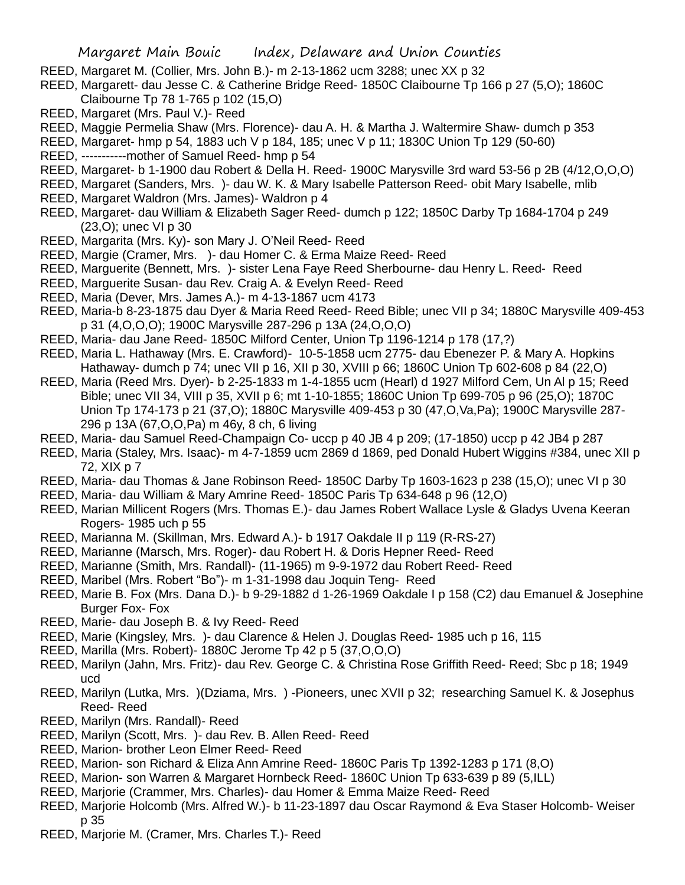- REED, Margaret M. (Collier, Mrs. John B.)- m 2-13-1862 ucm 3288; unec XX p 32
- REED, Margarett- dau Jesse C. & Catherine Bridge Reed- 1850C Claibourne Tp 166 p 27 (5,O); 1860C Claibourne Tp 78 1-765 p 102 (15,O)
- REED, Margaret (Mrs. Paul V.)- Reed
- REED, Maggie Permelia Shaw (Mrs. Florence)- dau A. H. & Martha J. Waltermire Shaw- dumch p 353
- REED, Margaret- hmp p 54, 1883 uch V p 184, 185; unec V p 11; 1830C Union Tp 129 (50-60)
- REED, -----------mother of Samuel Reed- hmp p 54
- REED, Margaret- b 1-1900 dau Robert & Della H. Reed- 1900C Marysville 3rd ward 53-56 p 2B (4/12,O,O,O)
- REED, Margaret (Sanders, Mrs. )- dau W. K. & Mary Isabelle Patterson Reed- obit Mary Isabelle, mlib
- REED, Margaret Waldron (Mrs. James)- Waldron p 4
- REED, Margaret- dau William & Elizabeth Sager Reed- dumch p 122; 1850C Darby Tp 1684-1704 p 249 (23,O); unec VI p 30
- REED, Margarita (Mrs. Ky)- son Mary J. O'Neil Reed- Reed
- REED, Margie (Cramer, Mrs. )- dau Homer C. & Erma Maize Reed- Reed
- REED, Marguerite (Bennett, Mrs. )- sister Lena Faye Reed Sherbourne- dau Henry L. Reed- Reed
- REED, Marguerite Susan- dau Rev. Craig A. & Evelyn Reed- Reed
- REED, Maria (Dever, Mrs. James A.)- m 4-13-1867 ucm 4173
- REED, Maria-b 8-23-1875 dau Dyer & Maria Reed Reed- Reed Bible; unec VII p 34; 1880C Marysville 409-453 p 31 (4,O,O,O); 1900C Marysville 287-296 p 13A (24,O,O,O)
- REED, Maria- dau Jane Reed- 1850C Milford Center, Union Tp 1196-1214 p 178 (17,?)
- REED, Maria L. Hathaway (Mrs. E. Crawford)- 10-5-1858 ucm 2775- dau Ebenezer P. & Mary A. Hopkins Hathaway- dumch p 74; unec VII p 16, XII p 30, XVIII p 66; 1860C Union Tp 602-608 p 84 (22,O)
- REED, Maria (Reed Mrs. Dyer)- b 2-25-1833 m 1-4-1855 ucm (Hearl) d 1927 Milford Cem, Un Al p 15; Reed Bible; unec VII 34, VIII p 35, XVII p 6; mt 1-10-1855; 1860C Union Tp 699-705 p 96 (25,O); 1870C Union Tp 174-173 p 21 (37,O); 1880C Marysville 409-453 p 30 (47,O,Va,Pa); 1900C Marysville 287- 296 p 13A (67,O,O,Pa) m 46y, 8 ch, 6 living
- REED, Maria- dau Samuel Reed-Champaign Co- uccp p 40 JB 4 p 209; (17-1850) uccp p 42 JB4 p 287
- REED, Maria (Staley, Mrs. Isaac)- m 4-7-1859 ucm 2869 d 1869, ped Donald Hubert Wiggins #384, unec XII p 72, XIX p 7
- REED, Maria- dau Thomas & Jane Robinson Reed- 1850C Darby Tp 1603-1623 p 238 (15,O); unec VI p 30
- REED, Maria- dau William & Mary Amrine Reed- 1850C Paris Tp 634-648 p 96 (12,O)
- REED, Marian Millicent Rogers (Mrs. Thomas E.)- dau James Robert Wallace Lysle & Gladys Uvena Keeran Rogers- 1985 uch p 55
- REED, Marianna M. (Skillman, Mrs. Edward A.)- b 1917 Oakdale II p 119 (R-RS-27)
- REED, Marianne (Marsch, Mrs. Roger)- dau Robert H. & Doris Hepner Reed- Reed
- REED, Marianne (Smith, Mrs. Randall)- (11-1965) m 9-9-1972 dau Robert Reed- Reed
- REED, Maribel (Mrs. Robert "Bo")- m 1-31-1998 dau Joquin Teng- Reed
- REED, Marie B. Fox (Mrs. Dana D.)- b 9-29-1882 d 1-26-1969 Oakdale I p 158 (C2) dau Emanuel & Josephine Burger Fox- Fox
- REED, Marie- dau Joseph B. & Ivy Reed- Reed
- REED, Marie (Kingsley, Mrs. )- dau Clarence & Helen J. Douglas Reed- 1985 uch p 16, 115
- REED, Marilla (Mrs. Robert)- 1880C Jerome Tp 42 p 5 (37,O,O,O)
- REED, Marilyn (Jahn, Mrs. Fritz)- dau Rev. George C. & Christina Rose Griffith Reed- Reed; Sbc p 18; 1949 ucd
- REED, Marilyn (Lutka, Mrs. )(Dziama, Mrs. ) -Pioneers, unec XVII p 32; researching Samuel K. & Josephus Reed- Reed
- REED, Marilyn (Mrs. Randall)- Reed
- REED, Marilyn (Scott, Mrs. )- dau Rev. B. Allen Reed- Reed
- REED, Marion- brother Leon Elmer Reed- Reed
- REED, Marion- son Richard & Eliza Ann Amrine Reed- 1860C Paris Tp 1392-1283 p 171 (8,O)
- REED, Marion- son Warren & Margaret Hornbeck Reed- 1860C Union Tp 633-639 p 89 (5,ILL)
- REED, Marjorie (Crammer, Mrs. Charles)- dau Homer & Emma Maize Reed- Reed
- REED, Marjorie Holcomb (Mrs. Alfred W.)- b 11-23-1897 dau Oscar Raymond & Eva Staser Holcomb- Weiser p 35
- REED, Marjorie M. (Cramer, Mrs. Charles T.)- Reed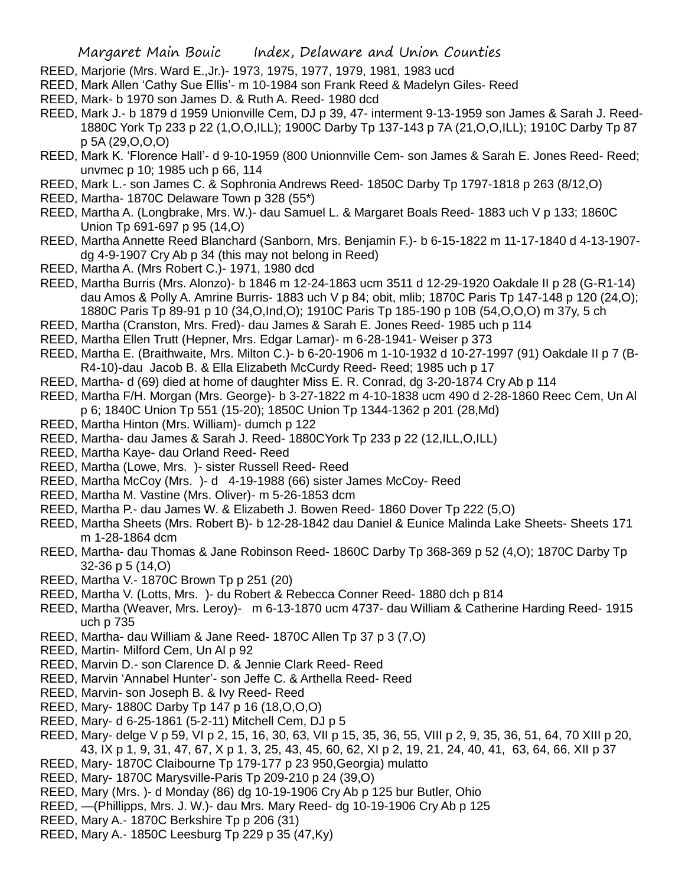- REED, Marjorie (Mrs. Ward E.,Jr.)- 1973, 1975, 1977, 1979, 1981, 1983 ucd
- REED, Mark Allen 'Cathy Sue Ellis'- m 10-1984 son Frank Reed & Madelyn Giles- Reed
- REED, Mark- b 1970 son James D. & Ruth A. Reed- 1980 dcd
- REED, Mark J.- b 1879 d 1959 Unionville Cem, DJ p 39, 47- interment 9-13-1959 son James & Sarah J. Reed-1880C York Tp 233 p 22 (1,O,O,ILL); 1900C Darby Tp 137-143 p 7A (21,O,O,ILL); 1910C Darby Tp 87 p 5A (29,O,O,O)
- REED, Mark K. 'Florence Hall'- d 9-10-1959 (800 Unionnville Cem- son James & Sarah E. Jones Reed- Reed; unvmec p 10; 1985 uch p 66, 114
- REED, Mark L.- son James C. & Sophronia Andrews Reed- 1850C Darby Tp 1797-1818 p 263 (8/12,O)
- REED, Martha- 1870C Delaware Town p 328 (55\*)
- REED, Martha A. (Longbrake, Mrs. W.)- dau Samuel L. & Margaret Boals Reed- 1883 uch V p 133; 1860C Union Tp 691-697 p 95 (14,O)
- REED, Martha Annette Reed Blanchard (Sanborn, Mrs. Benjamin F.)- b 6-15-1822 m 11-17-1840 d 4-13-1907 dg 4-9-1907 Cry Ab p 34 (this may not belong in Reed)
- REED, Martha A. (Mrs Robert C.)- 1971, 1980 dcd
- REED, Martha Burris (Mrs. Alonzo)- b 1846 m 12-24-1863 ucm 3511 d 12-29-1920 Oakdale II p 28 (G-R1-14) dau Amos & Polly A. Amrine Burris- 1883 uch V p 84; obit, mlib; 1870C Paris Tp 147-148 p 120 (24,O); 1880C Paris Tp 89-91 p 10 (34,O,Ind,O); 1910C Paris Tp 185-190 p 10B (54,O,O,O) m 37y, 5 ch
- REED, Martha (Cranston, Mrs. Fred)- dau James & Sarah E. Jones Reed- 1985 uch p 114
- REED, Martha Ellen Trutt (Hepner, Mrs. Edgar Lamar)- m 6-28-1941- Weiser p 373
- REED, Martha E. (Braithwaite, Mrs. Milton C.)- b 6-20-1906 m 1-10-1932 d 10-27-1997 (91) Oakdale II p 7 (B-R4-10)-dau Jacob B. & Ella Elizabeth McCurdy Reed- Reed; 1985 uch p 17
- REED, Martha- d (69) died at home of daughter Miss E. R. Conrad, dg 3-20-1874 Cry Ab p 114
- REED, Martha F/H. Morgan (Mrs. George)- b 3-27-1822 m 4-10-1838 ucm 490 d 2-28-1860 Reec Cem, Un Al p 6; 1840C Union Tp 551 (15-20); 1850C Union Tp 1344-1362 p 201 (28,Md)
- REED, Martha Hinton (Mrs. William)- dumch p 122
- REED, Martha- dau James & Sarah J. Reed- 1880CYork Tp 233 p 22 (12,ILL,O,ILL)
- REED, Martha Kaye- dau Orland Reed- Reed
- REED, Martha (Lowe, Mrs. )- sister Russell Reed- Reed
- REED, Martha McCoy (Mrs. )- d 4-19-1988 (66) sister James McCoy- Reed
- REED, Martha M. Vastine (Mrs. Oliver)- m 5-26-1853 dcm
- REED, Martha P.- dau James W. & Elizabeth J. Bowen Reed- 1860 Dover Tp 222 (5,O)
- REED, Martha Sheets (Mrs. Robert B)- b 12-28-1842 dau Daniel & Eunice Malinda Lake Sheets- Sheets 171 m 1-28-1864 dcm
- REED, Martha- dau Thomas & Jane Robinson Reed- 1860C Darby Tp 368-369 p 52 (4,O); 1870C Darby Tp 32-36 p 5 (14,O)
- REED, Martha V.- 1870C Brown Tp p 251 (20)
- REED, Martha V. (Lotts, Mrs. )- du Robert & Rebecca Conner Reed- 1880 dch p 814
- REED, Martha (Weaver, Mrs. Leroy)- m 6-13-1870 ucm 4737- dau William & Catherine Harding Reed- 1915 uch p 735
- REED, Martha- dau William & Jane Reed- 1870C Allen Tp 37 p 3 (7,O)
- REED, Martin- Milford Cem, Un Al p 92
- REED, Marvin D.- son Clarence D. & Jennie Clark Reed- Reed
- REED, Marvin 'Annabel Hunter'- son Jeffe C. & Arthella Reed- Reed
- REED, Marvin- son Joseph B. & Ivy Reed- Reed
- REED, Mary- 1880C Darby Tp 147 p 16 (18,O,O,O)
- REED, Mary- d 6-25-1861 (5-2-11) Mitchell Cem, DJ p 5
- REED, Mary- delge V p 59, VI p 2, 15, 16, 30, 63, VII p 15, 35, 36, 55, VIII p 2, 9, 35, 36, 51, 64, 70 XIII p 20, 43, IX p 1, 9, 31, 47, 67, X p 1, 3, 25, 43, 45, 60, 62, XI p 2, 19, 21, 24, 40, 41, 63, 64, 66, XII p 37
- REED, Mary- 1870C Claibourne Tp 179-177 p 23 950,Georgia) mulatto
- REED, Mary- 1870C Marysville-Paris Tp 209-210 p 24 (39,O)
- REED, Mary (Mrs. )- d Monday (86) dg 10-19-1906 Cry Ab p 125 bur Butler, Ohio
- REED, —(Phillipps, Mrs. J. W.)- dau Mrs. Mary Reed- dg 10-19-1906 Cry Ab p 125
- REED, Mary A.- 1870C Berkshire Tp p 206 (31)
- REED, Mary A.- 1850C Leesburg Tp 229 p 35 (47,Ky)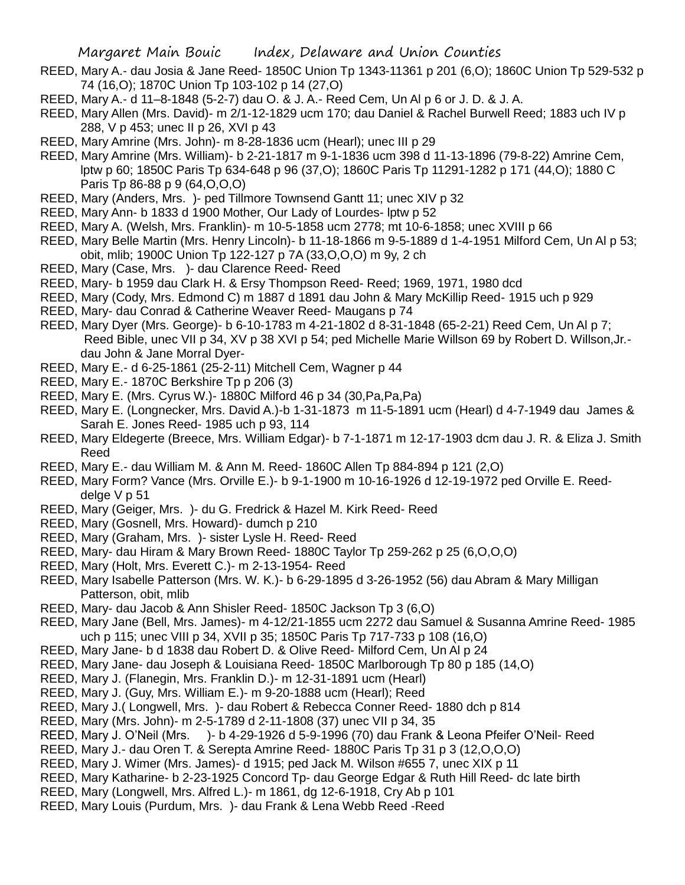- REED, Mary A.- dau Josia & Jane Reed- 1850C Union Tp 1343-11361 p 201 (6,O); 1860C Union Tp 529-532 p 74 (16,O); 1870C Union Tp 103-102 p 14 (27,O)
- REED, Mary A.- d 11–8-1848 (5-2-7) dau O. & J. A.- Reed Cem, Un Al p 6 or J. D. & J. A.
- REED, Mary Allen (Mrs. David)- m 2/1-12-1829 ucm 170; dau Daniel & Rachel Burwell Reed; 1883 uch IV p 288, V p 453; unec II p 26, XVI p 43
- REED, Mary Amrine (Mrs. John)- m 8-28-1836 ucm (Hearl); unec III p 29
- REED, Mary Amrine (Mrs. William)- b 2-21-1817 m 9-1-1836 ucm 398 d 11-13-1896 (79-8-22) Amrine Cem, lptw p 60; 1850C Paris Tp 634-648 p 96 (37,O); 1860C Paris Tp 11291-1282 p 171 (44,O); 1880 C Paris Tp 86-88 p 9 (64,O,O,O)
- REED, Mary (Anders, Mrs. )- ped Tillmore Townsend Gantt 11; unec XIV p 32
- REED, Mary Ann- b 1833 d 1900 Mother, Our Lady of Lourdes- lptw p 52
- REED, Mary A. (Welsh, Mrs. Franklin)- m 10-5-1858 ucm 2778; mt 10-6-1858; unec XVIII p 66
- REED, Mary Belle Martin (Mrs. Henry Lincoln)- b 11-18-1866 m 9-5-1889 d 1-4-1951 Milford Cem, Un Al p 53; obit, mlib; 1900C Union Tp 122-127 p 7A (33,O,O,O) m 9y, 2 ch
- REED, Mary (Case, Mrs. )- dau Clarence Reed- Reed
- REED, Mary- b 1959 dau Clark H. & Ersy Thompson Reed- Reed; 1969, 1971, 1980 dcd
- REED, Mary (Cody, Mrs. Edmond C) m 1887 d 1891 dau John & Mary McKillip Reed- 1915 uch p 929
- REED, Mary- dau Conrad & Catherine Weaver Reed- Maugans p 74
- REED, Mary Dyer (Mrs. George)- b 6-10-1783 m 4-21-1802 d 8-31-1848 (65-2-21) Reed Cem, Un Al p 7; Reed Bible, unec VII p 34, XV p 38 XVI p 54; ped Michelle Marie Willson 69 by Robert D. Willson,Jr. dau John & Jane Morral Dyer-
- REED, Mary E.- d 6-25-1861 (25-2-11) Mitchell Cem, Wagner p 44
- REED, Mary E.- 1870C Berkshire Tp p 206 (3)
- REED, Mary E. (Mrs. Cyrus W.)- 1880C Milford 46 p 34 (30,Pa,Pa,Pa)
- REED, Mary E. (Longnecker, Mrs. David A.)-b 1-31-1873 m 11-5-1891 ucm (Hearl) d 4-7-1949 dau James & Sarah E. Jones Reed- 1985 uch p 93, 114
- REED, Mary Eldegerte (Breece, Mrs. William Edgar)- b 7-1-1871 m 12-17-1903 dcm dau J. R. & Eliza J. Smith Reed
- REED, Mary E.- dau William M. & Ann M. Reed- 1860C Allen Tp 884-894 p 121 (2,O)
- REED, Mary Form? Vance (Mrs. Orville E.)- b 9-1-1900 m 10-16-1926 d 12-19-1972 ped Orville E. Reeddelge V p 51
- REED, Mary (Geiger, Mrs. )- du G. Fredrick & Hazel M. Kirk Reed- Reed
- REED, Mary (Gosnell, Mrs. Howard)- dumch p 210
- REED, Mary (Graham, Mrs. )- sister Lysle H. Reed- Reed
- REED, Mary- dau Hiram & Mary Brown Reed- 1880C Taylor Tp 259-262 p 25 (6,O,O,O)
- REED, Mary (Holt, Mrs. Everett C.)- m 2-13-1954- Reed
- REED, Mary Isabelle Patterson (Mrs. W. K.)- b 6-29-1895 d 3-26-1952 (56) dau Abram & Mary Milligan Patterson, obit, mlib
- REED, Mary- dau Jacob & Ann Shisler Reed- 1850C Jackson Tp 3 (6,O)
- REED, Mary Jane (Bell, Mrs. James)- m 4-12/21-1855 ucm 2272 dau Samuel & Susanna Amrine Reed- 1985 uch p 115; unec VIII p 34, XVII p 35; 1850C Paris Tp 717-733 p 108 (16,O)
- REED, Mary Jane- b d 1838 dau Robert D. & Olive Reed- Milford Cem, Un Al p 24
- REED, Mary Jane- dau Joseph & Louisiana Reed- 1850C Marlborough Tp 80 p 185 (14,O)
- REED, Mary J. (Flanegin, Mrs. Franklin D.)- m 12-31-1891 ucm (Hearl)
- REED, Mary J. (Guy, Mrs. William E.)- m 9-20-1888 ucm (Hearl); Reed
- REED, Mary J.( Longwell, Mrs. )- dau Robert & Rebecca Conner Reed- 1880 dch p 814
- REED, Mary (Mrs. John)- m 2-5-1789 d 2-11-1808 (37) unec VII p 34, 35
- REED, Mary J. O'Neil (Mrs. )- b 4-29-1926 d 5-9-1996 (70) dau Frank & Leona Pfeifer O'Neil- Reed
- REED, Mary J.- dau Oren T. & Serepta Amrine Reed- 1880C Paris Tp 31 p 3 (12,O,O,O)
- REED, Mary J. Wimer (Mrs. James)- d 1915; ped Jack M. Wilson #655 7, unec XIX p 11
- REED, Mary Katharine- b 2-23-1925 Concord Tp- dau George Edgar & Ruth Hill Reed- dc late birth
- REED, Mary (Longwell, Mrs. Alfred L.)- m 1861, dg 12-6-1918, Cry Ab p 101
- REED, Mary Louis (Purdum, Mrs. )- dau Frank & Lena Webb Reed -Reed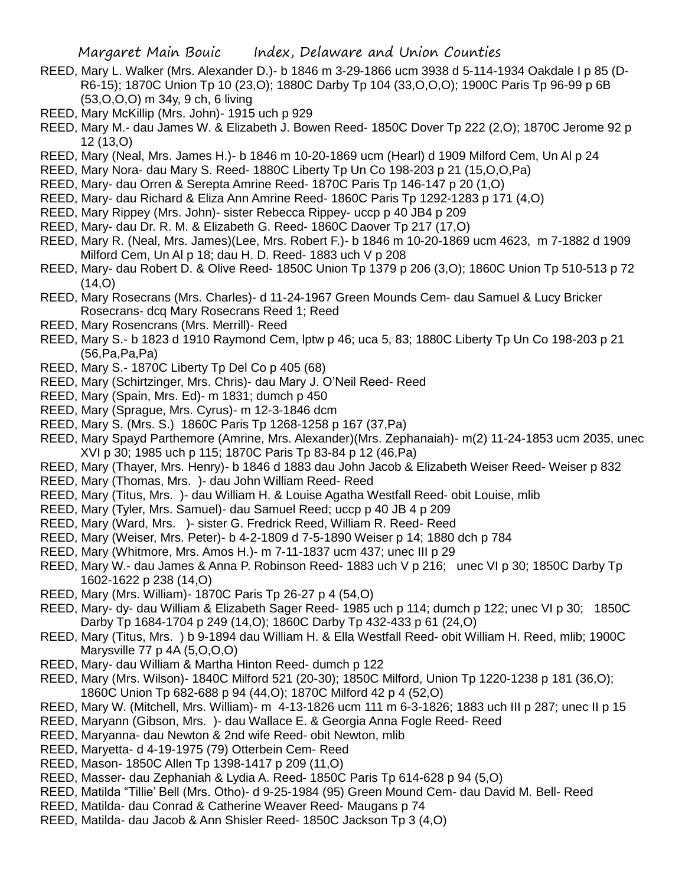- REED, Mary L. Walker (Mrs. Alexander D.)- b 1846 m 3-29-1866 ucm 3938 d 5-114-1934 Oakdale I p 85 (D-R6-15); 1870C Union Tp 10 (23,O); 1880C Darby Tp 104 (33,O,O,O); 1900C Paris Tp 96-99 p 6B (53,O,O,O) m 34y, 9 ch, 6 living
- REED, Mary McKillip (Mrs. John)- 1915 uch p 929
- REED, Mary M.- dau James W. & Elizabeth J. Bowen Reed- 1850C Dover Tp 222 (2,O); 1870C Jerome 92 p 12 (13,O)
- REED, Mary (Neal, Mrs. James H.)- b 1846 m 10-20-1869 ucm (Hearl) d 1909 Milford Cem, Un Al p 24
- REED, Mary Nora- dau Mary S. Reed- 1880C Liberty Tp Un Co 198-203 p 21 (15,O,O,Pa)
- REED, Mary- dau Orren & Serepta Amrine Reed- 1870C Paris Tp 146-147 p 20 (1,O)
- REED, Mary- dau Richard & Eliza Ann Amrine Reed- 1860C Paris Tp 1292-1283 p 171 (4,O)
- REED, Mary Rippey (Mrs. John)- sister Rebecca Rippey- uccp p 40 JB4 p 209
- REED, Mary- dau Dr. R. M. & Elizabeth G. Reed- 1860C Daover Tp 217 (17,O)
- REED, Mary R. (Neal, Mrs. James)(Lee, Mrs. Robert F.)- b 1846 m 10-20-1869 ucm 4623, m 7-1882 d 1909 Milford Cem, Un Al p 18; dau H. D. Reed- 1883 uch V p 208
- REED, Mary- dau Robert D. & Olive Reed- 1850C Union Tp 1379 p 206 (3,O); 1860C Union Tp 510-513 p 72  $(14, 0)$
- REED, Mary Rosecrans (Mrs. Charles)- d 11-24-1967 Green Mounds Cem- dau Samuel & Lucy Bricker Rosecrans- dcq Mary Rosecrans Reed 1; Reed
- REED, Mary Rosencrans (Mrs. Merrill)- Reed
- REED, Mary S.- b 1823 d 1910 Raymond Cem, lptw p 46; uca 5, 83; 1880C Liberty Tp Un Co 198-203 p 21 (56,Pa,Pa,Pa)
- REED, Mary S.- 1870C Liberty Tp Del Co p 405 (68)
- REED, Mary (Schirtzinger, Mrs. Chris)- dau Mary J. O'Neil Reed- Reed
- REED, Mary (Spain, Mrs. Ed)- m 1831; dumch p 450
- REED, Mary (Sprague, Mrs. Cyrus)- m 12-3-1846 dcm
- REED, Mary S. (Mrs. S.) 1860C Paris Tp 1268-1258 p 167 (37,Pa)
- REED, Mary Spayd Parthemore (Amrine, Mrs. Alexander)(Mrs. Zephanaiah)- m(2) 11-24-1853 ucm 2035, unec XVI p 30; 1985 uch p 115; 1870C Paris Tp 83-84 p 12 (46,Pa)
- REED, Mary (Thayer, Mrs. Henry)- b 1846 d 1883 dau John Jacob & Elizabeth Weiser Reed- Weiser p 832
- REED, Mary (Thomas, Mrs. )- dau John William Reed- Reed
- REED, Mary (Titus, Mrs. )- dau William H. & Louise Agatha Westfall Reed- obit Louise, mlib
- REED, Mary (Tyler, Mrs. Samuel)- dau Samuel Reed; uccp p 40 JB 4 p 209
- REED, Mary (Ward, Mrs. )- sister G. Fredrick Reed, William R. Reed- Reed
- REED, Mary (Weiser, Mrs. Peter)- b 4-2-1809 d 7-5-1890 Weiser p 14; 1880 dch p 784
- REED, Mary (Whitmore, Mrs. Amos H.)- m 7-11-1837 ucm 437; unec III p 29
- REED, Mary W.- dau James & Anna P. Robinson Reed- 1883 uch V p 216; unec VI p 30; 1850C Darby Tp 1602-1622 p 238 (14,O)
- REED, Mary (Mrs. William)- 1870C Paris Tp 26-27 p 4 (54,O)
- REED, Mary- dy- dau William & Elizabeth Sager Reed- 1985 uch p 114; dumch p 122; unec VI p 30; 1850C Darby Tp 1684-1704 p 249 (14,O); 1860C Darby Tp 432-433 p 61 (24,O)
- REED, Mary (Titus, Mrs. ) b 9-1894 dau William H. & Ella Westfall Reed- obit William H. Reed, mlib; 1900C Marysville 77 p 4A (5,O,O,O)
- REED, Mary- dau William & Martha Hinton Reed- dumch p 122
- REED, Mary (Mrs. Wilson)- 1840C Milford 521 (20-30); 1850C Milford, Union Tp 1220-1238 p 181 (36,O); 1860C Union Tp 682-688 p 94 (44,O); 1870C Milford 42 p 4 (52,O)
- REED, Mary W. (Mitchell, Mrs. William)- m 4-13-1826 ucm 111 m 6-3-1826; 1883 uch III p 287; unec II p 15
- REED, Maryann (Gibson, Mrs. )- dau Wallace E. & Georgia Anna Fogle Reed- Reed
- REED, Maryanna- dau Newton & 2nd wife Reed- obit Newton, mlib
- REED, Maryetta- d 4-19-1975 (79) Otterbein Cem- Reed
- REED, Mason- 1850C Allen Tp 1398-1417 p 209 (11,O)
- REED, Masser- dau Zephaniah & Lydia A. Reed- 1850C Paris Tp 614-628 p 94 (5,O)
- REED, Matilda "Tillie' Bell (Mrs. Otho)- d 9-25-1984 (95) Green Mound Cem- dau David M. Bell- Reed
- REED, Matilda- dau Conrad & Catherine Weaver Reed- Maugans p 74
- REED, Matilda- dau Jacob & Ann Shisler Reed- 1850C Jackson Tp 3 (4,O)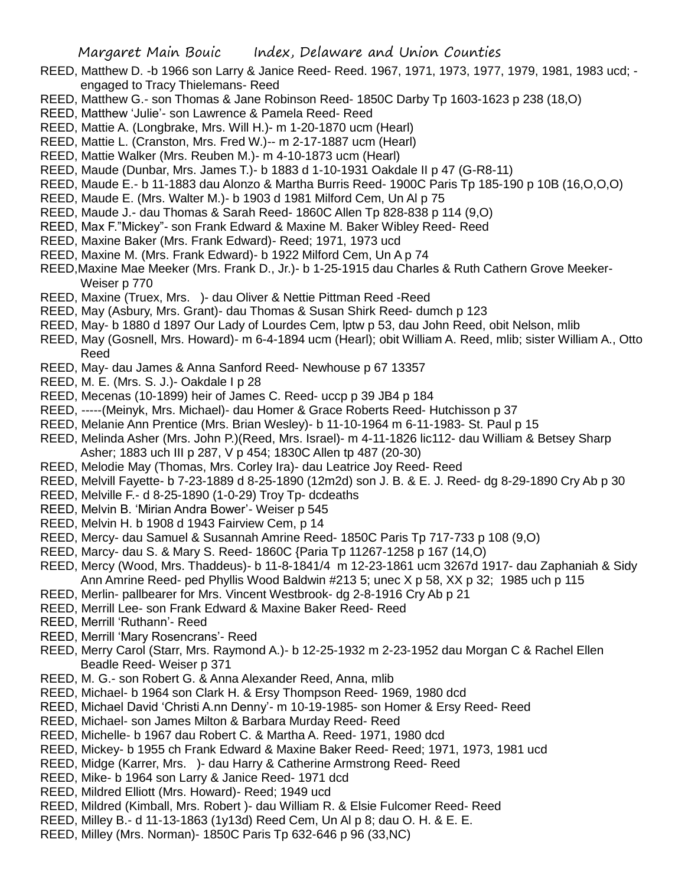- REED, Matthew D. -b 1966 son Larry & Janice Reed- Reed. 1967, 1971, 1973, 1977, 1979, 1981, 1983 ucd; engaged to Tracy Thielemans- Reed
- REED, Matthew G.- son Thomas & Jane Robinson Reed- 1850C Darby Tp 1603-1623 p 238 (18,O)
- REED, Matthew 'Julie'- son Lawrence & Pamela Reed- Reed
- REED, Mattie A. (Longbrake, Mrs. Will H.)- m 1-20-1870 ucm (Hearl)
- REED, Mattie L. (Cranston, Mrs. Fred W.)-- m 2-17-1887 ucm (Hearl)
- REED, Mattie Walker (Mrs. Reuben M.)- m 4-10-1873 ucm (Hearl)
- REED, Maude (Dunbar, Mrs. James T.)- b 1883 d 1-10-1931 Oakdale II p 47 (G-R8-11)
- REED, Maude E.- b 11-1883 dau Alonzo & Martha Burris Reed- 1900C Paris Tp 185-190 p 10B (16,O,O,O)
- REED, Maude E. (Mrs. Walter M.)- b 1903 d 1981 Milford Cem, Un Al p 75
- REED, Maude J.- dau Thomas & Sarah Reed- 1860C Allen Tp 828-838 p 114 (9,O)
- REED, Max F."Mickey"- son Frank Edward & Maxine M. Baker Wibley Reed- Reed
- REED, Maxine Baker (Mrs. Frank Edward)- Reed; 1971, 1973 ucd
- REED, Maxine M. (Mrs. Frank Edward)- b 1922 Milford Cem, Un A p 74
- REED,Maxine Mae Meeker (Mrs. Frank D., Jr.)- b 1-25-1915 dau Charles & Ruth Cathern Grove Meeker-Weiser p 770
- REED, Maxine (Truex, Mrs. )- dau Oliver & Nettie Pittman Reed -Reed
- REED, May (Asbury, Mrs. Grant)- dau Thomas & Susan Shirk Reed- dumch p 123
- REED, May- b 1880 d 1897 Our Lady of Lourdes Cem, lptw p 53, dau John Reed, obit Nelson, mlib
- REED, May (Gosnell, Mrs. Howard)- m 6-4-1894 ucm (Hearl); obit William A. Reed, mlib; sister William A., Otto Reed
- REED, May- dau James & Anna Sanford Reed- Newhouse p 67 13357
- REED, M. E. (Mrs. S. J.)- Oakdale I p 28
- REED, Mecenas (10-1899) heir of James C. Reed- uccp p 39 JB4 p 184
- REED, -----(Meinyk, Mrs. Michael)- dau Homer & Grace Roberts Reed- Hutchisson p 37
- REED, Melanie Ann Prentice (Mrs. Brian Wesley)- b 11-10-1964 m 6-11-1983- St. Paul p 15
- REED, Melinda Asher (Mrs. John P.)(Reed, Mrs. Israel)- m 4-11-1826 lic112- dau William & Betsey Sharp Asher; 1883 uch III p 287, V p 454; 1830C Allen tp 487 (20-30)
- REED, Melodie May (Thomas, Mrs. Corley Ira)- dau Leatrice Joy Reed- Reed
- REED, Melvill Fayette- b 7-23-1889 d 8-25-1890 (12m2d) son J. B. & E. J. Reed- dg 8-29-1890 Cry Ab p 30
- REED, Melville F.- d 8-25-1890 (1-0-29) Troy Tp- dcdeaths
- REED, Melvin B. 'Mirian Andra Bower'- Weiser p 545
- REED, Melvin H. b 1908 d 1943 Fairview Cem, p 14
- REED, Mercy- dau Samuel & Susannah Amrine Reed- 1850C Paris Tp 717-733 p 108 (9,O)
- REED, Marcy- dau S. & Mary S. Reed- 1860C {Paria Tp 11267-1258 p 167 (14,O)
- REED, Mercy (Wood, Mrs. Thaddeus)- b 11-8-1841/4 m 12-23-1861 ucm 3267d 1917- dau Zaphaniah & Sidy Ann Amrine Reed- ped Phyllis Wood Baldwin #213 5; unec X p 58, XX p 32; 1985 uch p 115
- REED, Merlin- pallbearer for Mrs. Vincent Westbrook- dg 2-8-1916 Cry Ab p 21
- REED, Merrill Lee- son Frank Edward & Maxine Baker Reed- Reed
- REED, Merrill 'Ruthann'- Reed
- REED, Merrill 'Mary Rosencrans'- Reed
- REED, Merry Carol (Starr, Mrs. Raymond A.)- b 12-25-1932 m 2-23-1952 dau Morgan C & Rachel Ellen Beadle Reed- Weiser p 371
- REED, M. G.- son Robert G. & Anna Alexander Reed, Anna, mlib
- REED, Michael- b 1964 son Clark H. & Ersy Thompson Reed- 1969, 1980 dcd
- REED, Michael David 'Christi A.nn Denny'- m 10-19-1985- son Homer & Ersy Reed- Reed
- REED, Michael- son James Milton & Barbara Murday Reed- Reed
- REED, Michelle- b 1967 dau Robert C. & Martha A. Reed- 1971, 1980 dcd
- REED, Mickey- b 1955 ch Frank Edward & Maxine Baker Reed- Reed; 1971, 1973, 1981 ucd
- REED, Midge (Karrer, Mrs. )- dau Harry & Catherine Armstrong Reed- Reed
- REED, Mike- b 1964 son Larry & Janice Reed- 1971 dcd
- REED, Mildred Elliott (Mrs. Howard)- Reed; 1949 ucd
- REED, Mildred (Kimball, Mrs. Robert )- dau William R. & Elsie Fulcomer Reed- Reed
- REED, Milley B.- d 11-13-1863 (1y13d) Reed Cem, Un Al p 8; dau O. H. & E. E.
- REED, Milley (Mrs. Norman)- 1850C Paris Tp 632-646 p 96 (33,NC)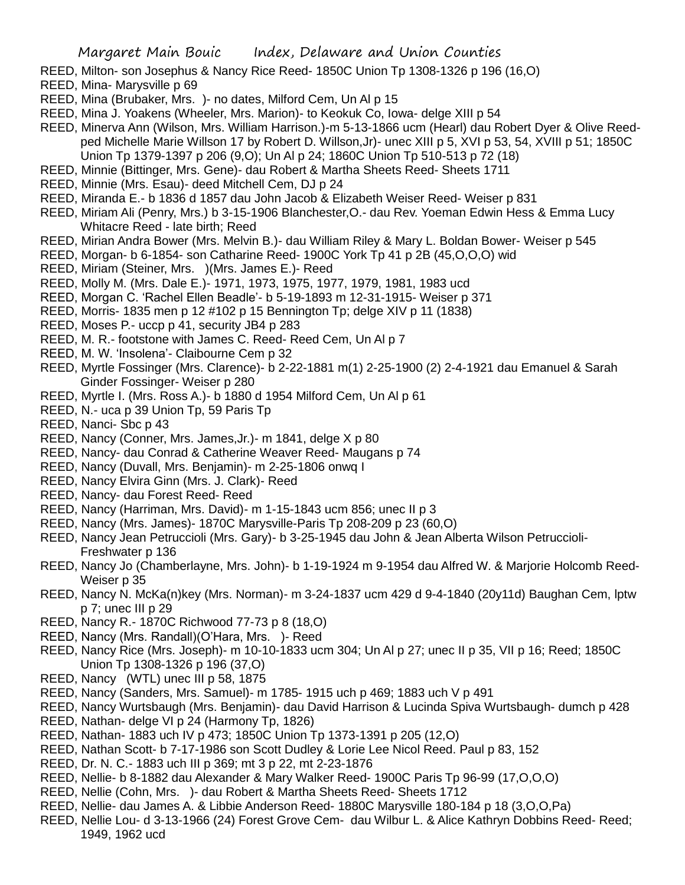- REED, Milton- son Josephus & Nancy Rice Reed- 1850C Union Tp 1308-1326 p 196 (16,O)
- REED, Mina- Marysville p 69
- REED, Mina (Brubaker, Mrs. )- no dates, Milford Cem, Un Al p 15
- REED, Mina J. Yoakens (Wheeler, Mrs. Marion)- to Keokuk Co, Iowa- delge XIII p 54
- REED, Minerva Ann (Wilson, Mrs. William Harrison.)-m 5-13-1866 ucm (Hearl) dau Robert Dyer & Olive Reedped Michelle Marie Willson 17 by Robert D. Willson,Jr)- unec XIII p 5, XVI p 53, 54, XVIII p 51; 1850C Union Tp 1379-1397 p 206 (9,O); Un Al p 24; 1860C Union Tp 510-513 p 72 (18)
- REED, Minnie (Bittinger, Mrs. Gene)- dau Robert & Martha Sheets Reed- Sheets 1711
- REED, Minnie (Mrs. Esau)- deed Mitchell Cem, DJ p 24
- REED, Miranda E.- b 1836 d 1857 dau John Jacob & Elizabeth Weiser Reed- Weiser p 831
- REED, Miriam Ali (Penry, Mrs.) b 3-15-1906 Blanchester,O.- dau Rev. Yoeman Edwin Hess & Emma Lucy Whitacre Reed - late birth; Reed
- REED, Mirian Andra Bower (Mrs. Melvin B.)- dau William Riley & Mary L. Boldan Bower- Weiser p 545
- REED, Morgan- b 6-1854- son Catharine Reed- 1900C York Tp 41 p 2B (45,O,O,O) wid
- REED, Miriam (Steiner, Mrs. )(Mrs. James E.)- Reed
- REED, Molly M. (Mrs. Dale E.)- 1971, 1973, 1975, 1977, 1979, 1981, 1983 ucd
- REED, Morgan C. 'Rachel Ellen Beadle'- b 5-19-1893 m 12-31-1915- Weiser p 371
- REED, Morris- 1835 men p 12 #102 p 15 Bennington Tp; delge XIV p 11 (1838)
- REED, Moses P.- uccp p 41, security JB4 p 283
- REED, M. R.- footstone with James C. Reed- Reed Cem, Un Al p 7
- REED, M. W. 'Insolena'- Claibourne Cem p 32
- REED, Myrtle Fossinger (Mrs. Clarence)- b 2-22-1881 m(1) 2-25-1900 (2) 2-4-1921 dau Emanuel & Sarah Ginder Fossinger- Weiser p 280
- REED, Myrtle I. (Mrs. Ross A.)- b 1880 d 1954 Milford Cem, Un Al p 61
- REED, N.- uca p 39 Union Tp, 59 Paris Tp
- REED, Nanci- Sbc p 43
- REED, Nancy (Conner, Mrs. James,Jr.)- m 1841, delge X p 80
- REED, Nancy- dau Conrad & Catherine Weaver Reed- Maugans p 74
- REED, Nancy (Duvall, Mrs. Benjamin)- m 2-25-1806 onwq I
- REED, Nancy Elvira Ginn (Mrs. J. Clark)- Reed
- REED, Nancy- dau Forest Reed- Reed
- REED, Nancy (Harriman, Mrs. David)- m 1-15-1843 ucm 856; unec II p 3
- REED, Nancy (Mrs. James)- 1870C Marysville-Paris Tp 208-209 p 23 (60,O)
- REED, Nancy Jean Petruccioli (Mrs. Gary)- b 3-25-1945 dau John & Jean Alberta Wilson Petruccioli-Freshwater p 136
- REED, Nancy Jo (Chamberlayne, Mrs. John)- b 1-19-1924 m 9-1954 dau Alfred W. & Marjorie Holcomb Reed-Weiser p 35
- REED, Nancy N. McKa(n)key (Mrs. Norman)- m 3-24-1837 ucm 429 d 9-4-1840 (20y11d) Baughan Cem, lptw p 7; unec III p 29
- REED, Nancy R.- 1870C Richwood 77-73 p 8 (18,O)
- REED, Nancy (Mrs. Randall)(O'Hara, Mrs. )- Reed
- REED, Nancy Rice (Mrs. Joseph)- m 10-10-1833 ucm 304; Un Al p 27; unec II p 35, VII p 16; Reed; 1850C Union Tp 1308-1326 p 196 (37,O)
- REED, Nancy (WTL) unec III p 58, 1875
- REED, Nancy (Sanders, Mrs. Samuel)- m 1785- 1915 uch p 469; 1883 uch V p 491
- REED, Nancy Wurtsbaugh (Mrs. Benjamin)- dau David Harrison & Lucinda Spiva Wurtsbaugh- dumch p 428
- REED, Nathan- delge VI p 24 (Harmony Tp, 1826)
- REED, Nathan- 1883 uch IV p 473; 1850C Union Tp 1373-1391 p 205 (12,O)
- REED, Nathan Scott- b 7-17-1986 son Scott Dudley & Lorie Lee Nicol Reed. Paul p 83, 152
- REED, Dr. N. C.- 1883 uch III p 369; mt 3 p 22, mt 2-23-1876
- REED, Nellie- b 8-1882 dau Alexander & Mary Walker Reed- 1900C Paris Tp 96-99 (17,O,O,O)
- REED, Nellie (Cohn, Mrs. )- dau Robert & Martha Sheets Reed- Sheets 1712
- REED, Nellie- dau James A. & Libbie Anderson Reed- 1880C Marysville 180-184 p 18 (3,O,O,Pa)
- REED, Nellie Lou- d 3-13-1966 (24) Forest Grove Cem- dau Wilbur L. & Alice Kathryn Dobbins Reed- Reed; 1949, 1962 ucd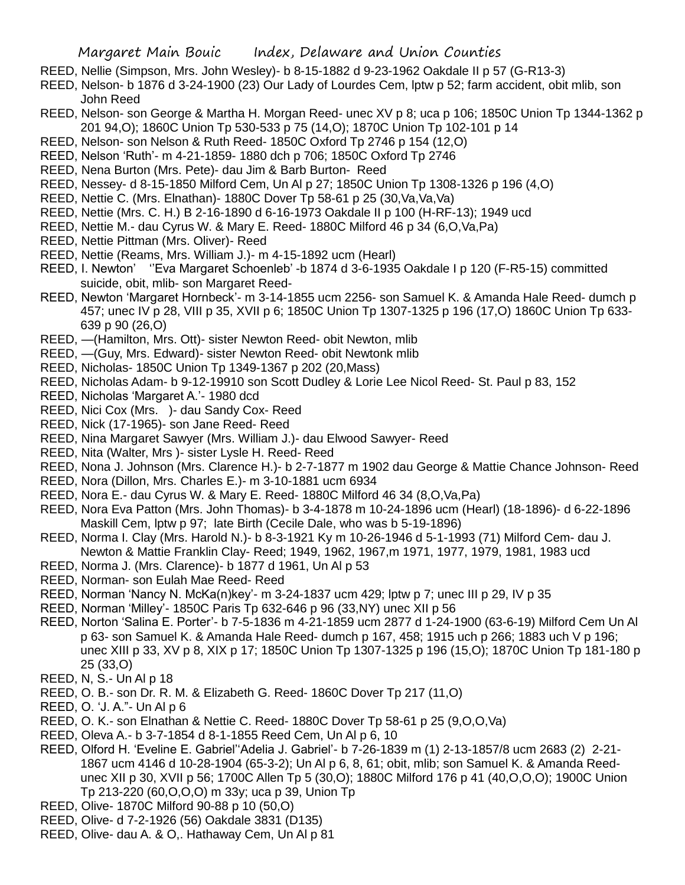- REED, Nellie (Simpson, Mrs. John Wesley)- b 8-15-1882 d 9-23-1962 Oakdale II p 57 (G-R13-3)
- REED, Nelson- b 1876 d 3-24-1900 (23) Our Lady of Lourdes Cem, lptw p 52; farm accident, obit mlib, son John Reed
- REED, Nelson- son George & Martha H. Morgan Reed- unec XV p 8; uca p 106; 1850C Union Tp 1344-1362 p 201 94,O); 1860C Union Tp 530-533 p 75 (14,O); 1870C Union Tp 102-101 p 14
- REED, Nelson- son Nelson & Ruth Reed- 1850C Oxford Tp 2746 p 154 (12,O)
- REED, Nelson 'Ruth'- m 4-21-1859- 1880 dch p 706; 1850C Oxford Tp 2746
- REED, Nena Burton (Mrs. Pete)- dau Jim & Barb Burton- Reed
- REED, Nessey- d 8-15-1850 Milford Cem, Un Al p 27; 1850C Union Tp 1308-1326 p 196 (4,O)
- REED, Nettie C. (Mrs. Elnathan)- 1880C Dover Tp 58-61 p 25 (30,Va,Va,Va)
- REED, Nettie (Mrs. C. H.) B 2-16-1890 d 6-16-1973 Oakdale II p 100 (H-RF-13); 1949 ucd
- REED, Nettie M.- dau Cyrus W. & Mary E. Reed- 1880C Milford 46 p 34 (6,O,Va,Pa)
- REED, Nettie Pittman (Mrs. Oliver)- Reed
- REED, Nettie (Reams, Mrs. William J.)- m 4-15-1892 ucm (Hearl)
- REED, I. Newton' ''Eva Margaret Schoenleb' -b 1874 d 3-6-1935 Oakdale I p 120 (F-R5-15) committed suicide, obit, mlib- son Margaret Reed-
- REED, Newton 'Margaret Hornbeck'- m 3-14-1855 ucm 2256- son Samuel K. & Amanda Hale Reed- dumch p 457; unec IV p 28, VIII p 35, XVII p 6; 1850C Union Tp 1307-1325 p 196 (17,O) 1860C Union Tp 633- 639 p 90 (26,O)
- REED, —(Hamilton, Mrs. Ott)- sister Newton Reed- obit Newton, mlib
- REED, —(Guy, Mrs. Edward)- sister Newton Reed- obit Newtonk mlib
- REED, Nicholas- 1850C Union Tp 1349-1367 p 202 (20,Mass)
- REED, Nicholas Adam- b 9-12-19910 son Scott Dudley & Lorie Lee Nicol Reed- St. Paul p 83, 152
- REED, Nicholas 'Margaret A.'- 1980 dcd
- REED, Nici Cox (Mrs. )- dau Sandy Cox- Reed
- REED, Nick (17-1965)- son Jane Reed- Reed
- REED, Nina Margaret Sawyer (Mrs. William J.)- dau Elwood Sawyer- Reed
- REED, Nita (Walter, Mrs )- sister Lysle H. Reed- Reed
- REED, Nona J. Johnson (Mrs. Clarence H.)- b 2-7-1877 m 1902 dau George & Mattie Chance Johnson- Reed
- REED, Nora (Dillon, Mrs. Charles E.)- m 3-10-1881 ucm 6934
- REED, Nora E.- dau Cyrus W. & Mary E. Reed- 1880C Milford 46 34 (8,O,Va,Pa)
- REED, Nora Eva Patton (Mrs. John Thomas)- b 3-4-1878 m 10-24-1896 ucm (Hearl) (18-1896)- d 6-22-1896 Maskill Cem, lptw p 97; late Birth (Cecile Dale, who was b 5-19-1896)
- REED, Norma I. Clay (Mrs. Harold N.)- b 8-3-1921 Ky m 10-26-1946 d 5-1-1993 (71) Milford Cem- dau J. Newton & Mattie Franklin Clay- Reed; 1949, 1962, 1967,m 1971, 1977, 1979, 1981, 1983 ucd
- REED, Norma J. (Mrs. Clarence)- b 1877 d 1961, Un Al p 53
- REED, Norman- son Eulah Mae Reed- Reed
- REED, Norman 'Nancy N. McKa(n)key'- m 3-24-1837 ucm 429; lptw p 7; unec III p 29, IV p 35
- REED, Norman 'Milley'- 1850C Paris Tp 632-646 p 96 (33,NY) unec XII p 56
- REED, Norton 'Salina E. Porter'- b 7-5-1836 m 4-21-1859 ucm 2877 d 1-24-1900 (63-6-19) Milford Cem Un Al p 63- son Samuel K. & Amanda Hale Reed- dumch p 167, 458; 1915 uch p 266; 1883 uch V p 196; unec XIII p 33, XV p 8, XIX p 17; 1850C Union Tp 1307-1325 p 196 (15,O); 1870C Union Tp 181-180 p 25 (33,O)
- REED, N, S.- Un Al p 18
- REED, O. B.- son Dr. R. M. & Elizabeth G. Reed- 1860C Dover Tp 217 (11,O)
- REED, O. 'J. A."- Un Al p 6
- REED, O. K.- son Elnathan & Nettie C. Reed- 1880C Dover Tp 58-61 p 25 (9,O,O,Va)
- REED, Oleva A.- b 3-7-1854 d 8-1-1855 Reed Cem, Un Al p 6, 10
- REED, Olford H. 'Eveline E. Gabriel''Adelia J. Gabriel'- b 7-26-1839 m (1) 2-13-1857/8 ucm 2683 (2) 2-21- 1867 ucm 4146 d 10-28-1904 (65-3-2); Un Al p 6, 8, 61; obit, mlib; son Samuel K. & Amanda Reedunec XII p 30, XVII p 56; 1700C Allen Tp 5 (30,O); 1880C Milford 176 p 41 (40,O,O,O); 1900C Union Tp 213-220 (60,O,O,O) m 33y; uca p 39, Union Tp
- REED, Olive- 1870C Milford 90-88 p 10 (50,O)
- REED, Olive- d 7-2-1926 (56) Oakdale 3831 (D135)
- REED, Olive- dau A. & O,. Hathaway Cem, Un Al p 81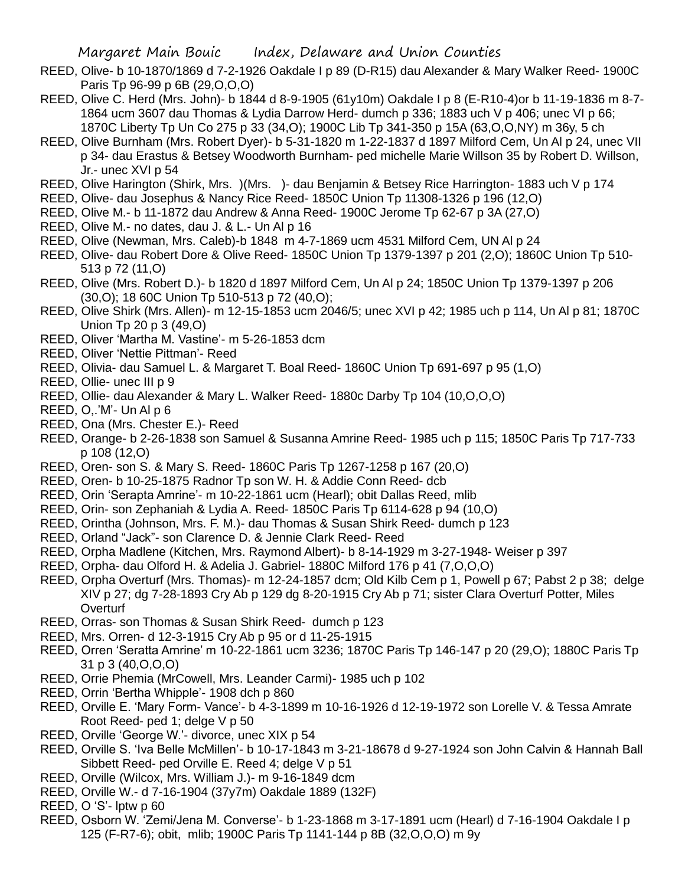- REED, Olive- b 10-1870/1869 d 7-2-1926 Oakdale I p 89 (D-R15) dau Alexander & Mary Walker Reed- 1900C Paris Tp 96-99 p 6B (29,O,O,O)
- REED, Olive C. Herd (Mrs. John)- b 1844 d 8-9-1905 (61y10m) Oakdale I p 8 (E-R10-4)or b 11-19-1836 m 8-7- 1864 ucm 3607 dau Thomas & Lydia Darrow Herd- dumch p 336; 1883 uch V p 406; unec VI p 66; 1870C Liberty Tp Un Co 275 p 33 (34,O); 1900C Lib Tp 341-350 p 15A (63,O,O,NY) m 36y, 5 ch
- REED, Olive Burnham (Mrs. Robert Dyer)- b 5-31-1820 m 1-22-1837 d 1897 Milford Cem, Un Al p 24, unec VII p 34- dau Erastus & Betsey Woodworth Burnham- ped michelle Marie Willson 35 by Robert D. Willson, Jr.- unec XVI p 54
- REED, Olive Harington (Shirk, Mrs. )(Mrs. )- dau Benjamin & Betsey Rice Harrington- 1883 uch V p 174
- REED, Olive- dau Josephus & Nancy Rice Reed- 1850C Union Tp 11308-1326 p 196 (12,O)
- REED, Olive M.- b 11-1872 dau Andrew & Anna Reed- 1900C Jerome Tp 62-67 p 3A (27,O)
- REED, Olive M.- no dates, dau J. & L.- Un Al p 16
- REED, Olive (Newman, Mrs. Caleb)-b 1848 m 4-7-1869 ucm 4531 Milford Cem, UN Al p 24
- REED, Olive- dau Robert Dore & Olive Reed- 1850C Union Tp 1379-1397 p 201 (2,O); 1860C Union Tp 510- 513 p 72 (11,O)
- REED, Olive (Mrs. Robert D.)- b 1820 d 1897 Milford Cem, Un Al p 24; 1850C Union Tp 1379-1397 p 206 (30,O); 18 60C Union Tp 510-513 p 72 (40,O);
- REED, Olive Shirk (Mrs. Allen)- m 12-15-1853 ucm 2046/5; unec XVI p 42; 1985 uch p 114, Un Al p 81; 1870C Union Tp 20 p 3 (49,O)
- REED, Oliver 'Martha M. Vastine'- m 5-26-1853 dcm
- REED, Oliver 'Nettie Pittman'- Reed
- REED, Olivia- dau Samuel L. & Margaret T. Boal Reed- 1860C Union Tp 691-697 p 95 (1,O)
- REED, Ollie- unec III p 9
- REED, Ollie- dau Alexander & Mary L. Walker Reed- 1880c Darby Tp 104 (10,O,O,O)
- REED, O,.'M'- Un Al p 6
- REED, Ona (Mrs. Chester E.)- Reed
- REED, Orange- b 2-26-1838 son Samuel & Susanna Amrine Reed- 1985 uch p 115; 1850C Paris Tp 717-733 p 108 (12,O)
- REED, Oren- son S. & Mary S. Reed- 1860C Paris Tp 1267-1258 p 167 (20,O)
- REED, Oren- b 10-25-1875 Radnor Tp son W. H. & Addie Conn Reed- dcb
- REED, Orin 'Serapta Amrine'- m 10-22-1861 ucm (Hearl); obit Dallas Reed, mlib
- REED, Orin- son Zephaniah & Lydia A. Reed- 1850C Paris Tp 6114-628 p 94 (10,O)
- REED, Orintha (Johnson, Mrs. F. M.)- dau Thomas & Susan Shirk Reed- dumch p 123
- REED, Orland "Jack"- son Clarence D. & Jennie Clark Reed- Reed
- REED, Orpha Madlene (Kitchen, Mrs. Raymond Albert)- b 8-14-1929 m 3-27-1948- Weiser p 397
- REED, Orpha- dau Olford H. & Adelia J. Gabriel- 1880C Milford 176 p 41 (7,O,O,O)
- REED, Orpha Overturf (Mrs. Thomas)- m 12-24-1857 dcm; Old Kilb Cem p 1, Powell p 67; Pabst 2 p 38; delge XIV p 27; dg 7-28-1893 Cry Ab p 129 dg 8-20-1915 Cry Ab p 71; sister Clara Overturf Potter, Miles **Overturf**
- REED, Orras- son Thomas & Susan Shirk Reed- dumch p 123
- REED, Mrs. Orren- d 12-3-1915 Cry Ab p 95 or d 11-25-1915
- REED, Orren 'Seratta Amrine' m 10-22-1861 ucm 3236; 1870C Paris Tp 146-147 p 20 (29,O); 1880C Paris Tp 31 p 3 (40,O,O,O)
- REED, Orrie Phemia (MrCowell, Mrs. Leander Carmi)- 1985 uch p 102
- REED, Orrin 'Bertha Whipple'- 1908 dch p 860
- REED, Orville E. 'Mary Form- Vance'- b 4-3-1899 m 10-16-1926 d 12-19-1972 son Lorelle V. & Tessa Amrate Root Reed- ped 1; delge V p 50
- REED, Orville 'George W.'- divorce, unec XIX p 54
- REED, Orville S. 'Iva Belle McMillen'- b 10-17-1843 m 3-21-18678 d 9-27-1924 son John Calvin & Hannah Ball Sibbett Reed- ped Orville E. Reed 4: delge V p 51
- REED, Orville (Wilcox, Mrs. William J.)- m 9-16-1849 dcm
- REED, Orville W.- d 7-16-1904 (37y7m) Oakdale 1889 (132F)
- REED, O 'S'- lptw p 60
- REED, Osborn W. 'Zemi/Jena M. Converse'- b 1-23-1868 m 3-17-1891 ucm (Hearl) d 7-16-1904 Oakdale I p 125 (F-R7-6); obit, mlib; 1900C Paris Tp 1141-144 p 8B (32,O,O,O) m 9y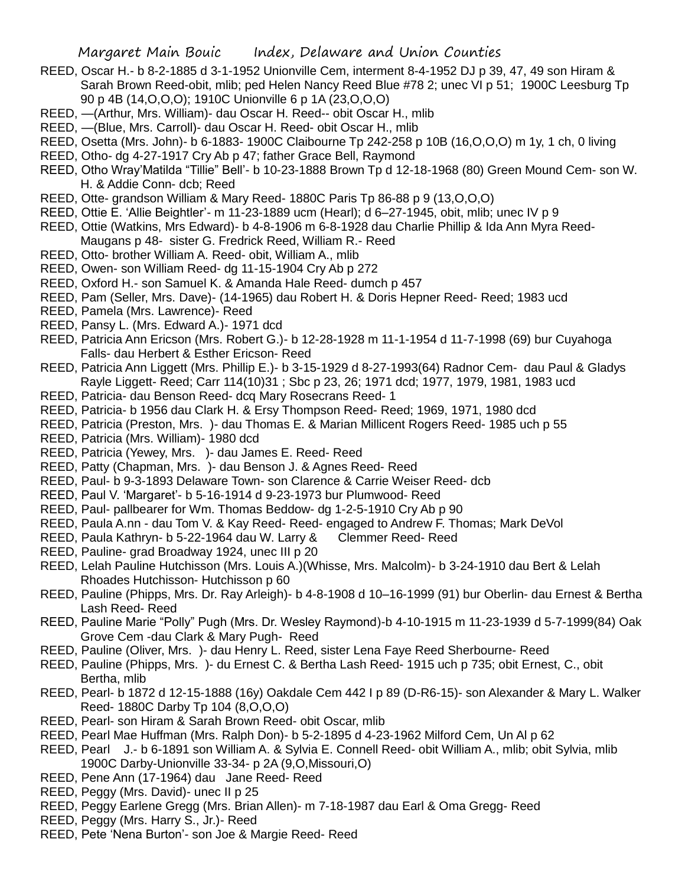- REED, Oscar H.- b 8-2-1885 d 3-1-1952 Unionville Cem, interment 8-4-1952 DJ p 39, 47, 49 son Hiram & Sarah Brown Reed-obit, mlib; ped Helen Nancy Reed Blue #78 2; unec VI p 51; 1900C Leesburg Tp 90 p 4B (14,O,O,O); 1910C Unionville 6 p 1A (23,O,O,O)
- REED, —(Arthur, Mrs. William)- dau Oscar H. Reed-- obit Oscar H., mlib
- REED, —(Blue, Mrs. Carroll)- dau Oscar H. Reed- obit Oscar H., mlib
- REED, Osetta (Mrs. John)- b 6-1883- 1900C Claibourne Tp 242-258 p 10B (16,O,O,O) m 1y, 1 ch, 0 living
- REED, Otho- dg 4-27-1917 Cry Ab p 47; father Grace Bell, Raymond
- REED, Otho Wray'Matilda "Tillie" Bell'- b 10-23-1888 Brown Tp d 12-18-1968 (80) Green Mound Cem- son W. H. & Addie Conn- dcb; Reed
- REED, Otte- grandson William & Mary Reed- 1880C Paris Tp 86-88 p 9 (13,O,O,O)
- REED, Ottie E. 'Allie Beightler'- m 11-23-1889 ucm (Hearl); d 6–27-1945, obit, mlib; unec IV p 9
- REED, Ottie (Watkins, Mrs Edward)- b 4-8-1906 m 6-8-1928 dau Charlie Phillip & Ida Ann Myra Reed-Maugans p 48- sister G. Fredrick Reed, William R.- Reed
- REED, Otto- brother William A. Reed- obit, William A., mlib
- REED, Owen- son William Reed- dg 11-15-1904 Cry Ab p 272
- REED, Oxford H.- son Samuel K. & Amanda Hale Reed- dumch p 457
- REED, Pam (Seller, Mrs. Dave)- (14-1965) dau Robert H. & Doris Hepner Reed- Reed; 1983 ucd
- REED, Pamela (Mrs. Lawrence)- Reed
- REED, Pansy L. (Mrs. Edward A.)- 1971 dcd
- REED, Patricia Ann Ericson (Mrs. Robert G.)- b 12-28-1928 m 11-1-1954 d 11-7-1998 (69) bur Cuyahoga Falls- dau Herbert & Esther Ericson- Reed
- REED, Patricia Ann Liggett (Mrs. Phillip E.)- b 3-15-1929 d 8-27-1993(64) Radnor Cem- dau Paul & Gladys Rayle Liggett- Reed; Carr 114(10)31 ; Sbc p 23, 26; 1971 dcd; 1977, 1979, 1981, 1983 ucd
- REED, Patricia- dau Benson Reed- dcq Mary Rosecrans Reed- 1
- REED, Patricia- b 1956 dau Clark H. & Ersy Thompson Reed- Reed; 1969, 1971, 1980 dcd
- REED, Patricia (Preston, Mrs. )- dau Thomas E. & Marian Millicent Rogers Reed- 1985 uch p 55
- REED, Patricia (Mrs. William)- 1980 dcd
- REED, Patricia (Yewey, Mrs. )- dau James E. Reed- Reed
- REED, Patty (Chapman, Mrs. )- dau Benson J. & Agnes Reed- Reed
- REED, Paul- b 9-3-1893 Delaware Town- son Clarence & Carrie Weiser Reed- dcb
- REED, Paul V. 'Margaret'- b 5-16-1914 d 9-23-1973 bur Plumwood- Reed
- REED, Paul- pallbearer for Wm. Thomas Beddow- dg 1-2-5-1910 Cry Ab p 90
- REED, Paula A.nn dau Tom V. & Kay Reed- Reed- engaged to Andrew F. Thomas; Mark DeVol
- REED, Paula Kathryn- b 5-22-1964 dau W. Larry & Clemmer Reed- Reed
- REED, Pauline- grad Broadway 1924, unec III p 20
- REED, Lelah Pauline Hutchisson (Mrs. Louis A.)(Whisse, Mrs. Malcolm)- b 3-24-1910 dau Bert & Lelah Rhoades Hutchisson- Hutchisson p 60
- REED, Pauline (Phipps, Mrs. Dr. Ray Arleigh)- b 4-8-1908 d 10–16-1999 (91) bur Oberlin- dau Ernest & Bertha Lash Reed- Reed
- REED, Pauline Marie "Polly" Pugh (Mrs. Dr. Wesley Raymond)-b 4-10-1915 m 11-23-1939 d 5-7-1999(84) Oak Grove Cem -dau Clark & Mary Pugh- Reed
- REED, Pauline (Oliver, Mrs. )- dau Henry L. Reed, sister Lena Faye Reed Sherbourne- Reed
- REED, Pauline (Phipps, Mrs. )- du Ernest C. & Bertha Lash Reed- 1915 uch p 735; obit Ernest, C., obit Bertha, mlib
- REED, Pearl- b 1872 d 12-15-1888 (16y) Oakdale Cem 442 I p 89 (D-R6-15)- son Alexander & Mary L. Walker Reed- 1880C Darby Tp 104 (8,O,O,O)
- REED, Pearl- son Hiram & Sarah Brown Reed- obit Oscar, mlib
- REED, Pearl Mae Huffman (Mrs. Ralph Don)- b 5-2-1895 d 4-23-1962 Milford Cem, Un Al p 62
- REED, Pearl J.- b 6-1891 son William A. & Sylvia E. Connell Reed- obit William A., mlib; obit Sylvia, mlib 1900C Darby-Unionville 33-34- p 2A (9,O,Missouri,O)
- REED, Pene Ann (17-1964) dau Jane Reed- Reed
- REED, Peggy (Mrs. David)- unec II p 25
- REED, Peggy Earlene Gregg (Mrs. Brian Allen)- m 7-18-1987 dau Earl & Oma Gregg- Reed
- REED, Peggy (Mrs. Harry S., Jr.)- Reed
- REED, Pete 'Nena Burton'- son Joe & Margie Reed- Reed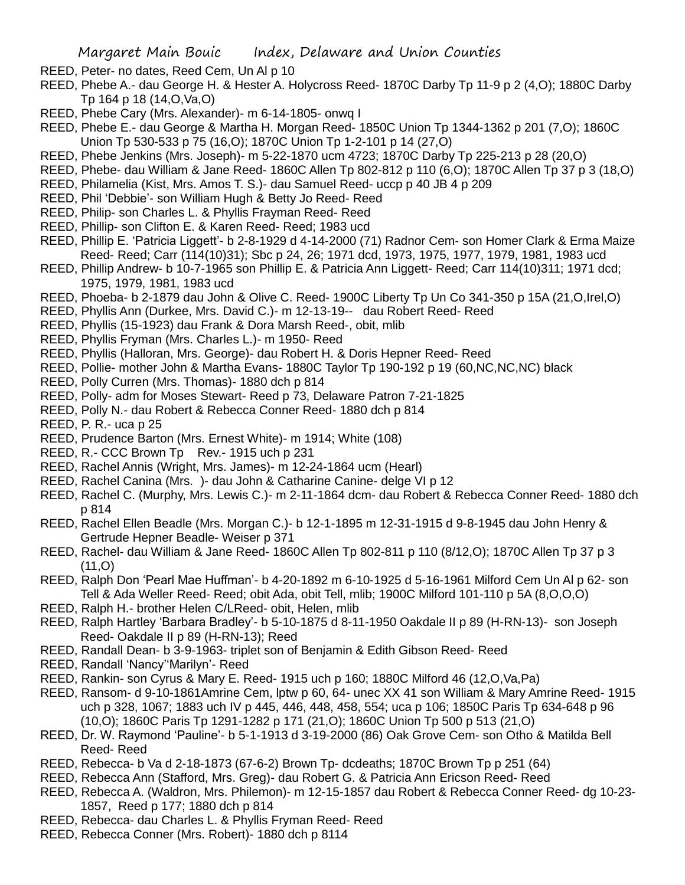- REED, Peter- no dates, Reed Cem, Un Al p 10
- REED, Phebe A.- dau George H. & Hester A. Holycross Reed- 1870C Darby Tp 11-9 p 2 (4,O); 1880C Darby Tp 164 p 18 (14,O,Va,O)
- REED, Phebe Cary (Mrs. Alexander)- m 6-14-1805- onwq I
- REED, Phebe E.- dau George & Martha H. Morgan Reed- 1850C Union Tp 1344-1362 p 201 (7,O); 1860C Union Tp 530-533 p 75 (16,O); 1870C Union Tp 1-2-101 p 14 (27,O)
- REED, Phebe Jenkins (Mrs. Joseph)- m 5-22-1870 ucm 4723; 1870C Darby Tp 225-213 p 28 (20,O)
- REED, Phebe- dau William & Jane Reed- 1860C Allen Tp 802-812 p 110 (6,O); 1870C Allen Tp 37 p 3 (18,O)
- REED, Philamelia (Kist, Mrs. Amos T. S.)- dau Samuel Reed- uccp p 40 JB 4 p 209
- REED, Phil 'Debbie'- son William Hugh & Betty Jo Reed- Reed
- REED, Philip- son Charles L. & Phyllis Frayman Reed- Reed
- REED, Phillip- son Clifton E. & Karen Reed- Reed; 1983 ucd
- REED, Phillip E. 'Patricia Liggett'- b 2-8-1929 d 4-14-2000 (71) Radnor Cem- son Homer Clark & Erma Maize Reed- Reed; Carr (114(10)31); Sbc p 24, 26; 1971 dcd, 1973, 1975, 1977, 1979, 1981, 1983 ucd
- REED, Phillip Andrew- b 10-7-1965 son Phillip E. & Patricia Ann Liggett- Reed; Carr 114(10)311; 1971 dcd; 1975, 1979, 1981, 1983 ucd
- REED, Phoeba- b 2-1879 dau John & Olive C. Reed- 1900C Liberty Tp Un Co 341-350 p 15A (21,O,Irel,O)
- REED, Phyllis Ann (Durkee, Mrs. David C.)- m 12-13-19-- dau Robert Reed- Reed
- REED, Phyllis (15-1923) dau Frank & Dora Marsh Reed-, obit, mlib
- REED, Phyllis Fryman (Mrs. Charles L.)- m 1950- Reed
- REED, Phyllis (Halloran, Mrs. George)- dau Robert H. & Doris Hepner Reed- Reed
- REED, Pollie- mother John & Martha Evans- 1880C Taylor Tp 190-192 p 19 (60,NC,NC,NC) black
- REED, Polly Curren (Mrs. Thomas)- 1880 dch p 814
- REED, Polly- adm for Moses Stewart- Reed p 73, Delaware Patron 7-21-1825
- REED, Polly N.- dau Robert & Rebecca Conner Reed- 1880 dch p 814
- REED, P. R.- uca p 25
- REED, Prudence Barton (Mrs. Ernest White)- m 1914; White (108)
- REED, R.- CCC Brown Tp Rev.- 1915 uch p 231
- REED, Rachel Annis (Wright, Mrs. James)- m 12-24-1864 ucm (Hearl)
- REED, Rachel Canina (Mrs. )- dau John & Catharine Canine- delge VI p 12
- REED, Rachel C. (Murphy, Mrs. Lewis C.)- m 2-11-1864 dcm- dau Robert & Rebecca Conner Reed- 1880 dch p 814
- REED, Rachel Ellen Beadle (Mrs. Morgan C.)- b 12-1-1895 m 12-31-1915 d 9-8-1945 dau John Henry & Gertrude Hepner Beadle- Weiser p 371
- REED, Rachel- dau William & Jane Reed- 1860C Allen Tp 802-811 p 110 (8/12,O); 1870C Allen Tp 37 p 3  $(11, 0)$
- REED, Ralph Don 'Pearl Mae Huffman'- b 4-20-1892 m 6-10-1925 d 5-16-1961 Milford Cem Un Al p 62- son Tell & Ada Weller Reed- Reed; obit Ada, obit Tell, mlib; 1900C Milford 101-110 p 5A (8,O,O,O)
- REED, Ralph H.- brother Helen C/LReed- obit, Helen, mlib
- REED, Ralph Hartley 'Barbara Bradley'- b 5-10-1875 d 8-11-1950 Oakdale II p 89 (H-RN-13)- son Joseph Reed- Oakdale II p 89 (H-RN-13); Reed
- REED, Randall Dean- b 3-9-1963- triplet son of Benjamin & Edith Gibson Reed- Reed
- REED, Randall 'Nancy''Marilyn'- Reed
- REED, Rankin- son Cyrus & Mary E. Reed- 1915 uch p 160; 1880C Milford 46 (12,O,Va,Pa)
- REED, Ransom- d 9-10-1861Amrine Cem, lptw p 60, 64- unec XX 41 son William & Mary Amrine Reed- 1915 uch p 328, 1067; 1883 uch IV p 445, 446, 448, 458, 554; uca p 106; 1850C Paris Tp 634-648 p 96 (10,O); 1860C Paris Tp 1291-1282 p 171 (21,O); 1860C Union Tp 500 p 513 (21,O)
- REED, Dr. W. Raymond 'Pauline'- b 5-1-1913 d 3-19-2000 (86) Oak Grove Cem- son Otho & Matilda Bell Reed- Reed
- REED, Rebecca- b Va d 2-18-1873 (67-6-2) Brown Tp- dcdeaths; 1870C Brown Tp p 251 (64)
- REED, Rebecca Ann (Stafford, Mrs. Greg)- dau Robert G. & Patricia Ann Ericson Reed- Reed
- REED, Rebecca A. (Waldron, Mrs. Philemon)- m 12-15-1857 dau Robert & Rebecca Conner Reed- dg 10-23- 1857, Reed p 177; 1880 dch p 814
- REED, Rebecca- dau Charles L. & Phyllis Fryman Reed- Reed
- REED, Rebecca Conner (Mrs. Robert)- 1880 dch p 8114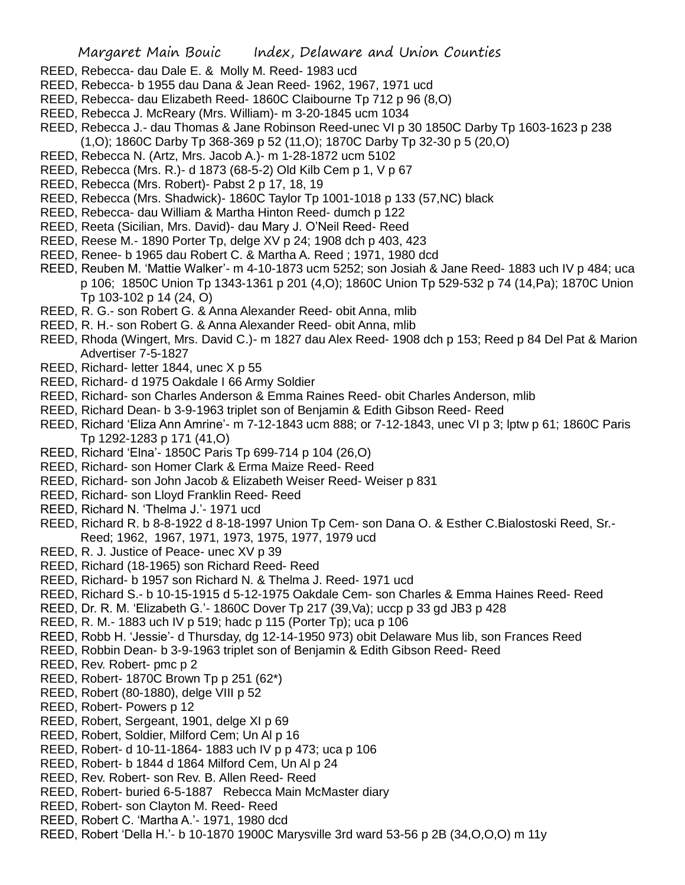- REED, Rebecca- dau Dale E. & Molly M. Reed- 1983 ucd
- REED, Rebecca- b 1955 dau Dana & Jean Reed- 1962, 1967, 1971 ucd
- REED, Rebecca- dau Elizabeth Reed- 1860C Claibourne Tp 712 p 96 (8,O)
- REED, Rebecca J. McReary (Mrs. William)- m 3-20-1845 ucm 1034
- REED, Rebecca J.- dau Thomas & Jane Robinson Reed-unec VI p 30 1850C Darby Tp 1603-1623 p 238 (1,O); 1860C Darby Tp 368-369 p 52 (11,O); 1870C Darby Tp 32-30 p 5 (20,O)
- REED, Rebecca N. (Artz, Mrs. Jacob A.)- m 1-28-1872 ucm 5102
- REED, Rebecca (Mrs. R.)- d 1873 (68-5-2) Old Kilb Cem p 1, V p 67
- REED, Rebecca (Mrs. Robert)- Pabst 2 p 17, 18, 19
- REED, Rebecca (Mrs. Shadwick)- 1860C Taylor Tp 1001-1018 p 133 (57,NC) black
- REED, Rebecca- dau William & Martha Hinton Reed- dumch p 122
- REED, Reeta (Sicilian, Mrs. David)- dau Mary J. O'Neil Reed- Reed
- REED, Reese M.- 1890 Porter Tp, delge XV p 24; 1908 dch p 403, 423
- REED, Renee- b 1965 dau Robert C. & Martha A. Reed ; 1971, 1980 dcd
- REED, Reuben M. 'Mattie Walker'- m 4-10-1873 ucm 5252; son Josiah & Jane Reed- 1883 uch IV p 484; uca p 106; 1850C Union Tp 1343-1361 p 201 (4,O); 1860C Union Tp 529-532 p 74 (14,Pa); 1870C Union Tp 103-102 p 14 (24, O)
- REED, R. G.- son Robert G. & Anna Alexander Reed- obit Anna, mlib
- REED, R. H.- son Robert G. & Anna Alexander Reed- obit Anna, mlib
- REED, Rhoda (Wingert, Mrs. David C.)- m 1827 dau Alex Reed- 1908 dch p 153; Reed p 84 Del Pat & Marion Advertiser 7-5-1827
- REED, Richard- letter 1844, unec X p 55
- REED, Richard- d 1975 Oakdale I 66 Army Soldier
- REED, Richard- son Charles Anderson & Emma Raines Reed- obit Charles Anderson, mlib
- REED, Richard Dean- b 3-9-1963 triplet son of Benjamin & Edith Gibson Reed- Reed
- REED, Richard 'Eliza Ann Amrine'- m 7-12-1843 ucm 888; or 7-12-1843, unec VI p 3; lptw p 61; 1860C Paris Tp 1292-1283 p 171 (41,O)
- REED, Richard 'Elna'- 1850C Paris Tp 699-714 p 104 (26,O)
- REED, Richard- son Homer Clark & Erma Maize Reed- Reed
- REED, Richard- son John Jacob & Elizabeth Weiser Reed- Weiser p 831
- REED, Richard- son Lloyd Franklin Reed- Reed
- REED, Richard N. 'Thelma J.'- 1971 ucd
- REED, Richard R. b 8-8-1922 d 8-18-1997 Union Tp Cem- son Dana O. & Esther C.Bialostoski Reed, Sr.- Reed; 1962, 1967, 1971, 1973, 1975, 1977, 1979 ucd
- REED, R. J. Justice of Peace- unec XV p 39
- REED, Richard (18-1965) son Richard Reed- Reed
- REED, Richard- b 1957 son Richard N. & Thelma J. Reed- 1971 ucd
- REED, Richard S.- b 10-15-1915 d 5-12-1975 Oakdale Cem- son Charles & Emma Haines Reed- Reed
- REED, Dr. R. M. 'Elizabeth G.'- 1860C Dover Tp 217 (39,Va); uccp p 33 gd JB3 p 428
- REED, R. M.- 1883 uch IV p 519; hadc p 115 (Porter Tp); uca p 106
- REED, Robb H. 'Jessie'- d Thursday, dg 12-14-1950 973) obit Delaware Mus lib, son Frances Reed
- REED, Robbin Dean- b 3-9-1963 triplet son of Benjamin & Edith Gibson Reed- Reed
- REED, Rev. Robert- pmc p 2
- REED, Robert- 1870C Brown Tp p 251 (62\*)
- REED, Robert (80-1880), delge VIII p 52
- REED, Robert- Powers p 12
- REED, Robert, Sergeant, 1901, delge XI p 69
- REED, Robert, Soldier, Milford Cem; Un Al p 16
- REED, Robert- d 10-11-1864- 1883 uch IV p p 473; uca p 106
- REED, Robert- b 1844 d 1864 Milford Cem, Un Al p 24
- REED, Rev. Robert- son Rev. B. Allen Reed- Reed
- REED, Robert- buried 6-5-1887 Rebecca Main McMaster diary
- REED, Robert- son Clayton M. Reed- Reed
- REED, Robert C. 'Martha A.'- 1971, 1980 dcd
- REED, Robert 'Della H.'- b 10-1870 1900C Marysville 3rd ward 53-56 p 2B (34,O,O,O) m 11y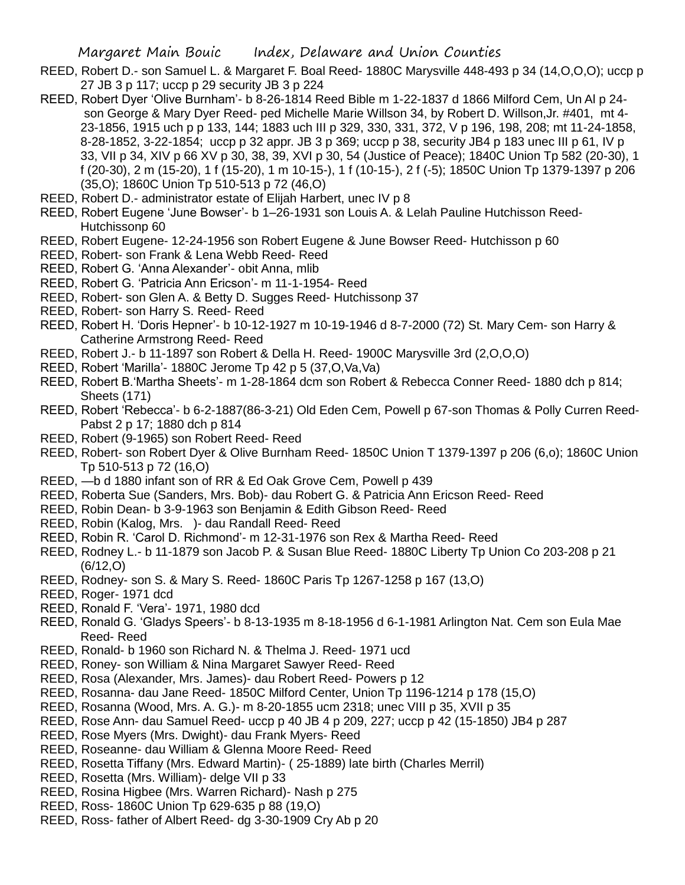- REED, Robert D.- son Samuel L. & Margaret F. Boal Reed- 1880C Marysville 448-493 p 34 (14,O,O,O); uccp p 27 JB 3 p 117; uccp p 29 security JB 3 p 224
- REED, Robert Dyer 'Olive Burnham'- b 8-26-1814 Reed Bible m 1-22-1837 d 1866 Milford Cem, Un Al p 24 son George & Mary Dyer Reed- ped Michelle Marie Willson 34, by Robert D. Willson,Jr. #401, mt 4- 23-1856, 1915 uch p p 133, 144; 1883 uch III p 329, 330, 331, 372, V p 196, 198, 208; mt 11-24-1858, 8-28-1852, 3-22-1854; uccp p 32 appr. JB 3 p 369; uccp p 38, security JB4 p 183 unec III p 61, IV p 33, VII p 34, XIV p 66 XV p 30, 38, 39, XVI p 30, 54 (Justice of Peace); 1840C Union Tp 582 (20-30), 1 f (20-30), 2 m (15-20), 1 f (15-20), 1 m 10-15-), 1 f (10-15-), 2 f (-5); 1850C Union Tp 1379-1397 p 206 (35,O); 1860C Union Tp 510-513 p 72 (46,O)
- REED, Robert D.- administrator estate of Elijah Harbert, unec IV p 8
- REED, Robert Eugene 'June Bowser'- b 1–26-1931 son Louis A. & Lelah Pauline Hutchisson Reed-Hutchissonp 60
- REED, Robert Eugene- 12-24-1956 son Robert Eugene & June Bowser Reed- Hutchisson p 60
- REED, Robert- son Frank & Lena Webb Reed- Reed
- REED, Robert G. 'Anna Alexander'- obit Anna, mlib
- REED, Robert G. 'Patricia Ann Ericson'- m 11-1-1954- Reed
- REED, Robert- son Glen A. & Betty D. Sugges Reed- Hutchissonp 37
- REED, Robert- son Harry S. Reed- Reed
- REED, Robert H. 'Doris Hepner'- b 10-12-1927 m 10-19-1946 d 8-7-2000 (72) St. Mary Cem- son Harry & Catherine Armstrong Reed- Reed
- REED, Robert J.- b 11-1897 son Robert & Della H. Reed- 1900C Marysville 3rd (2,O,O,O)
- REED, Robert 'Marilla'- 1880C Jerome Tp 42 p 5 (37,O,Va,Va)
- REED, Robert B.'Martha Sheets'- m 1-28-1864 dcm son Robert & Rebecca Conner Reed- 1880 dch p 814; Sheets (171)
- REED, Robert 'Rebecca'- b 6-2-1887(86-3-21) Old Eden Cem, Powell p 67-son Thomas & Polly Curren Reed-Pabst 2 p 17; 1880 dch p 814
- REED, Robert (9-1965) son Robert Reed- Reed
- REED, Robert- son Robert Dyer & Olive Burnham Reed- 1850C Union T 1379-1397 p 206 (6,o); 1860C Union Tp 510-513 p 72 (16,O)
- REED, —b d 1880 infant son of RR & Ed Oak Grove Cem, Powell p 439
- REED, Roberta Sue (Sanders, Mrs. Bob)- dau Robert G. & Patricia Ann Ericson Reed- Reed
- REED, Robin Dean- b 3-9-1963 son Benjamin & Edith Gibson Reed- Reed
- REED, Robin (Kalog, Mrs. )- dau Randall Reed- Reed
- REED, Robin R. 'Carol D. Richmond'- m 12-31-1976 son Rex & Martha Reed- Reed
- REED, Rodney L.- b 11-1879 son Jacob P. & Susan Blue Reed- 1880C Liberty Tp Union Co 203-208 p 21 (6/12,O)
- REED, Rodney- son S. & Mary S. Reed- 1860C Paris Tp 1267-1258 p 167 (13,O)
- REED, Roger- 1971 dcd
- REED, Ronald F. 'Vera'- 1971, 1980 dcd
- REED, Ronald G. 'Gladys Speers'- b 8-13-1935 m 8-18-1956 d 6-1-1981 Arlington Nat. Cem son Eula Mae Reed- Reed
- REED, Ronald- b 1960 son Richard N. & Thelma J. Reed- 1971 ucd
- REED, Roney- son William & Nina Margaret Sawyer Reed- Reed
- REED, Rosa (Alexander, Mrs. James)- dau Robert Reed- Powers p 12
- REED, Rosanna- dau Jane Reed- 1850C Milford Center, Union Tp 1196-1214 p 178 (15,O)
- REED, Rosanna (Wood, Mrs. A. G.)- m 8-20-1855 ucm 2318; unec VIII p 35, XVII p 35
- REED, Rose Ann- dau Samuel Reed- uccp p 40 JB 4 p 209, 227; uccp p 42 (15-1850) JB4 p 287
- REED, Rose Myers (Mrs. Dwight)- dau Frank Myers- Reed
- REED, Roseanne- dau William & Glenna Moore Reed- Reed
- REED, Rosetta Tiffany (Mrs. Edward Martin)- ( 25-1889) late birth (Charles Merril)
- REED, Rosetta (Mrs. William)- delge VII p 33
- REED, Rosina Higbee (Mrs. Warren Richard)- Nash p 275
- REED, Ross- 1860C Union Tp 629-635 p 88 (19,O)
- REED, Ross- father of Albert Reed- dg 3-30-1909 Cry Ab p 20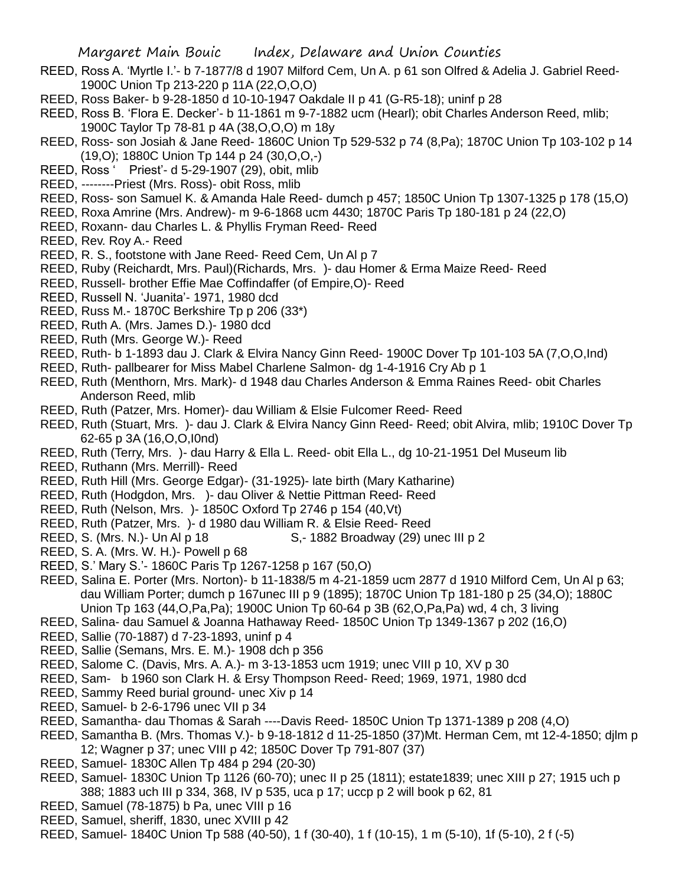- REED, Ross A. 'Myrtle I.'- b 7-1877/8 d 1907 Milford Cem, Un A. p 61 son Olfred & Adelia J. Gabriel Reed-1900C Union Tp 213-220 p 11A (22,O,O,O)
- REED, Ross Baker- b 9-28-1850 d 10-10-1947 Oakdale II p 41 (G-R5-18); uninf p 28
- REED, Ross B. 'Flora E. Decker'- b 11-1861 m 9-7-1882 ucm (Hearl); obit Charles Anderson Reed, mlib; 1900C Taylor Tp 78-81 p 4A (38,O,O,O) m 18y
- REED, Ross- son Josiah & Jane Reed- 1860C Union Tp 529-532 p 74 (8,Pa); 1870C Union Tp 103-102 p 14 (19,O); 1880C Union Tp 144 p 24 (30,O,O,-)
- REED, Ross ' Priest'- d 5-29-1907 (29), obit, mlib
- REED, --------Priest (Mrs. Ross)- obit Ross, mlib
- REED, Ross- son Samuel K. & Amanda Hale Reed- dumch p 457; 1850C Union Tp 1307-1325 p 178 (15,O)
- REED, Roxa Amrine (Mrs. Andrew)- m 9-6-1868 ucm 4430; 1870C Paris Tp 180-181 p 24 (22,O)
- REED, Roxann- dau Charles L. & Phyllis Fryman Reed- Reed
- REED, Rev. Roy A.- Reed
- REED, R. S., footstone with Jane Reed- Reed Cem, Un Al p 7
- REED, Ruby (Reichardt, Mrs. Paul)(Richards, Mrs. )- dau Homer & Erma Maize Reed- Reed
- REED, Russell- brother Effie Mae Coffindaffer (of Empire,O)- Reed
- REED, Russell N. 'Juanita'- 1971, 1980 dcd
- REED, Russ M.- 1870C Berkshire Tp p 206 (33\*)
- REED, Ruth A. (Mrs. James D.)- 1980 dcd
- REED, Ruth (Mrs. George W.)- Reed
- REED, Ruth- b 1-1893 dau J. Clark & Elvira Nancy Ginn Reed- 1900C Dover Tp 101-103 5A (7,O,O,Ind)
- REED, Ruth- pallbearer for Miss Mabel Charlene Salmon- dg 1-4-1916 Cry Ab p 1
- REED, Ruth (Menthorn, Mrs. Mark)- d 1948 dau Charles Anderson & Emma Raines Reed- obit Charles Anderson Reed, mlib
- REED, Ruth (Patzer, Mrs. Homer)- dau William & Elsie Fulcomer Reed- Reed
- REED, Ruth (Stuart, Mrs. )- dau J. Clark & Elvira Nancy Ginn Reed- Reed; obit Alvira, mlib; 1910C Dover Tp 62-65 p 3A (16,O,O,I0nd)
- REED, Ruth (Terry, Mrs. )- dau Harry & Ella L. Reed- obit Ella L., dg 10-21-1951 Del Museum lib
- REED, Ruthann (Mrs. Merrill)- Reed
- REED, Ruth Hill (Mrs. George Edgar)- (31-1925)- late birth (Mary Katharine)
- REED, Ruth (Hodgdon, Mrs. )- dau Oliver & Nettie Pittman Reed- Reed
- REED, Ruth (Nelson, Mrs. )- 1850C Oxford Tp 2746 p 154 (40,Vt)
- REED, Ruth (Patzer, Mrs. )- d 1980 dau William R. & Elsie Reed- Reed
- REED, S. (Mrs. N.)- Un Al p 18 S,- 1882 Broadway (29) unec III p 2
- REED, S. A. (Mrs. W. H.)- Powell p 68
- REED, S.' Mary S.'- 1860C Paris Tp 1267-1258 p 167 (50,O)
- REED, Salina E. Porter (Mrs. Norton)- b 11-1838/5 m 4-21-1859 ucm 2877 d 1910 Milford Cem, Un Al p 63; dau William Porter; dumch p 167unec III p 9 (1895); 1870C Union Tp 181-180 p 25 (34,O); 1880C Union Tp 163 (44,O,Pa,Pa); 1900C Union Tp 60-64 p 3B (62,O,Pa,Pa) wd, 4 ch, 3 living
- REED, Salina- dau Samuel & Joanna Hathaway Reed- 1850C Union Tp 1349-1367 p 202 (16,O)
- REED, Sallie (70-1887) d 7-23-1893, uninf p 4
- REED, Sallie (Semans, Mrs. E. M.)- 1908 dch p 356
- REED, Salome C. (Davis, Mrs. A. A.)- m 3-13-1853 ucm 1919; unec VIII p 10, XV p 30
- REED, Sam- b 1960 son Clark H. & Ersy Thompson Reed- Reed; 1969, 1971, 1980 dcd
- REED, Sammy Reed burial ground- unec Xiv p 14
- REED, Samuel- b 2-6-1796 unec VII p 34
- REED, Samantha- dau Thomas & Sarah ----Davis Reed- 1850C Union Tp 1371-1389 p 208 (4,O)
- REED, Samantha B. (Mrs. Thomas V.)- b 9-18-1812 d 11-25-1850 (37)Mt. Herman Cem, mt 12-4-1850; djlm p 12; Wagner p 37; unec VIII p 42; 1850C Dover Tp 791-807 (37)
- REED, Samuel- 1830C Allen Tp 484 p 294 (20-30)
- REED, Samuel- 1830C Union Tp 1126 (60-70); unec II p 25 (1811); estate1839; unec XIII p 27; 1915 uch p 388; 1883 uch III p 334, 368, IV p 535, uca p 17; uccp p 2 will book p 62, 81
- REED, Samuel (78-1875) b Pa, unec VIII p 16
- REED, Samuel, sheriff, 1830, unec XVIII p 42
- REED, Samuel- 1840C Union Tp 588 (40-50), 1 f (30-40), 1 f (10-15), 1 m (5-10), 1f (5-10), 2 f (-5)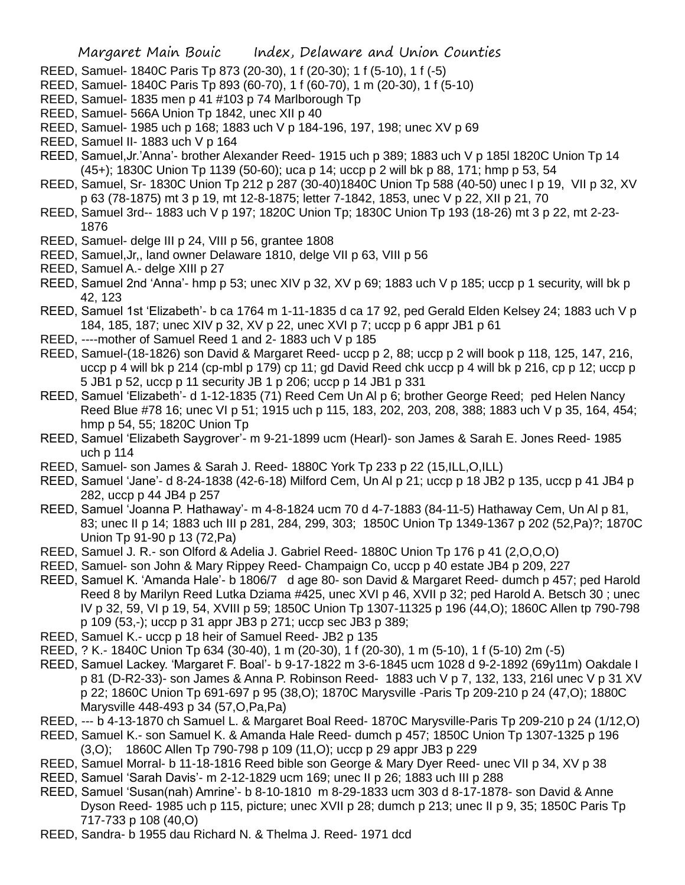- REED, Samuel- 1840C Paris Tp 873 (20-30), 1 f (20-30); 1 f (5-10), 1 f (-5)
- REED, Samuel- 1840C Paris Tp 893 (60-70), 1 f (60-70), 1 m (20-30), 1 f (5-10)
- REED, Samuel- 1835 men p 41 #103 p 74 Marlborough Tp
- REED, Samuel- 566A Union Tp 1842, unec XII p 40
- REED, Samuel- 1985 uch p 168; 1883 uch V p 184-196, 197, 198; unec XV p 69
- REED, Samuel II- 1883 uch V p 164
- REED, Samuel,Jr.'Anna'- brother Alexander Reed- 1915 uch p 389; 1883 uch V p 185l 1820C Union Tp 14 (45+); 1830C Union Tp 1139 (50-60); uca p 14; uccp p 2 will bk p 88, 171; hmp p 53, 54
- REED, Samuel, Sr- 1830C Union Tp 212 p 287 (30-40)1840C Union Tp 588 (40-50) unec I p 19, VII p 32, XV p 63 (78-1875) mt 3 p 19, mt 12-8-1875; letter 7-1842, 1853, unec V p 22, XII p 21, 70
- REED, Samuel 3rd-- 1883 uch V p 197; 1820C Union Tp; 1830C Union Tp 193 (18-26) mt 3 p 22, mt 2-23- 1876
- REED, Samuel- delge III p 24, VIII p 56, grantee 1808
- REED, Samuel,Jr,, land owner Delaware 1810, delge VII p 63, VIII p 56
- REED, Samuel A.- delge XIII p 27
- REED, Samuel 2nd 'Anna'- hmp p 53; unec XIV p 32, XV p 69; 1883 uch V p 185; uccp p 1 security, will bk p 42, 123
- REED, Samuel 1st 'Elizabeth'- b ca 1764 m 1-11-1835 d ca 17 92, ped Gerald Elden Kelsey 24; 1883 uch V p 184, 185, 187; unec XIV p 32, XV p 22, unec XVI p 7; uccp p 6 appr JB1 p 61
- REED, ----mother of Samuel Reed 1 and 2- 1883 uch V p 185
- REED, Samuel-(18-1826) son David & Margaret Reed- uccp p 2, 88; uccp p 2 will book p 118, 125, 147, 216, uccp p 4 will bk p 214 (cp-mbl p 179) cp 11; gd David Reed chk uccp p 4 will bk p 216, cp p 12; uccp p 5 JB1 p 52, uccp p 11 security JB 1 p 206; uccp p 14 JB1 p 331
- REED, Samuel 'Elizabeth'- d 1-12-1835 (71) Reed Cem Un Al p 6; brother George Reed; ped Helen Nancy Reed Blue #78 16; unec VI p 51; 1915 uch p 115, 183, 202, 203, 208, 388; 1883 uch V p 35, 164, 454; hmp p 54, 55; 1820C Union Tp
- REED, Samuel 'Elizabeth Saygrover'- m 9-21-1899 ucm (Hearl)- son James & Sarah E. Jones Reed- 1985 uch p 114
- REED, Samuel- son James & Sarah J. Reed- 1880C York Tp 233 p 22 (15,ILL,O,ILL)
- REED, Samuel 'Jane'- d 8-24-1838 (42-6-18) Milford Cem, Un Al p 21; uccp p 18 JB2 p 135, uccp p 41 JB4 p 282, uccp p 44 JB4 p 257
- REED, Samuel 'Joanna P. Hathaway'- m 4-8-1824 ucm 70 d 4-7-1883 (84-11-5) Hathaway Cem, Un Al p 81, 83; unec II p 14; 1883 uch III p 281, 284, 299, 303; 1850C Union Tp 1349-1367 p 202 (52,Pa)?; 1870C Union Tp 91-90 p 13 (72,Pa)
- REED, Samuel J. R.- son Olford & Adelia J. Gabriel Reed- 1880C Union Tp 176 p 41 (2,O,O,O)
- REED, Samuel- son John & Mary Rippey Reed- Champaign Co, uccp p 40 estate JB4 p 209, 227
- REED, Samuel K. 'Amanda Hale'- b 1806/7 d age 80- son David & Margaret Reed- dumch p 457; ped Harold Reed 8 by Marilyn Reed Lutka Dziama #425, unec XVI p 46, XVII p 32; ped Harold A. Betsch 30 ; unec IV p 32, 59, VI p 19, 54, XVIII p 59; 1850C Union Tp 1307-11325 p 196 (44,O); 1860C Allen tp 790-798 p 109 (53,-); uccp p 31 appr JB3 p 271; uccp sec JB3 p 389;
- REED, Samuel K.- uccp p 18 heir of Samuel Reed- JB2 p 135
- REED, ? K.- 1840C Union Tp 634 (30-40), 1 m (20-30), 1 f (20-30), 1 m (5-10), 1 f (5-10) 2m (-5)
- REED, Samuel Lackey. 'Margaret F. Boal'- b 9-17-1822 m 3-6-1845 ucm 1028 d 9-2-1892 (69y11m) Oakdale I p 81 (D-R2-33)- son James & Anna P. Robinson Reed- 1883 uch V p 7, 132, 133, 216l unec V p 31 XV p 22; 1860C Union Tp 691-697 p 95 (38,O); 1870C Marysville -Paris Tp 209-210 p 24 (47,O); 1880C Marysville 448-493 p 34 (57,O,Pa,Pa)
- REED, --- b 4-13-1870 ch Samuel L. & Margaret Boal Reed- 1870C Marysville-Paris Tp 209-210 p 24 (1/12,O)
- REED, Samuel K.- son Samuel K. & Amanda Hale Reed- dumch p 457; 1850C Union Tp 1307-1325 p 196 (3,O); 1860C Allen Tp 790-798 p 109 (11,O); uccp p 29 appr JB3 p 229
- REED, Samuel Morral- b 11-18-1816 Reed bible son George & Mary Dyer Reed- unec VII p 34, XV p 38
- REED, Samuel 'Sarah Davis'- m 2-12-1829 ucm 169; unec II p 26; 1883 uch III p 288
- REED, Samuel 'Susan(nah) Amrine'- b 8-10-1810 m 8-29-1833 ucm 303 d 8-17-1878- son David & Anne Dyson Reed- 1985 uch p 115, picture; unec XVII p 28; dumch p 213; unec II p 9, 35; 1850C Paris Tp 717-733 p 108 (40,O)
- REED, Sandra- b 1955 dau Richard N. & Thelma J. Reed- 1971 dcd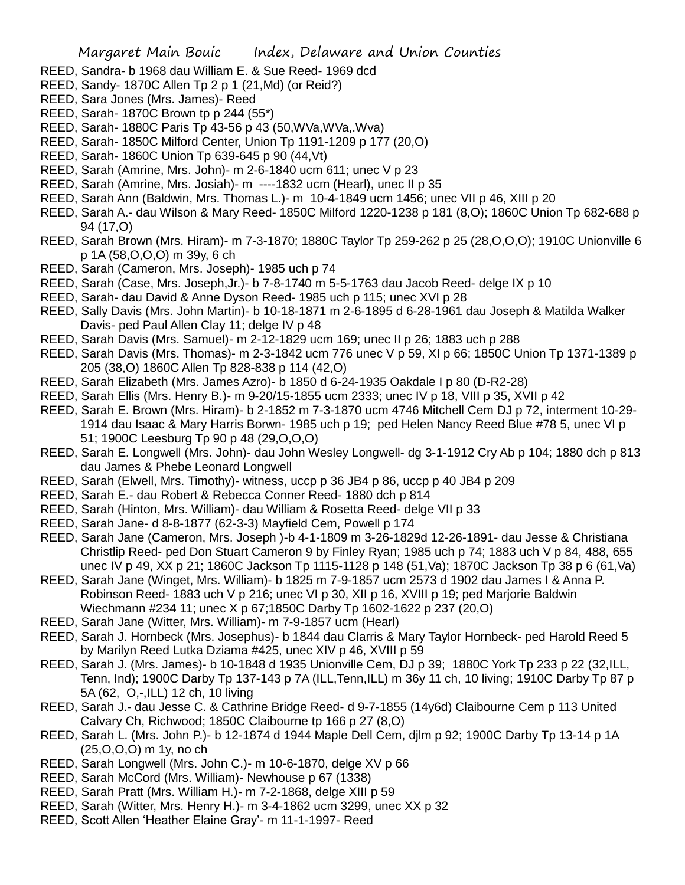- REED, Sandra- b 1968 dau William E. & Sue Reed- 1969 dcd
- REED, Sandy- 1870C Allen Tp 2 p 1 (21,Md) (or Reid?)
- REED, Sara Jones (Mrs. James)- Reed
- REED, Sarah- 1870C Brown tp p 244 (55\*)
- REED, Sarah- 1880C Paris Tp 43-56 p 43 (50,WVa,WVa,.Wva)
- REED, Sarah- 1850C Milford Center, Union Tp 1191-1209 p 177 (20,O)
- REED, Sarah- 1860C Union Tp 639-645 p 90 (44,Vt)
- REED, Sarah (Amrine, Mrs. John)- m 2-6-1840 ucm 611; unec V p 23
- REED, Sarah (Amrine, Mrs. Josiah)- m ----1832 ucm (Hearl), unec II p 35
- REED, Sarah Ann (Baldwin, Mrs. Thomas L.)- m 10-4-1849 ucm 1456; unec VII p 46, XIII p 20
- REED, Sarah A.- dau Wilson & Mary Reed- 1850C Milford 1220-1238 p 181 (8,O); 1860C Union Tp 682-688 p 94 (17,O)
- REED, Sarah Brown (Mrs. Hiram)- m 7-3-1870; 1880C Taylor Tp 259-262 p 25 (28,O,O,O); 1910C Unionville 6 p 1A (58,O,O,O) m 39y, 6 ch
- REED, Sarah (Cameron, Mrs. Joseph)- 1985 uch p 74
- REED, Sarah (Case, Mrs. Joseph,Jr.)- b 7-8-1740 m 5-5-1763 dau Jacob Reed- delge IX p 10
- REED, Sarah- dau David & Anne Dyson Reed- 1985 uch p 115; unec XVI p 28
- REED, Sally Davis (Mrs. John Martin)- b 10-18-1871 m 2-6-1895 d 6-28-1961 dau Joseph & Matilda Walker Davis- ped Paul Allen Clay 11; delge IV p 48
- REED, Sarah Davis (Mrs. Samuel)- m 2-12-1829 ucm 169; unec II p 26; 1883 uch p 288
- REED, Sarah Davis (Mrs. Thomas)- m 2-3-1842 ucm 776 unec V p 59, XI p 66; 1850C Union Tp 1371-1389 p 205 (38,O) 1860C Allen Tp 828-838 p 114 (42,O)
- REED, Sarah Elizabeth (Mrs. James Azro)- b 1850 d 6-24-1935 Oakdale I p 80 (D-R2-28)
- REED, Sarah Ellis (Mrs. Henry B.)- m 9-20/15-1855 ucm 2333; unec IV p 18, VIII p 35, XVII p 42
- REED, Sarah E. Brown (Mrs. Hiram)- b 2-1852 m 7-3-1870 ucm 4746 Mitchell Cem DJ p 72, interment 10-29- 1914 dau Isaac & Mary Harris Borwn- 1985 uch p 19; ped Helen Nancy Reed Blue #78 5, unec VI p 51; 1900C Leesburg Tp 90 p 48 (29,O,O,O)
- REED, Sarah E. Longwell (Mrs. John)- dau John Wesley Longwell- dg 3-1-1912 Cry Ab p 104; 1880 dch p 813 dau James & Phebe Leonard Longwell
- REED, Sarah (Elwell, Mrs. Timothy)- witness, uccp p 36 JB4 p 86, uccp p 40 JB4 p 209
- REED, Sarah E.- dau Robert & Rebecca Conner Reed- 1880 dch p 814
- REED, Sarah (Hinton, Mrs. William)- dau William & Rosetta Reed- delge VII p 33
- REED, Sarah Jane- d 8-8-1877 (62-3-3) Mayfield Cem, Powell p 174
- REED, Sarah Jane (Cameron, Mrs. Joseph )-b 4-1-1809 m 3-26-1829d 12-26-1891- dau Jesse & Christiana Christlip Reed- ped Don Stuart Cameron 9 by Finley Ryan; 1985 uch p 74; 1883 uch V p 84, 488, 655 unec IV p 49, XX p 21; 1860C Jackson Tp 1115-1128 p 148 (51,Va); 1870C Jackson Tp 38 p 6 (61,Va)
- REED, Sarah Jane (Winget, Mrs. William)- b 1825 m 7-9-1857 ucm 2573 d 1902 dau James I & Anna P. Robinson Reed- 1883 uch V p 216; unec VI p 30, XII p 16, XVIII p 19; ped Marjorie Baldwin Wiechmann #234 11; unec X p 67;1850C Darby Tp 1602-1622 p 237 (20,O)
- REED, Sarah Jane (Witter, Mrs. William)- m 7-9-1857 ucm (Hearl)
- REED, Sarah J. Hornbeck (Mrs. Josephus)- b 1844 dau Clarris & Mary Taylor Hornbeck- ped Harold Reed 5 by Marilyn Reed Lutka Dziama #425, unec XIV p 46, XVIII p 59
- REED, Sarah J. (Mrs. James)- b 10-1848 d 1935 Unionville Cem, DJ p 39; 1880C York Tp 233 p 22 (32,ILL, Tenn, Ind); 1900C Darby Tp 137-143 p 7A (ILL,Tenn,ILL) m 36y 11 ch, 10 living; 1910C Darby Tp 87 p 5A (62, O,-,ILL) 12 ch, 10 living
- REED, Sarah J.- dau Jesse C. & Cathrine Bridge Reed- d 9-7-1855 (14y6d) Claibourne Cem p 113 United Calvary Ch, Richwood; 1850C Claibourne tp 166 p 27 (8,O)
- REED, Sarah L. (Mrs. John P.)- b 12-1874 d 1944 Maple Dell Cem, djlm p 92; 1900C Darby Tp 13-14 p 1A (25,O,O,O) m 1y, no ch
- REED, Sarah Longwell (Mrs. John C.)- m 10-6-1870, delge XV p 66
- REED, Sarah McCord (Mrs. William)- Newhouse p 67 (1338)
- REED, Sarah Pratt (Mrs. William H.)- m 7-2-1868, delge XIII p 59
- REED, Sarah (Witter, Mrs. Henry H.)- m 3-4-1862 ucm 3299, unec XX p 32
- REED, Scott Allen 'Heather Elaine Gray'- m 11-1-1997- Reed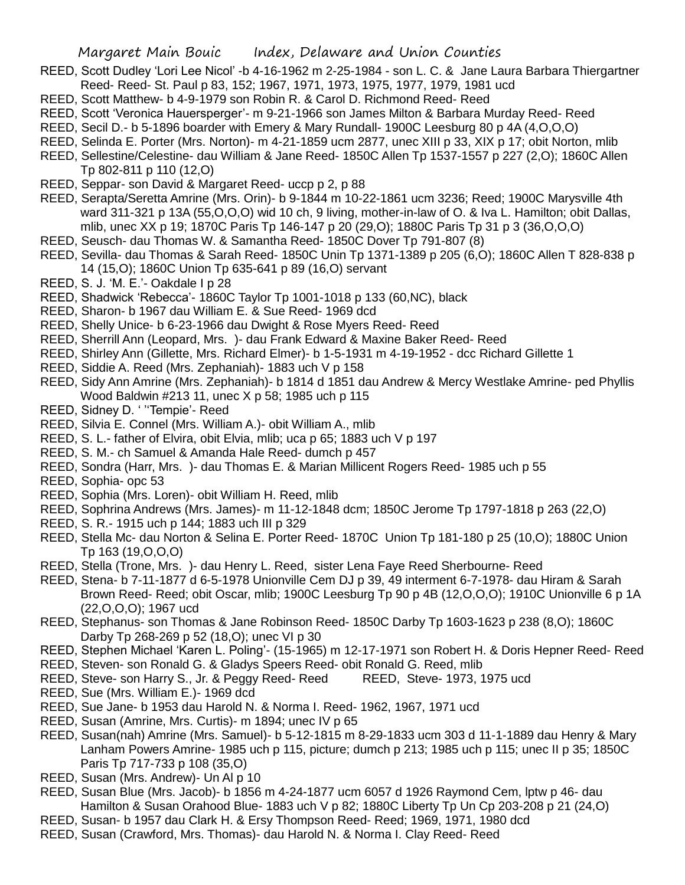- REED, Scott Dudley 'Lori Lee Nicol' -b 4-16-1962 m 2-25-1984 son L. C. & Jane Laura Barbara Thiergartner Reed- Reed- St. Paul p 83, 152; 1967, 1971, 1973, 1975, 1977, 1979, 1981 ucd
- REED, Scott Matthew- b 4-9-1979 son Robin R. & Carol D. Richmond Reed- Reed
- REED, Scott 'Veronica Hauersperger'- m 9-21-1966 son James Milton & Barbara Murday Reed- Reed
- REED, Secil D.- b 5-1896 boarder with Emery & Mary Rundall- 1900C Leesburg 80 p 4A (4,O,O,O)
- REED, Selinda E. Porter (Mrs. Norton)- m 4-21-1859 ucm 2877, unec XIII p 33, XIX p 17; obit Norton, mlib
- REED, Sellestine/Celestine- dau William & Jane Reed- 1850C Allen Tp 1537-1557 p 227 (2,O); 1860C Allen Tp 802-811 p 110 (12,O)
- REED, Seppar- son David & Margaret Reed- uccp p 2, p 88
- REED, Serapta/Seretta Amrine (Mrs. Orin)- b 9-1844 m 10-22-1861 ucm 3236; Reed; 1900C Marysville 4th ward 311-321 p 13A (55,O,O,O) wid 10 ch, 9 living, mother-in-law of O. & Iva L. Hamilton; obit Dallas, mlib, unec XX p 19; 1870C Paris Tp 146-147 p 20 (29,O); 1880C Paris Tp 31 p 3 (36,O,O,O)
- REED, Seusch- dau Thomas W. & Samantha Reed- 1850C Dover Tp 791-807 (8)
- REED, Sevilla- dau Thomas & Sarah Reed- 1850C Unin Tp 1371-1389 p 205 (6,O); 1860C Allen T 828-838 p 14 (15,O); 1860C Union Tp 635-641 p 89 (16,O) servant
- REED, S. J. 'M. E.'- Oakdale I p 28
- REED, Shadwick 'Rebecca'- 1860C Taylor Tp 1001-1018 p 133 (60,NC), black
- REED, Sharon- b 1967 dau William E. & Sue Reed- 1969 dcd
- REED, Shelly Unice- b 6-23-1966 dau Dwight & Rose Myers Reed- Reed
- REED, Sherrill Ann (Leopard, Mrs. )- dau Frank Edward & Maxine Baker Reed- Reed
- REED, Shirley Ann (Gillette, Mrs. Richard Elmer)- b 1-5-1931 m 4-19-1952 dcc Richard Gillette 1
- REED, Siddie A. Reed (Mrs. Zephaniah)- 1883 uch V p 158
- REED, Sidy Ann Amrine (Mrs. Zephaniah)- b 1814 d 1851 dau Andrew & Mercy Westlake Amrine- ped Phyllis Wood Baldwin #213 11, unec X p 58; 1985 uch p 115
- REED, Sidney D. ' ''Tempie'- Reed
- REED, Silvia E. Connel (Mrs. William A.)- obit William A., mlib
- REED, S. L.- father of Elvira, obit Elvia, mlib; uca p 65; 1883 uch V p 197
- REED, S. M.- ch Samuel & Amanda Hale Reed- dumch p 457
- REED, Sondra (Harr, Mrs. )- dau Thomas E. & Marian Millicent Rogers Reed- 1985 uch p 55
- REED, Sophia- opc 53
- REED, Sophia (Mrs. Loren)- obit William H. Reed, mlib
- REED, Sophrina Andrews (Mrs. James)- m 11-12-1848 dcm; 1850C Jerome Tp 1797-1818 p 263 (22,O)
- REED, S. R.- 1915 uch p 144; 1883 uch III p 329
- REED, Stella Mc- dau Norton & Selina E. Porter Reed- 1870C Union Tp 181-180 p 25 (10,O); 1880C Union Tp 163 (19,O,O,O)
- REED, Stella (Trone, Mrs. )- dau Henry L. Reed, sister Lena Faye Reed Sherbourne- Reed
- REED, Stena- b 7-11-1877 d 6-5-1978 Unionville Cem DJ p 39, 49 interment 6-7-1978- dau Hiram & Sarah Brown Reed- Reed; obit Oscar, mlib; 1900C Leesburg Tp 90 p 4B (12, O, O, O); 1910C Unionville 6 p 1A (22,O,O,O); 1967 ucd
- REED, Stephanus- son Thomas & Jane Robinson Reed- 1850C Darby Tp 1603-1623 p 238 (8,O); 1860C Darby Tp 268-269 p 52 (18,O); unec VI p 30
- REED, Stephen Michael 'Karen L. Poling'- (15-1965) m 12-17-1971 son Robert H. & Doris Hepner Reed- Reed
- REED, Steven- son Ronald G. & Gladys Speers Reed- obit Ronald G. Reed, mlib
- REED, Steve- son Harry S., Jr. & Peggy Reed- Reed REED, Steve- 1973, 1975 ucd
- REED, Sue (Mrs. William E.)- 1969 dcd
- REED, Sue Jane- b 1953 dau Harold N. & Norma I. Reed- 1962, 1967, 1971 ucd
- REED, Susan (Amrine, Mrs. Curtis)- m 1894; unec IV p 65
- REED, Susan(nah) Amrine (Mrs. Samuel)- b 5-12-1815 m 8-29-1833 ucm 303 d 11-1-1889 dau Henry & Mary Lanham Powers Amrine- 1985 uch p 115, picture; dumch p 213; 1985 uch p 115; unec II p 35; 1850C Paris Tp 717-733 p 108 (35,O)
- REED, Susan (Mrs. Andrew)- Un Al p 10
- REED, Susan Blue (Mrs. Jacob)- b 1856 m 4-24-1877 ucm 6057 d 1926 Raymond Cem, lptw p 46- dau Hamilton & Susan Orahood Blue- 1883 uch V p 82; 1880C Liberty Tp Un Cp 203-208 p 21 (24,O)
- REED, Susan- b 1957 dau Clark H. & Ersy Thompson Reed- Reed; 1969, 1971, 1980 dcd
- REED, Susan (Crawford, Mrs. Thomas)- dau Harold N. & Norma I. Clay Reed- Reed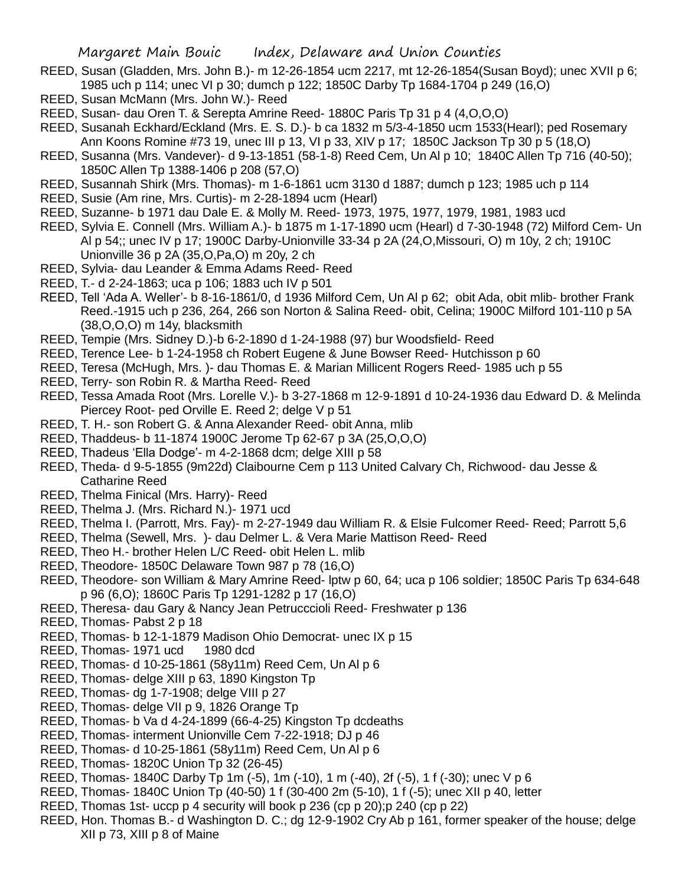- REED, Susan (Gladden, Mrs. John B.)- m 12-26-1854 ucm 2217, mt 12-26-1854(Susan Boyd); unec XVII p 6; 1985 uch p 114; unec VI p 30; dumch p 122; 1850C Darby Tp 1684-1704 p 249 (16,O)
- REED, Susan McMann (Mrs. John W.)- Reed
- REED, Susan- dau Oren T. & Serepta Amrine Reed- 1880C Paris Tp 31 p 4 (4,O,O,O)
- REED, Susanah Eckhard/Eckland (Mrs. E. S. D.)- b ca 1832 m 5/3-4-1850 ucm 1533(Hearl); ped Rosemary Ann Koons Romine #73 19, unec III p 13, VI p 33, XIV p 17; 1850C Jackson Tp 30 p 5 (18,O)
- REED, Susanna (Mrs. Vandever)- d 9-13-1851 (58-1-8) Reed Cem, Un Al p 10; 1840C Allen Tp 716 (40-50); 1850C Allen Tp 1388-1406 p 208 (57,O)
- REED, Susannah Shirk (Mrs. Thomas)- m 1-6-1861 ucm 3130 d 1887; dumch p 123; 1985 uch p 114
- REED, Susie (Am rine, Mrs. Curtis)- m 2-28-1894 ucm (Hearl)
- REED, Suzanne- b 1971 dau Dale E. & Molly M. Reed- 1973, 1975, 1977, 1979, 1981, 1983 ucd
- REED, Sylvia E. Connell (Mrs. William A.)- b 1875 m 1-17-1890 ucm (Hearl) d 7-30-1948 (72) Milford Cem- Un Al p 54;; unec IV p 17; 1900C Darby-Unionville 33-34 p 2A (24,O,Missouri, O) m 10y, 2 ch; 1910C Unionville 36 p 2A (35,O,Pa,O) m 20y, 2 ch
- REED, Sylvia- dau Leander & Emma Adams Reed- Reed
- REED, T.- d 2-24-1863; uca p 106; 1883 uch IV p 501
- REED, Tell 'Ada A. Weller'- b 8-16-1861/0, d 1936 Milford Cem, Un Al p 62; obit Ada, obit mlib- brother Frank Reed.-1915 uch p 236, 264, 266 son Norton & Salina Reed- obit, Celina; 1900C Milford 101-110 p 5A (38,O,O,O) m 14y, blacksmith
- REED, Tempie (Mrs. Sidney D.)-b 6-2-1890 d 1-24-1988 (97) bur Woodsfield- Reed
- REED, Terence Lee- b 1-24-1958 ch Robert Eugene & June Bowser Reed- Hutchisson p 60
- REED, Teresa (McHugh, Mrs. )- dau Thomas E. & Marian Millicent Rogers Reed- 1985 uch p 55
- REED, Terry- son Robin R. & Martha Reed- Reed
- REED, Tessa Amada Root (Mrs. Lorelle V.)- b 3-27-1868 m 12-9-1891 d 10-24-1936 dau Edward D. & Melinda Piercey Root- ped Orville E. Reed 2; delge V p 51
- REED, T. H.- son Robert G. & Anna Alexander Reed- obit Anna, mlib
- REED, Thaddeus- b 11-1874 1900C Jerome Tp 62-67 p 3A (25,O,O,O)
- REED, Thadeus 'Ella Dodge'- m 4-2-1868 dcm; delge XIII p 58
- REED, Theda- d 9-5-1855 (9m22d) Claibourne Cem p 113 United Calvary Ch, Richwood- dau Jesse & Catharine Reed
- REED, Thelma Finical (Mrs. Harry)- Reed
- REED, Thelma J. (Mrs. Richard N.)- 1971 ucd
- REED, Thelma I. (Parrott, Mrs. Fay)- m 2-27-1949 dau William R. & Elsie Fulcomer Reed- Reed; Parrott 5,6
- REED, Thelma (Sewell, Mrs. )- dau Delmer L. & Vera Marie Mattison Reed- Reed
- REED, Theo H.- brother Helen L/C Reed- obit Helen L. mlib
- REED, Theodore- 1850C Delaware Town 987 p 78 (16,O)
- REED, Theodore- son William & Mary Amrine Reed- lptw p 60, 64; uca p 106 soldier; 1850C Paris Tp 634-648 p 96 (6,O); 1860C Paris Tp 1291-1282 p 17 (16,O)
- REED, Theresa- dau Gary & Nancy Jean Petrucccioli Reed- Freshwater p 136
- REED, Thomas- Pabst 2 p 18
- REED, Thomas- b 12-1-1879 Madison Ohio Democrat- unec IX p 15
- REED, Thomas- 1971 ucd 1980 dcd
- REED, Thomas- d 10-25-1861 (58y11m) Reed Cem, Un Al p 6
- REED, Thomas- delge XIII p 63, 1890 Kingston Tp
- REED, Thomas- dg 1-7-1908; delge VIII p 27
- REED, Thomas- delge VII p 9, 1826 Orange Tp
- REED, Thomas- b Va d 4-24-1899 (66-4-25) Kingston Tp dcdeaths
- REED, Thomas- interment Unionville Cem 7-22-1918; DJ p 46
- REED, Thomas- d 10-25-1861 (58y11m) Reed Cem, Un Al p 6
- REED, Thomas- 1820C Union Tp 32 (26-45)
- REED, Thomas- 1840C Darby Tp 1m (-5), 1m (-10), 1 m (-40), 2f (-5), 1 f (-30); unec V p 6
- REED, Thomas- 1840C Union Tp (40-50) 1 f (30-400 2m (5-10), 1 f (-5); unec XII p 40, letter
- REED, Thomas 1st- uccp p 4 security will book p 236 (cp p 20);p 240 (cp p 22)
- REED, Hon. Thomas B.- d Washington D. C.; dg 12-9-1902 Cry Ab p 161, former speaker of the house; delge XII p 73, XIII p 8 of Maine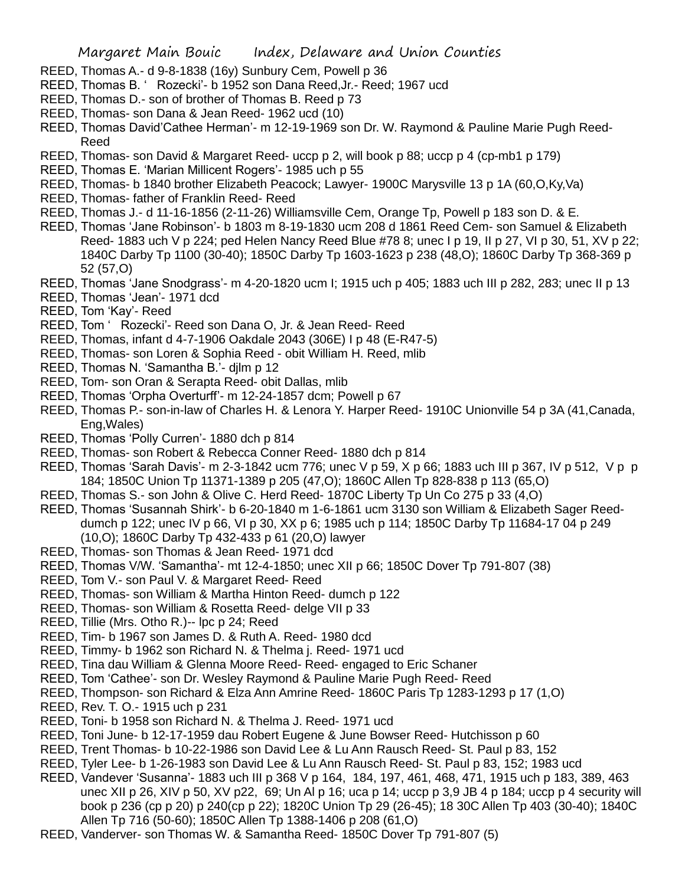- REED, Thomas A.- d 9-8-1838 (16y) Sunbury Cem, Powell p 36
- REED, Thomas B. ' Rozecki'- b 1952 son Dana Reed,Jr.- Reed; 1967 ucd
- REED, Thomas D.- son of brother of Thomas B. Reed p 73
- REED, Thomas- son Dana & Jean Reed- 1962 ucd (10)
- REED, Thomas David'Cathee Herman'- m 12-19-1969 son Dr. W. Raymond & Pauline Marie Pugh Reed-Reed
- REED, Thomas- son David & Margaret Reed- uccp p 2, will book p 88; uccp p 4 (cp-mb1 p 179)
- REED, Thomas E. 'Marian Millicent Rogers'- 1985 uch p 55
- REED, Thomas- b 1840 brother Elizabeth Peacock; Lawyer- 1900C Marysville 13 p 1A (60,O,Ky,Va)
- REED, Thomas- father of Franklin Reed- Reed
- REED, Thomas J.- d 11-16-1856 (2-11-26) Williamsville Cem, Orange Tp, Powell p 183 son D. & E.
- REED, Thomas 'Jane Robinson'- b 1803 m 8-19-1830 ucm 208 d 1861 Reed Cem- son Samuel & Elizabeth Reed- 1883 uch V p 224; ped Helen Nancy Reed Blue #78 8; unec I p 19, II p 27, VI p 30, 51, XV p 22; 1840C Darby Tp 1100 (30-40); 1850C Darby Tp 1603-1623 p 238 (48,O); 1860C Darby Tp 368-369 p 52 (57,O)
- REED, Thomas 'Jane Snodgrass'- m 4-20-1820 ucm I; 1915 uch p 405; 1883 uch III p 282, 283; unec II p 13
- REED, Thomas 'Jean'- 1971 dcd
- REED, Tom 'Kay'- Reed
- REED, Tom ' Rozecki'- Reed son Dana O, Jr. & Jean Reed- Reed
- REED, Thomas, infant d 4-7-1906 Oakdale 2043 (306E) I p 48 (E-R47-5)
- REED, Thomas- son Loren & Sophia Reed obit William H. Reed, mlib
- REED, Thomas N. 'Samantha B.'- djlm p 12
- REED, Tom- son Oran & Serapta Reed- obit Dallas, mlib
- REED, Thomas 'Orpha Overturff'- m 12-24-1857 dcm; Powell p 67
- REED, Thomas P.- son-in-law of Charles H. & Lenora Y. Harper Reed- 1910C Unionville 54 p 3A (41,Canada, Eng,Wales)
- REED, Thomas 'Polly Curren'- 1880 dch p 814
- REED, Thomas- son Robert & Rebecca Conner Reed- 1880 dch p 814
- REED, Thomas 'Sarah Davis'- m 2-3-1842 ucm 776; unec V p 59, X p 66; 1883 uch III p 367, IV p 512, V p p 184; 1850C Union Tp 11371-1389 p 205 (47,O); 1860C Allen Tp 828-838 p 113 (65,O)
- REED, Thomas S.- son John & Olive C. Herd Reed- 1870C Liberty Tp Un Co 275 p 33 (4,O)
- REED, Thomas 'Susannah Shirk'- b 6-20-1840 m 1-6-1861 ucm 3130 son William & Elizabeth Sager Reeddumch p 122; unec IV p 66, VI p 30, XX p 6; 1985 uch p 114; 1850C Darby Tp 11684-17 04 p 249 (10,O); 1860C Darby Tp 432-433 p 61 (20,O) lawyer
- REED, Thomas- son Thomas & Jean Reed- 1971 dcd
- REED, Thomas V/W. 'Samantha'- mt 12-4-1850; unec XII p 66; 1850C Dover Tp 791-807 (38)
- REED, Tom V.- son Paul V. & Margaret Reed- Reed
- REED, Thomas- son William & Martha Hinton Reed- dumch p 122
- REED, Thomas- son William & Rosetta Reed- delge VII p 33
- REED, Tillie (Mrs. Otho R.)-- lpc p 24; Reed
- REED, Tim- b 1967 son James D. & Ruth A. Reed- 1980 dcd
- REED, Timmy- b 1962 son Richard N. & Thelma j. Reed- 1971 ucd
- REED, Tina dau William & Glenna Moore Reed- Reed- engaged to Eric Schaner
- REED, Tom 'Cathee'- son Dr. Wesley Raymond & Pauline Marie Pugh Reed- Reed
- REED, Thompson- son Richard & Elza Ann Amrine Reed- 1860C Paris Tp 1283-1293 p 17 (1,O)
- REED, Rev. T. O.- 1915 uch p 231
- REED, Toni- b 1958 son Richard N. & Thelma J. Reed- 1971 ucd
- REED, Toni June- b 12-17-1959 dau Robert Eugene & June Bowser Reed- Hutchisson p 60
- REED, Trent Thomas- b 10-22-1986 son David Lee & Lu Ann Rausch Reed- St. Paul p 83, 152
- REED, Tyler Lee- b 1-26-1983 son David Lee & Lu Ann Rausch Reed- St. Paul p 83, 152; 1983 ucd
- REED, Vandever 'Susanna'- 1883 uch III p 368 V p 164, 184, 197, 461, 468, 471, 1915 uch p 183, 389, 463 unec XII p 26, XIV p 50, XV p22, 69; Un AI p 16; uca p 14; uccp p 3,9 JB 4 p 184; uccp p 4 security will book p 236 (cp p 20) p 240(cp p 22); 1820C Union Tp 29 (26-45); 18 30C Allen Tp 403 (30-40); 1840C Allen Tp 716 (50-60); 1850C Allen Tp 1388-1406 p 208 (61,O)
- REED, Vanderver- son Thomas W. & Samantha Reed- 1850C Dover Tp 791-807 (5)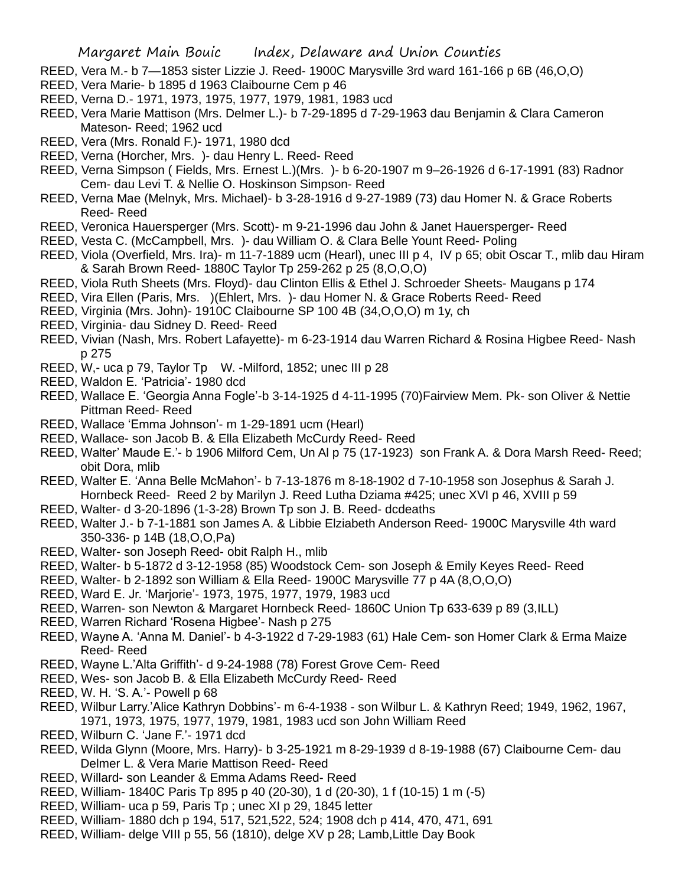- REED, Vera M.- b 7—1853 sister Lizzie J. Reed- 1900C Marysville 3rd ward 161-166 p 6B (46,O,O)
- REED, Vera Marie- b 1895 d 1963 Claibourne Cem p 46
- REED, Verna D.- 1971, 1973, 1975, 1977, 1979, 1981, 1983 ucd
- REED, Vera Marie Mattison (Mrs. Delmer L.)- b 7-29-1895 d 7-29-1963 dau Benjamin & Clara Cameron Mateson- Reed; 1962 ucd
- REED, Vera (Mrs. Ronald F.)- 1971, 1980 dcd
- REED, Verna (Horcher, Mrs. )- dau Henry L. Reed- Reed
- REED, Verna Simpson ( Fields, Mrs. Ernest L.)(Mrs. )- b 6-20-1907 m 9–26-1926 d 6-17-1991 (83) Radnor Cem- dau Levi T. & Nellie O. Hoskinson Simpson- Reed
- REED, Verna Mae (Melnyk, Mrs. Michael)- b 3-28-1916 d 9-27-1989 (73) dau Homer N. & Grace Roberts Reed- Reed
- REED, Veronica Hauersperger (Mrs. Scott)- m 9-21-1996 dau John & Janet Hauersperger- Reed
- REED, Vesta C. (McCampbell, Mrs. )- dau William O. & Clara Belle Yount Reed- Poling
- REED, Viola (Overfield, Mrs. Ira)- m 11-7-1889 ucm (Hearl), unec III p 4, IV p 65; obit Oscar T., mlib dau Hiram & Sarah Brown Reed- 1880C Taylor Tp 259-262 p 25 (8,O,O,O)
- REED, Viola Ruth Sheets (Mrs. Floyd)- dau Clinton Ellis & Ethel J. Schroeder Sheets- Maugans p 174
- REED, Vira Ellen (Paris, Mrs. )(Ehlert, Mrs. )- dau Homer N. & Grace Roberts Reed- Reed
- REED, Virginia (Mrs. John)- 1910C Claibourne SP 100 4B (34,O,O,O) m 1y, ch
- REED, Virginia- dau Sidney D. Reed- Reed
- REED, Vivian (Nash, Mrs. Robert Lafayette)- m 6-23-1914 dau Warren Richard & Rosina Higbee Reed- Nash p 275
- REED, W<sub>1</sub>- uca p 79, Taylor Tp W. -Milford, 1852; unec III p 28
- REED, Waldon E. 'Patricia'- 1980 dcd
- REED, Wallace E. 'Georgia Anna Fogle'-b 3-14-1925 d 4-11-1995 (70)Fairview Mem. Pk- son Oliver & Nettie Pittman Reed- Reed
- REED, Wallace 'Emma Johnson'- m 1-29-1891 ucm (Hearl)
- REED, Wallace- son Jacob B. & Ella Elizabeth McCurdy Reed- Reed
- REED, Walter' Maude E.'- b 1906 Milford Cem, Un Al p 75 (17-1923) son Frank A. & Dora Marsh Reed- Reed; obit Dora, mlib
- REED, Walter E. 'Anna Belle McMahon'- b 7-13-1876 m 8-18-1902 d 7-10-1958 son Josephus & Sarah J. Hornbeck Reed- Reed 2 by Marilyn J. Reed Lutha Dziama #425; unec XVI p 46, XVIII p 59
- REED, Walter- d 3-20-1896 (1-3-28) Brown Tp son J. B. Reed- dcdeaths
- REED, Walter J.- b 7-1-1881 son James A. & Libbie Elziabeth Anderson Reed- 1900C Marysville 4th ward 350-336- p 14B (18,O,O,Pa)
- REED, Walter- son Joseph Reed- obit Ralph H., mlib
- REED, Walter- b 5-1872 d 3-12-1958 (85) Woodstock Cem- son Joseph & Emily Keyes Reed- Reed
- REED, Walter- b 2-1892 son William & Ella Reed- 1900C Marysville 77 p 4A (8,O,O,O)
- REED, Ward E. Jr. 'Marjorie'- 1973, 1975, 1977, 1979, 1983 ucd
- REED, Warren- son Newton & Margaret Hornbeck Reed- 1860C Union Tp 633-639 p 89 (3,ILL)
- REED, Warren Richard 'Rosena Higbee'- Nash p 275
- REED, Wayne A. 'Anna M. Daniel'- b 4-3-1922 d 7-29-1983 (61) Hale Cem- son Homer Clark & Erma Maize Reed- Reed
- REED, Wayne L.'Alta Griffith'- d 9-24-1988 (78) Forest Grove Cem- Reed
- REED, Wes- son Jacob B. & Ella Elizabeth McCurdy Reed- Reed
- REED, W. H. 'S. A.'- Powell p 68
- REED, Wilbur Larry.'Alice Kathryn Dobbins'- m 6-4-1938 son Wilbur L. & Kathryn Reed; 1949, 1962, 1967, 1971, 1973, 1975, 1977, 1979, 1981, 1983 ucd son John William Reed
- REED, Wilburn C. 'Jane F.'- 1971 dcd
- REED, Wilda Glynn (Moore, Mrs. Harry)- b 3-25-1921 m 8-29-1939 d 8-19-1988 (67) Claibourne Cem- dau Delmer L. & Vera Marie Mattison Reed- Reed
- REED, Willard- son Leander & Emma Adams Reed- Reed
- REED, William- 1840C Paris Tp 895 p 40 (20-30), 1 d (20-30), 1 f (10-15) 1 m (-5)
- REED, William- uca p 59, Paris Tp ; unec XI p 29, 1845 letter
- REED, William- 1880 dch p 194, 517, 521,522, 524; 1908 dch p 414, 470, 471, 691
- REED, William- delge VIII p 55, 56 (1810), delge XV p 28; Lamb,Little Day Book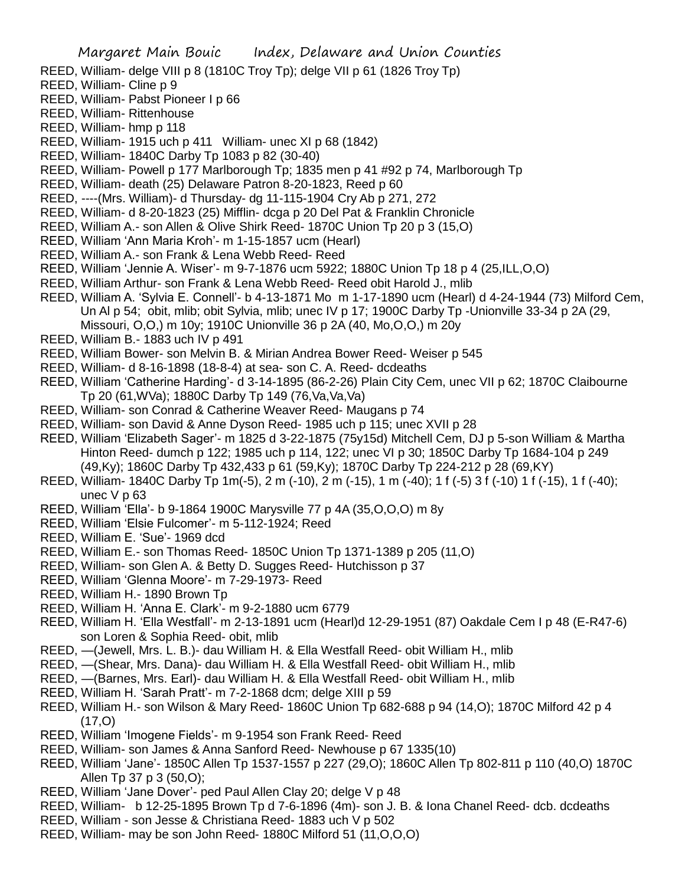- REED, William- delge VIII p 8 (1810C Troy Tp); delge VII p 61 (1826 Troy Tp)
- REED, William- Cline p 9
- REED, William- Pabst Pioneer I p 66
- REED, William- Rittenhouse
- REED, William- hmp p 118
- REED, William- 1915 uch p 411 William- unec XI p 68 (1842)
- REED, William- 1840C Darby Tp 1083 p 82 (30-40)
- REED, William- Powell p 177 Marlborough Tp; 1835 men p 41 #92 p 74, Marlborough Tp
- REED, William- death (25) Delaware Patron 8-20-1823, Reed p 60
- REED, ----(Mrs. William)- d Thursday- dg 11-115-1904 Cry Ab p 271, 272
- REED, William- d 8-20-1823 (25) Mifflin- dcga p 20 Del Pat & Franklin Chronicle
- REED, William A.- son Allen & Olive Shirk Reed- 1870C Union Tp 20 p 3 (15,O)
- REED, William 'Ann Maria Kroh'- m 1-15-1857 ucm (Hearl)
- REED, William A.- son Frank & Lena Webb Reed- Reed
- REED, William 'Jennie A. Wiser'- m 9-7-1876 ucm 5922; 1880C Union Tp 18 p 4 (25,ILL,O,O)
- REED, William Arthur- son Frank & Lena Webb Reed- Reed obit Harold J., mlib
- REED, William A. 'Sylvia E. Connell'- b 4-13-1871 Mo m 1-17-1890 ucm (Hearl) d 4-24-1944 (73) Milford Cem, Un Al p 54; obit, mlib; obit Sylvia, mlib; unec IV p 17; 1900C Darby Tp -Unionville 33-34 p 2A (29, Missouri, O,O,) m 10y; 1910C Unionville 36 p 2A (40, Mo,O,O,) m 20y
- REED, William B.- 1883 uch IV p 491
- REED, William Bower- son Melvin B. & Mirian Andrea Bower Reed- Weiser p 545
- REED, William- d 8-16-1898 (18-8-4) at sea- son C. A. Reed- dcdeaths
- REED, William 'Catherine Harding'- d 3-14-1895 (86-2-26) Plain City Cem, unec VII p 62; 1870C Claibourne Tp 20 (61,WVa); 1880C Darby Tp 149 (76,Va,Va,Va)
- REED, William- son Conrad & Catherine Weaver Reed- Maugans p 74
- REED, William- son David & Anne Dyson Reed- 1985 uch p 115; unec XVII p 28
- REED, William 'Elizabeth Sager'- m 1825 d 3-22-1875 (75y15d) Mitchell Cem, DJ p 5-son William & Martha Hinton Reed- dumch p 122; 1985 uch p 114, 122; unec VI p 30; 1850C Darby Tp 1684-104 p 249 (49,Ky); 1860C Darby Tp 432,433 p 61 (59,Ky); 1870C Darby Tp 224-212 p 28 (69,KY)
- REED, William- 1840C Darby Tp 1m(-5), 2 m (-10), 2 m (-15), 1 m (-40); 1 f (-5) 3 f (-10) 1 f (-15), 1 f (-40); unec V p 63
- REED, William 'Ella'- b 9-1864 1900C Marysville 77 p 4A (35,O,O,O) m 8y
- REED, William 'Elsie Fulcomer'- m 5-112-1924; Reed
- REED, William E. 'Sue'- 1969 dcd
- REED, William E.- son Thomas Reed- 1850C Union Tp 1371-1389 p 205 (11,O)
- REED, William- son Glen A. & Betty D. Sugges Reed- Hutchisson p 37
- REED, William 'Glenna Moore'- m 7-29-1973- Reed
- REED, William H.- 1890 Brown Tp
- REED, William H. 'Anna E. Clark'- m 9-2-1880 ucm 6779
- REED, William H. 'Ella Westfall'- m 2-13-1891 ucm (Hearl)d 12-29-1951 (87) Oakdale Cem I p 48 (E-R47-6) son Loren & Sophia Reed- obit, mlib
- REED, —(Jewell, Mrs. L. B.)- dau William H. & Ella Westfall Reed- obit William H., mlib
- REED, —(Shear, Mrs. Dana)- dau William H. & Ella Westfall Reed- obit William H., mlib
- REED, —(Barnes, Mrs. Earl)- dau William H. & Ella Westfall Reed- obit William H., mlib
- REED, William H. 'Sarah Pratt'- m 7-2-1868 dcm; delge XIII p 59
- REED, William H.- son Wilson & Mary Reed- 1860C Union Tp 682-688 p 94 (14,O); 1870C Milford 42 p 4 (17,O)
- REED, William 'Imogene Fields'- m 9-1954 son Frank Reed- Reed
- REED, William- son James & Anna Sanford Reed- Newhouse p 67 1335(10)
- REED, William 'Jane'- 1850C Allen Tp 1537-1557 p 227 (29,O); 1860C Allen Tp 802-811 p 110 (40,O) 1870C Allen Tp 37 p 3 (50,O);
- REED, William 'Jane Dover'- ped Paul Allen Clay 20; delge V p 48
- REED, William- b 12-25-1895 Brown Tp d 7-6-1896 (4m)- son J. B. & Iona Chanel Reed- dcb. dcdeaths
- REED, William son Jesse & Christiana Reed- 1883 uch V p 502
- REED, William- may be son John Reed- 1880C Milford 51 (11,O,O,O)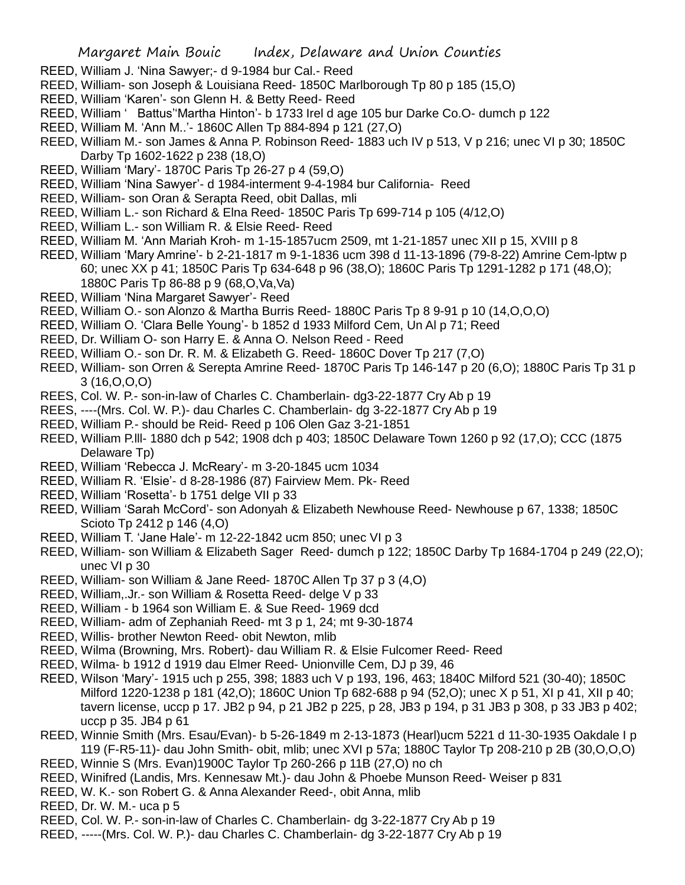- REED, William J. 'Nina Sawyer;- d 9-1984 bur Cal.- Reed
- REED, William- son Joseph & Louisiana Reed- 1850C Marlborough Tp 80 p 185 (15,O)
- REED, William 'Karen'- son Glenn H. & Betty Reed- Reed
- REED, William ' Battus''Martha Hinton'- b 1733 Irel d age 105 bur Darke Co.O- dumch p 122
- REED, William M. 'Ann M..'- 1860C Allen Tp 884-894 p 121 (27,O)
- REED, William M.- son James & Anna P. Robinson Reed- 1883 uch IV p 513, V p 216; unec VI p 30; 1850C Darby Tp 1602-1622 p 238 (18,O)
- REED, William 'Mary'- 1870C Paris Tp 26-27 p 4 (59,O)
- REED, William 'Nina Sawyer'- d 1984-interment 9-4-1984 bur California- Reed
- REED, William- son Oran & Serapta Reed, obit Dallas, mli
- REED, William L.- son Richard & Elna Reed- 1850C Paris Tp 699-714 p 105 (4/12,O)
- REED, William L.- son William R. & Elsie Reed- Reed
- REED, William M. 'Ann Mariah Kroh- m 1-15-1857ucm 2509, mt 1-21-1857 unec XII p 15, XVIII p 8
- REED, William 'Mary Amrine'- b 2-21-1817 m 9-1-1836 ucm 398 d 11-13-1896 (79-8-22) Amrine Cem-lptw p 60; unec XX p 41; 1850C Paris Tp 634-648 p 96 (38,O); 1860C Paris Tp 1291-1282 p 171 (48,O); 1880C Paris Tp 86-88 p 9 (68,O,Va,Va)
- REED, William 'Nina Margaret Sawyer'- Reed
- REED, William O.- son Alonzo & Martha Burris Reed- 1880C Paris Tp 8 9-91 p 10 (14,O,O,O)
- REED, William O. 'Clara Belle Young'- b 1852 d 1933 Milford Cem, Un Al p 71; Reed
- REED, Dr. William O- son Harry E. & Anna O. Nelson Reed Reed
- REED, William O.- son Dr. R. M. & Elizabeth G. Reed- 1860C Dover Tp 217 (7,O)
- REED, William- son Orren & Serepta Amrine Reed- 1870C Paris Tp 146-147 p 20 (6,O); 1880C Paris Tp 31 p 3 (16,O,O,O)
- REES, Col. W. P.- son-in-law of Charles C. Chamberlain- dg3-22-1877 Cry Ab p 19
- REES, ----(Mrs. Col. W. P.)- dau Charles C. Chamberlain- dg 3-22-1877 Cry Ab p 19
- REED, William P.- should be Reid- Reed p 106 Olen Gaz 3-21-1851
- REED, William P.lll- 1880 dch p 542; 1908 dch p 403; 1850C Delaware Town 1260 p 92 (17,O); CCC (1875 Delaware Tp)
- REED, William 'Rebecca J. McReary'- m 3-20-1845 ucm 1034
- REED, William R. 'Elsie'- d 8-28-1986 (87) Fairview Mem. Pk- Reed
- REED, William 'Rosetta'- b 1751 delge VII p 33
- REED, William 'Sarah McCord'- son Adonyah & Elizabeth Newhouse Reed- Newhouse p 67, 1338; 1850C Scioto Tp 2412 p 146 (4,O)
- REED, William T. 'Jane Hale'- m 12-22-1842 ucm 850; unec VI p 3
- REED, William- son William & Elizabeth Sager Reed- dumch p 122; 1850C Darby Tp 1684-1704 p 249 (22,O); unec VI p 30
- REED, William- son William & Jane Reed- 1870C Allen Tp 37 p 3 (4,O)
- REED, William,.Jr.- son William & Rosetta Reed- delge V p 33
- REED, William b 1964 son William E. & Sue Reed- 1969 dcd
- REED, William- adm of Zephaniah Reed- mt 3 p 1, 24; mt 9-30-1874
- REED, Willis- brother Newton Reed- obit Newton, mlib
- REED, Wilma (Browning, Mrs. Robert)- dau William R. & Elsie Fulcomer Reed- Reed
- REED, Wilma- b 1912 d 1919 dau Elmer Reed- Unionville Cem, DJ p 39, 46
- REED, Wilson 'Mary'- 1915 uch p 255, 398; 1883 uch V p 193, 196, 463; 1840C Milford 521 (30-40); 1850C Milford 1220-1238 p 181 (42,O); 1860C Union Tp 682-688 p 94 (52,O); unec X p 51, XI p 41, XII p 40; tavern license, uccp p 17. JB2 p 94, p 21 JB2 p 225, p 28, JB3 p 194, p 31 JB3 p 308, p 33 JB3 p 402; uccp p 35. JB4 p 61
- REED, Winnie Smith (Mrs. Esau/Evan)- b 5-26-1849 m 2-13-1873 (Hearl)ucm 5221 d 11-30-1935 Oakdale I p 119 (F-R5-11)- dau John Smith- obit, mlib; unec XVI p 57a; 1880C Taylor Tp 208-210 p 2B (30,O,O,O)
- REED, Winnie S (Mrs. Evan)1900C Taylor Tp 260-266 p 11B (27,O) no ch
- REED, Winifred (Landis, Mrs. Kennesaw Mt.)- dau John & Phoebe Munson Reed- Weiser p 831
- REED, W. K.- son Robert G. & Anna Alexander Reed-, obit Anna, mlib
- REED, Dr. W. M.- uca p 5
- REED, Col. W. P.- son-in-law of Charles C. Chamberlain- dg 3-22-1877 Cry Ab p 19
- REED, -----(Mrs. Col. W. P.)- dau Charles C. Chamberlain- dg 3-22-1877 Cry Ab p 19